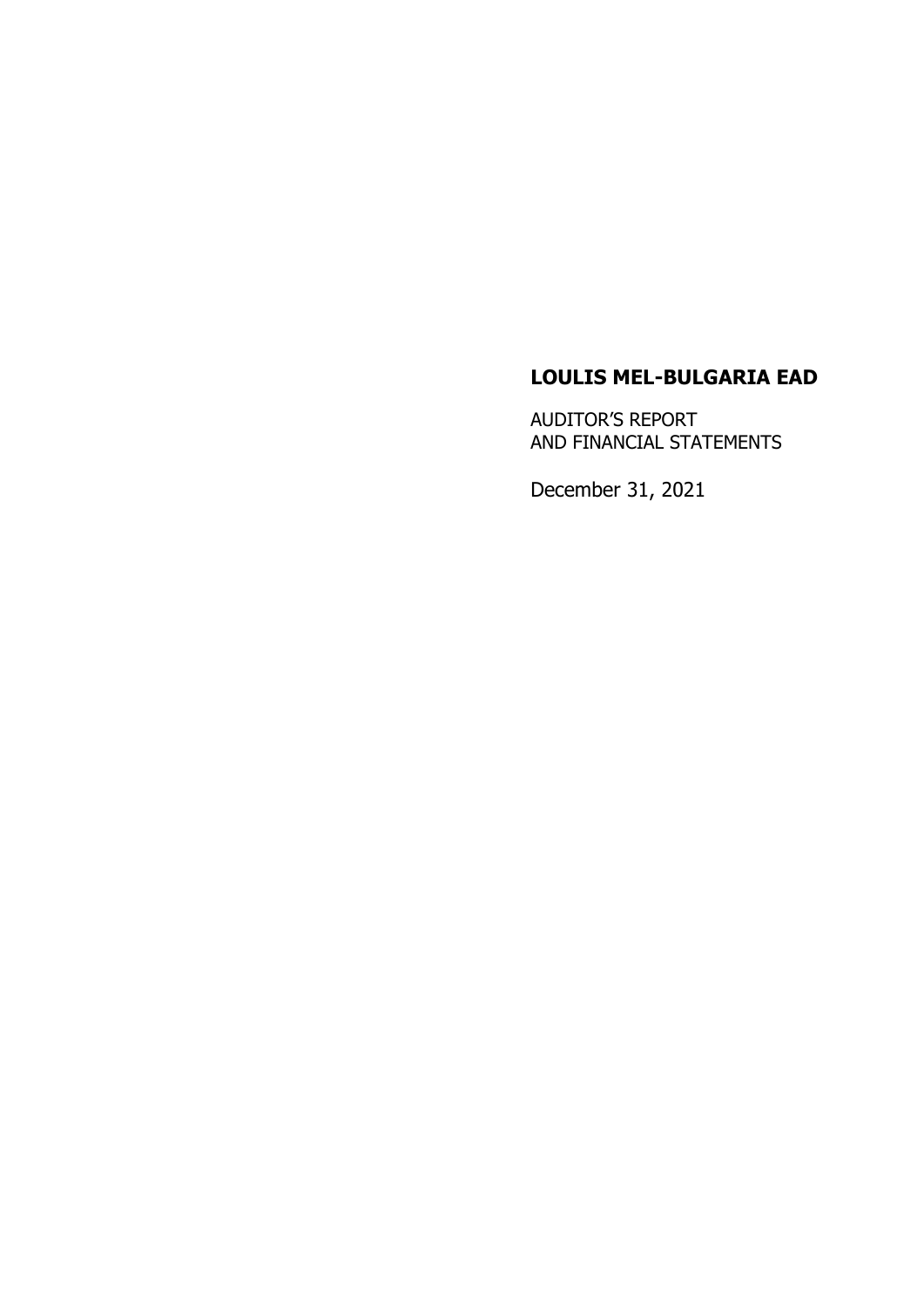# **LOULIS MEL-BULGARIA EAD**

AUDITOR'S REPORT AND FINANCIAL STATEMENTS

December 31, 2021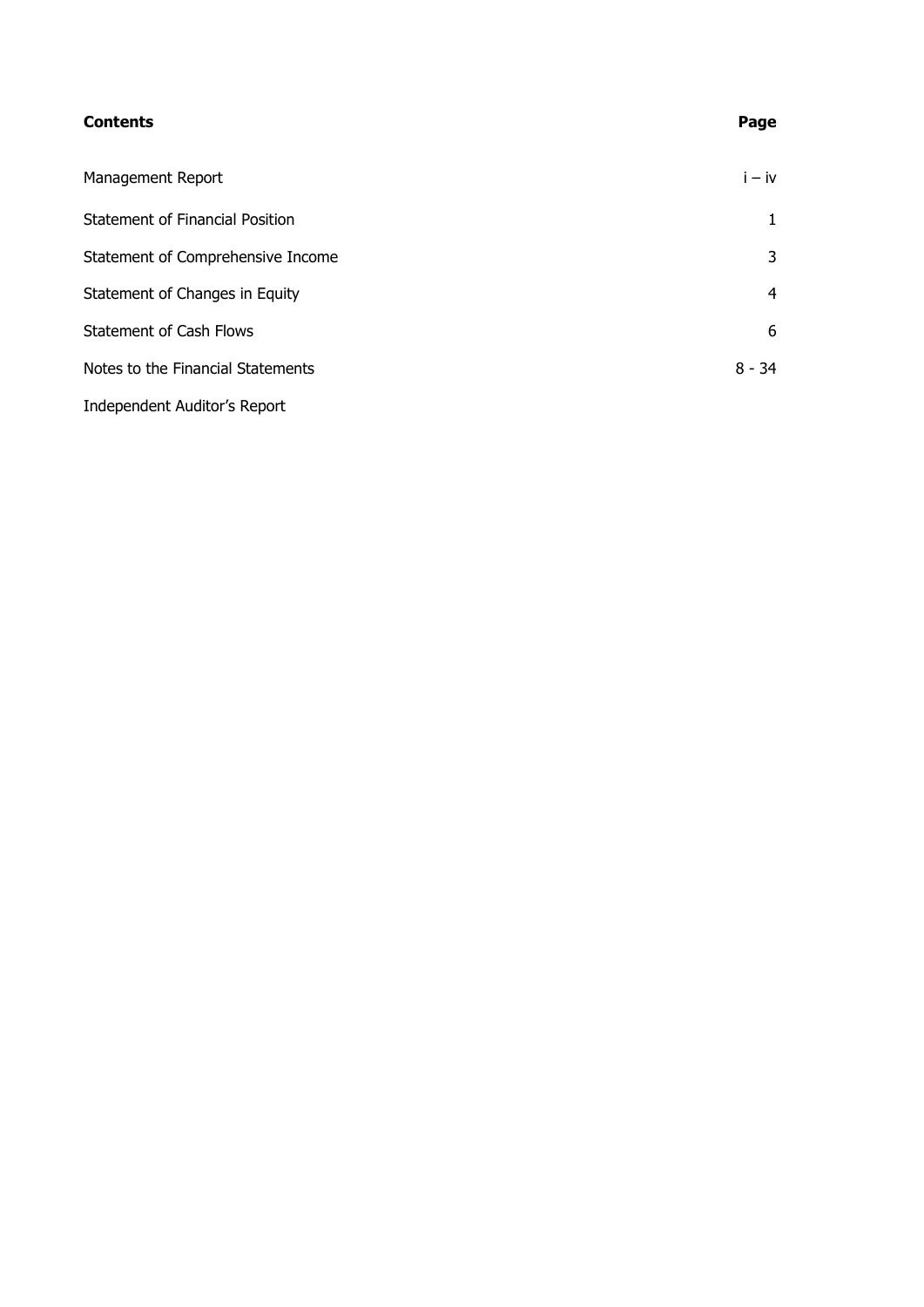#### **Contents Page**

| Management Report                 | $i - iv$       |
|-----------------------------------|----------------|
| Statement of Financial Position   | 1              |
| Statement of Comprehensive Income | 3              |
| Statement of Changes in Equity    | $\overline{4}$ |
| Statement of Cash Flows           | 6              |
| Notes to the Financial Statements | $8 - 34$       |
| Independent Auditor's Report      |                |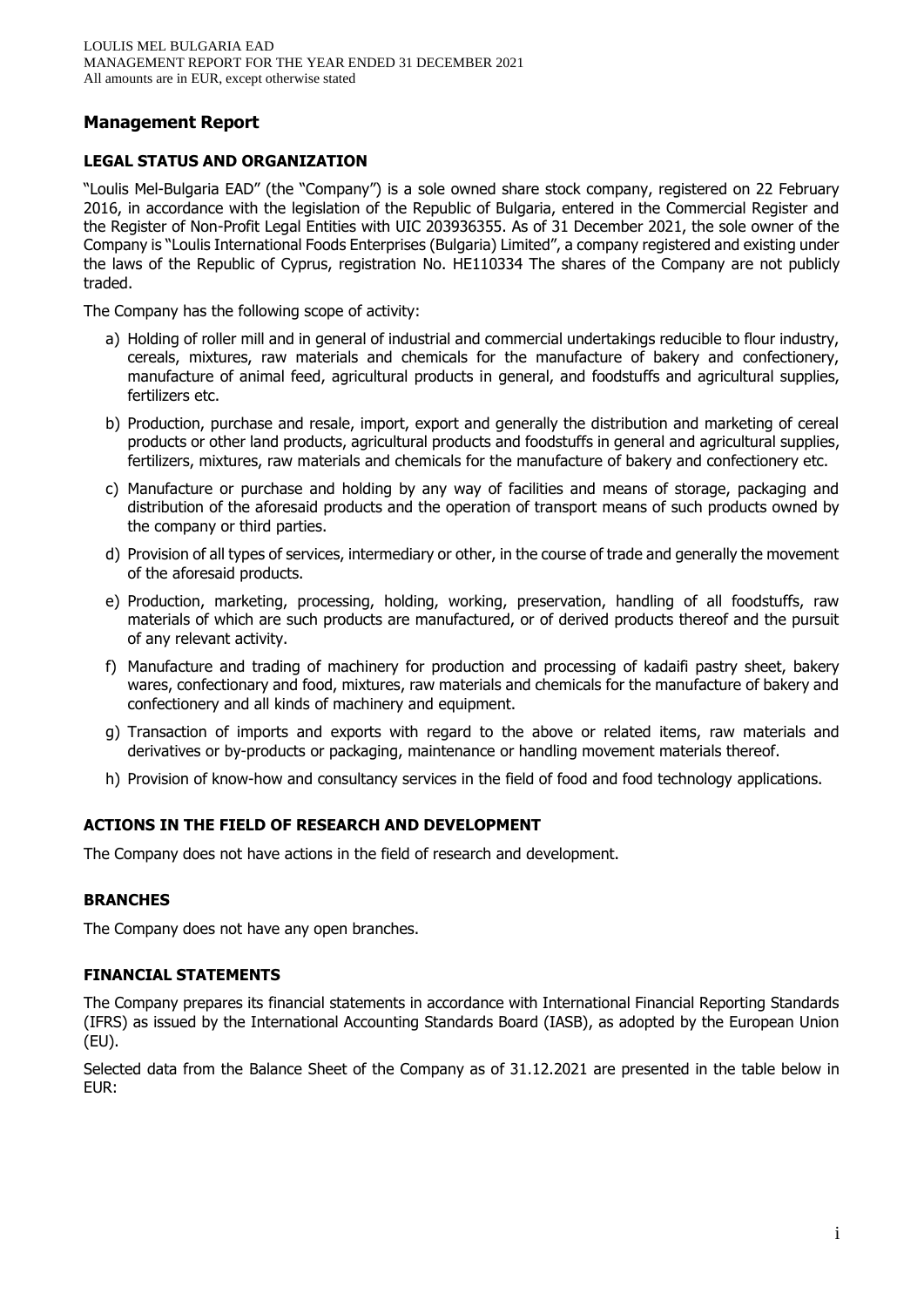# **Management Report**

## **LEGAL STATUS AND ORGANIZATION**

"Loulis Mel-Bulgaria EAD" (the "Company") is a sole owned share stock company, registered on 22 February 2016, in accordance with the legislation of the Republic of Bulgaria, entered in the Commercial Register and the Register of Non-Profit Legal Entities with UIC 203936355. As of 31 December 2021, the sole owner of the Company is "Loulis International Foods Enterprises (Bulgaria) Limited", a company registered and existing under the laws of the Republic of Cyprus, registration No. HE110334 The shares of the Company are not publicly traded.

The Company has the following scope of activity:

- a) Holding of roller mill and in general of industrial and commercial undertakings reducible to flour industry, cereals, mixtures, raw materials and chemicals for the manufacture of bakery and confectionery, manufacture of animal feed, agricultural products in general, and foodstuffs and agricultural supplies, fertilizers etc.
- b) Production, purchase and resale, import, export and generally the distribution and marketing of cereal products or other land products, agricultural products and foodstuffs in general and agricultural supplies, fertilizers, mixtures, raw materials and chemicals for the manufacture of bakery and confectionery etc.
- c) Manufacture or purchase and holding by any way of facilities and means of storage, packaging and distribution of the aforesaid products and the operation of transport means of such products owned by the company or third parties.
- d) Provision of all types of services, intermediary or other, in the course of trade and generally the movement of the aforesaid products.
- e) Production, marketing, processing, holding, working, preservation, handling of all foodstuffs, raw materials of which are such products are manufactured, or of derived products thereof and the pursuit of any relevant activity.
- f) Manufacture and trading of machinery for production and processing of kadaifi pastry sheet, bakery wares, confectionary and food, mixtures, raw materials and chemicals for the manufacture of bakery and confectionery and all kinds of machinery and equipment.
- g) Transaction of imports and exports with regard to the above or related items, raw materials and derivatives or by-products or packaging, maintenance or handling movement materials thereof.
- h) Provision of know-how and consultancy services in the field of food and food technology applications.

## **ACTIONS IN THE FIELD OF RESEARCH AND DEVELOPMENT**

The Company does not have actions in the field of research and development.

#### **BRANCHES**

The Company does not have any open branches.

#### **FINANCIAL STATEMENTS**

The Company prepares its financial statements in accordance with International Financial Reporting Standards (IFRS) as issued by the International Accounting Standards Board (IASB), as adopted by the European Union (EU).

Selected data from the Balance Sheet of the Company as of 31.12.2021 are presented in the table below in EUR: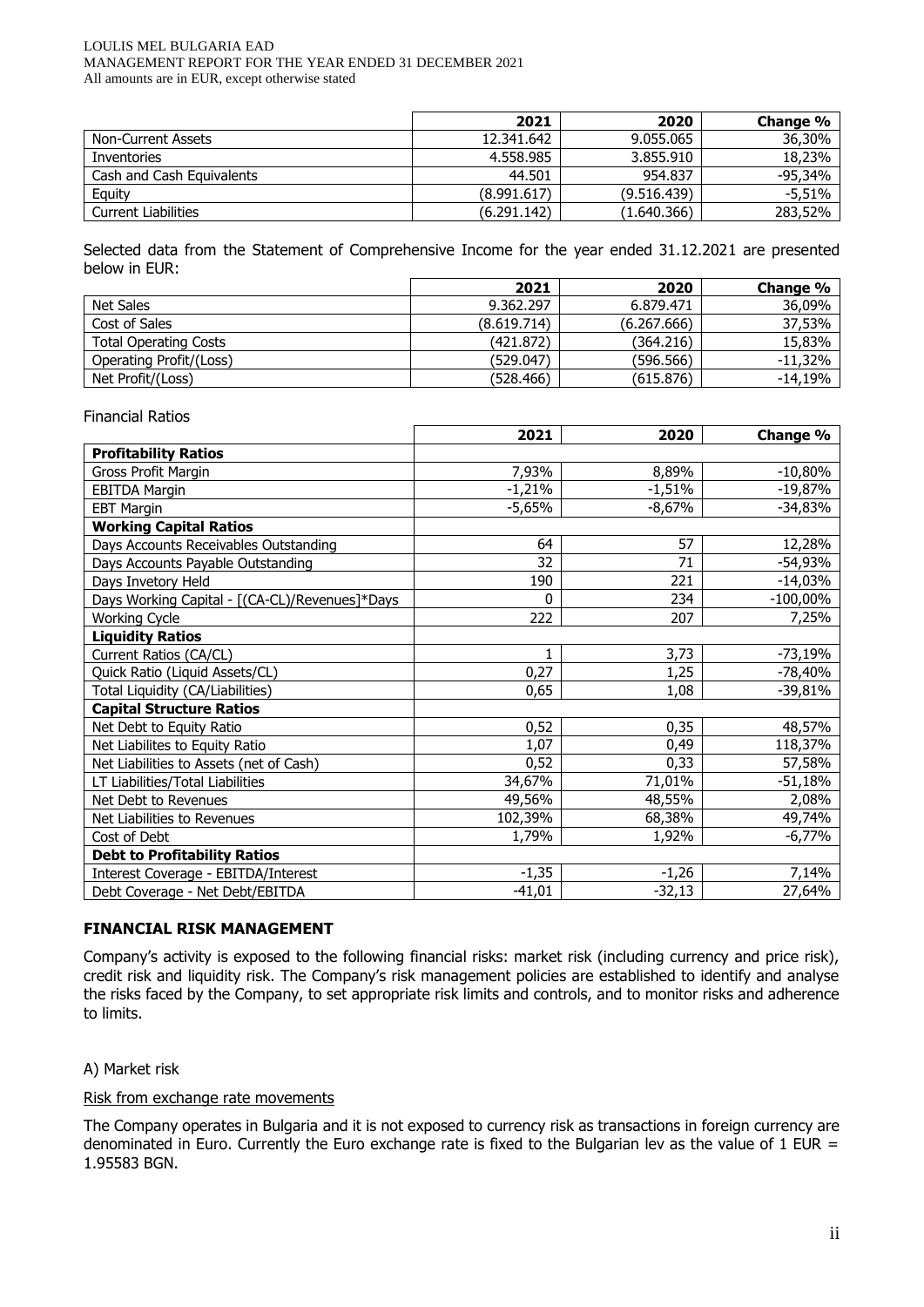#### LOULIS MEL BULGARIA EAD MANAGEMENT REPORT FOR THE YEAR ENDED 31 DECEMBER 2021 All amounts are in EUR, except otherwise stated

|                            | 2021        | 2020        | Change % |
|----------------------------|-------------|-------------|----------|
| Non-Current Assets         | 12.341.642  | 9.055.065   | 36,30%   |
| Inventories                | 4.558.985   | 3.855.910   | 18,23%   |
| Cash and Cash Equivalents  | 44.501      | 954.837     | -95,34%  |
| Equity                     | (8.991.617) | (9.516.439) | $-5,51%$ |
| <b>Current Liabilities</b> | (6.291.142) | (1.640.366) | 283,52%  |

Selected data from the Statement of Comprehensive Income for the year ended 31.12.2021 are presented below in EUR:

|                              | 2021        | 2020        | Change %   |
|------------------------------|-------------|-------------|------------|
| Net Sales                    | 9.362.297   | 6.879.471   | 36,09%     |
| Cost of Sales                | (8.619.714) | (6.267.666) | 37,53%     |
| <b>Total Operating Costs</b> | (421.872)   | (364.216)   | 15,83%     |
| Operating Profit/(Loss)      | (529.047)   | (596.566)   | $-11.32\%$ |
| Net Profit/(Loss)            | (528, 466)  | (615.876)   | -14,19%    |

## Financial Ratios

|                                                | 2021     | 2020     | Change %    |
|------------------------------------------------|----------|----------|-------------|
| <b>Profitability Ratios</b>                    |          |          |             |
| Gross Profit Margin                            | 7,93%    | 8,89%    | $-10,80%$   |
| <b>EBITDA Margin</b>                           | $-1,21%$ | $-1,51%$ | $-19,87%$   |
| <b>EBT Margin</b>                              | -5,65%   | $-8,67%$ | -34,83%     |
| <b>Working Capital Ratios</b>                  |          |          |             |
| Days Accounts Receivables Outstanding          | 64       | 57       | 12,28%      |
| Days Accounts Payable Outstanding              | 32       | 71       | -54,93%     |
| Days Invetory Held                             | 190      | 221      | $-14,03%$   |
| Days Working Capital - [(CA-CL)/Revenues]*Days | 0        | 234      | $-100,00\%$ |
| <b>Working Cycle</b>                           | 222      | 207      | 7,25%       |
| <b>Liquidity Ratios</b>                        |          |          |             |
| Current Ratios (CA/CL)                         | 1        | 3,73     | $-73,19%$   |
| Quick Ratio (Liquid Assets/CL)                 | 0,27     | 1,25     | -78,40%     |
| Total Liquidity (CA/Liabilities)               | 0,65     | 1,08     | -39,81%     |
| <b>Capital Structure Ratios</b>                |          |          |             |
| Net Debt to Equity Ratio                       | 0,52     | 0,35     | 48,57%      |
| Net Liabilites to Equity Ratio                 | 1,07     | 0,49     | 118,37%     |
| Net Liabilities to Assets (net of Cash)        | 0,52     | 0,33     | 57,58%      |
| LT Liabilities/Total Liabilities               | 34,67%   | 71,01%   | $-51,18%$   |
| Net Debt to Revenues                           | 49,56%   | 48,55%   | 2,08%       |
| Net Liabilities to Revenues                    | 102,39%  | 68,38%   | 49,74%      |
| Cost of Debt                                   | 1,79%    | 1,92%    | $-6,77\%$   |
| <b>Debt to Profitability Ratios</b>            |          |          |             |
| Interest Coverage - EBITDA/Interest            | $-1,35$  | $-1,26$  | 7,14%       |
| Debt Coverage - Net Debt/EBITDA                | $-41,01$ | $-32,13$ | 27,64%      |

#### **FINANCIAL RISK MANAGEMENT**

Company's activity is exposed to the following financial risks: market risk (including currency and price risk), credit risk and liquidity risk. The Company's risk management policies are established to identify and analyse the risks faced by the Company, to set appropriate risk limits and controls, and to monitor risks and adherence to limits.

#### A) Market risk

#### Risk from exchange rate movements

The Company operates in Bulgaria and it is not exposed to currency risk as transactions in foreign currency are denominated in Euro. Currently the Euro exchange rate is fixed to the Bulgarian lev as the value of 1 EUR = 1.95583 BGN.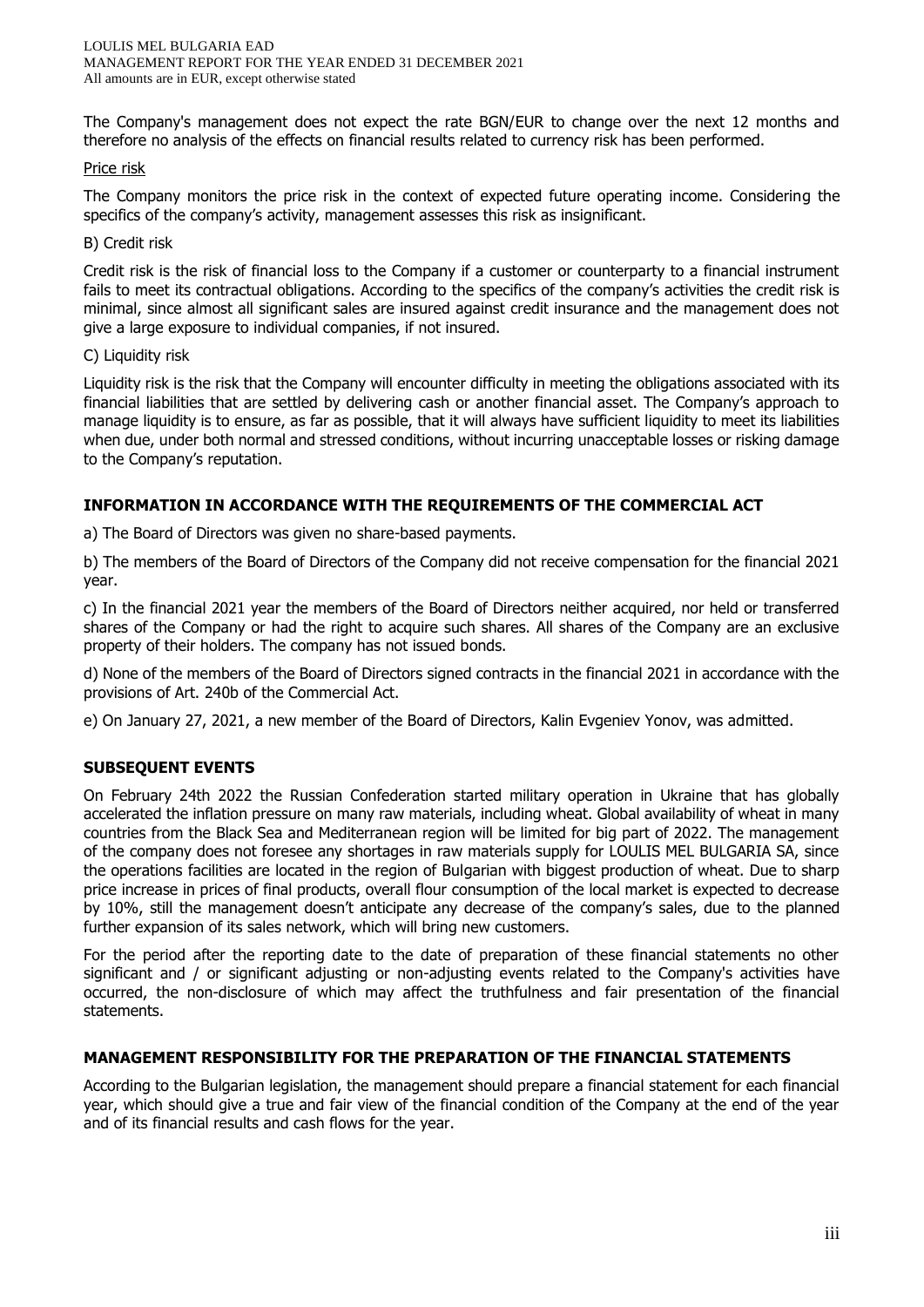The Company's management does not expect the rate BGN/EUR to change over the next 12 months and therefore no analysis of the effects on financial results related to currency risk has been performed.

#### Price risk

The Company monitors the price risk in the context of expected future operating income. Considering the specifics of the company's activity, management assesses this risk as insignificant.

#### B) Credit risk

Credit risk is the risk of financial loss to the Company if a customer or counterparty to a financial instrument fails to meet its contractual obligations. According to the specifics of the company's activities the credit risk is minimal, since almost all significant sales are insured against credit insurance and the management does not give a large exposure to individual companies, if not insured.

#### C) Liquidity risk

Liquidity risk is the risk that the Company will encounter difficulty in meeting the obligations associated with its financial liabilities that are settled by delivering cash or another financial asset. The Company's approach to manage liquidity is to ensure, as far as possible, that it will always have sufficient liquidity to meet its liabilities when due, under both normal and stressed conditions, without incurring unacceptable losses or risking damage to the Company's reputation.

#### **INFORMATION IN ACCORDANCE WITH THE REQUIREMENTS OF THE COMMERCIAL ACT**

a) The Board of Directors was given no share-based payments.

b) The members of the Board of Directors of the Company did not receive compensation for the financial 2021 year.

c) In the financial 2021 year the members of the Board of Directors neither acquired, nor held or transferred shares of the Company or had the right to acquire such shares. All shares of the Company are an exclusive property of their holders. The company has not issued bonds.

d) None of the members of the Board of Directors signed contracts in the financial 2021 in accordance with the provisions of Art. 240b of the Commercial Act.

e) On January 27, 2021, a new member of the Board of Directors, Kalin Evgeniev Yonov, was admitted.

#### **SUBSEQUENT EVENTS**

On February 24th 2022 the Russian Confederation started military operation in Ukraine that has globally accelerated the inflation pressure on many raw materials, including wheat. Global availability of wheat in many countries from the Black Sea and Mediterranean region will be limited for big part of 2022. The management of the company does not foresee any shortages in raw materials supply for LOULIS MEL BULGARIA SA, since the operations facilities are located in the region of Bulgarian with biggest production of wheat. Due to sharp price increase in prices of final products, overall flour consumption of the local market is expected to decrease by 10%, still the management doesn't anticipate any decrease of the company's sales, due to the planned further expansion of its sales network, which will bring new customers.

For the period after the reporting date to the date of preparation of these financial statements no other significant and / or significant adjusting or non-adjusting events related to the Company's activities have occurred, the non-disclosure of which may affect the truthfulness and fair presentation of the financial statements.

#### **MANAGEMENT RESPONSIBILITY FOR THE PREPARATION OF THE FINANCIAL STATEMENTS**

According to the Bulgarian legislation, the management should prepare a financial statement for each financial year, which should give a true and fair view of the financial condition of the Company at the end of the year and of its financial results and cash flows for the year.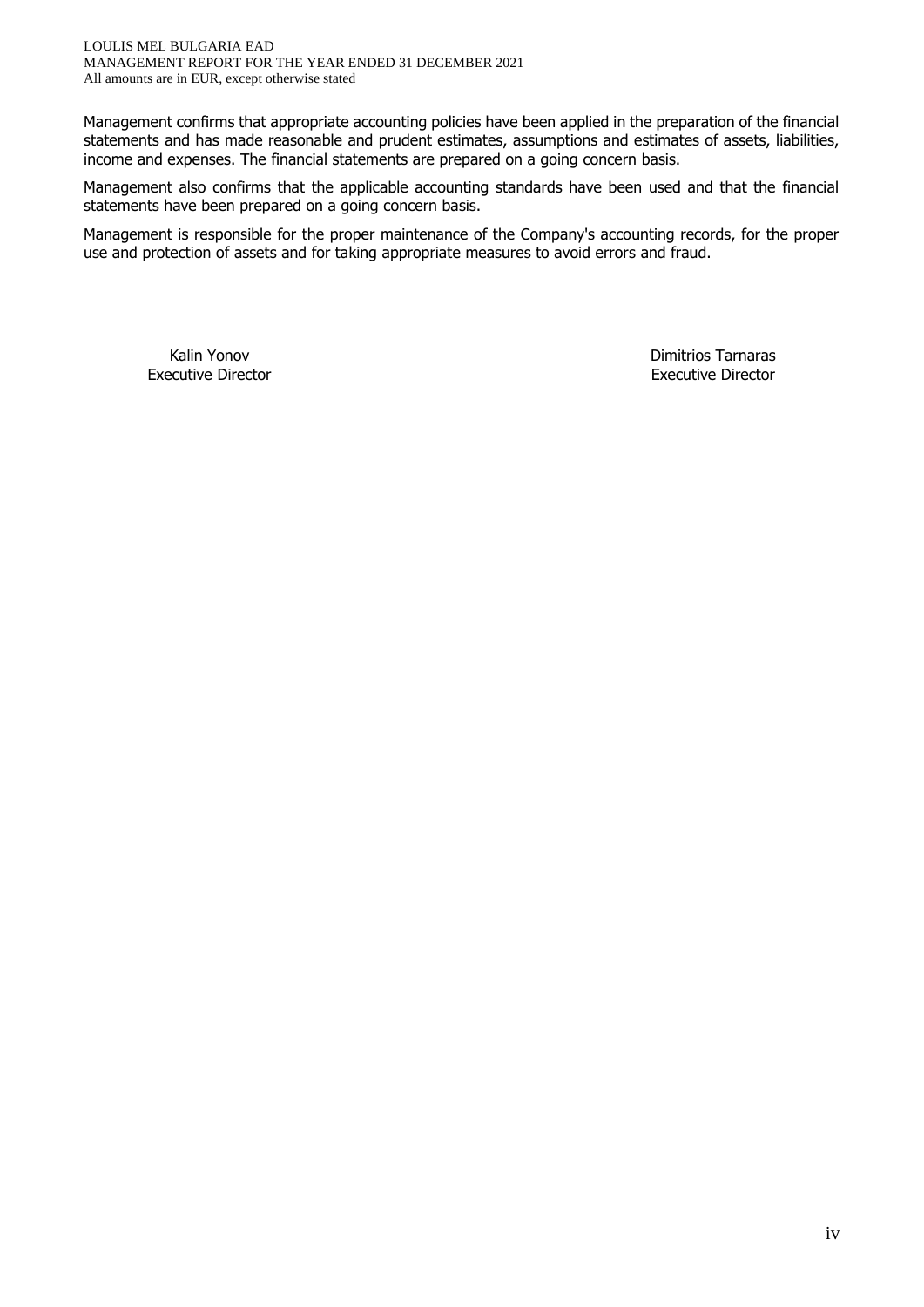Management confirms that appropriate accounting policies have been applied in the preparation of the financial statements and has made reasonable and prudent estimates, assumptions and estimates of assets, liabilities, income and expenses. The financial statements are prepared on a going concern basis.

Management also confirms that the applicable accounting standards have been used and that the financial statements have been prepared on a going concern basis.

Management is responsible for the proper maintenance of the Company's accounting records, for the proper use and protection of assets and for taking appropriate measures to avoid errors and fraud.

Kalin Yonov **Dimitrios Tarnaras** Executive Director **Executive Director** Executive Director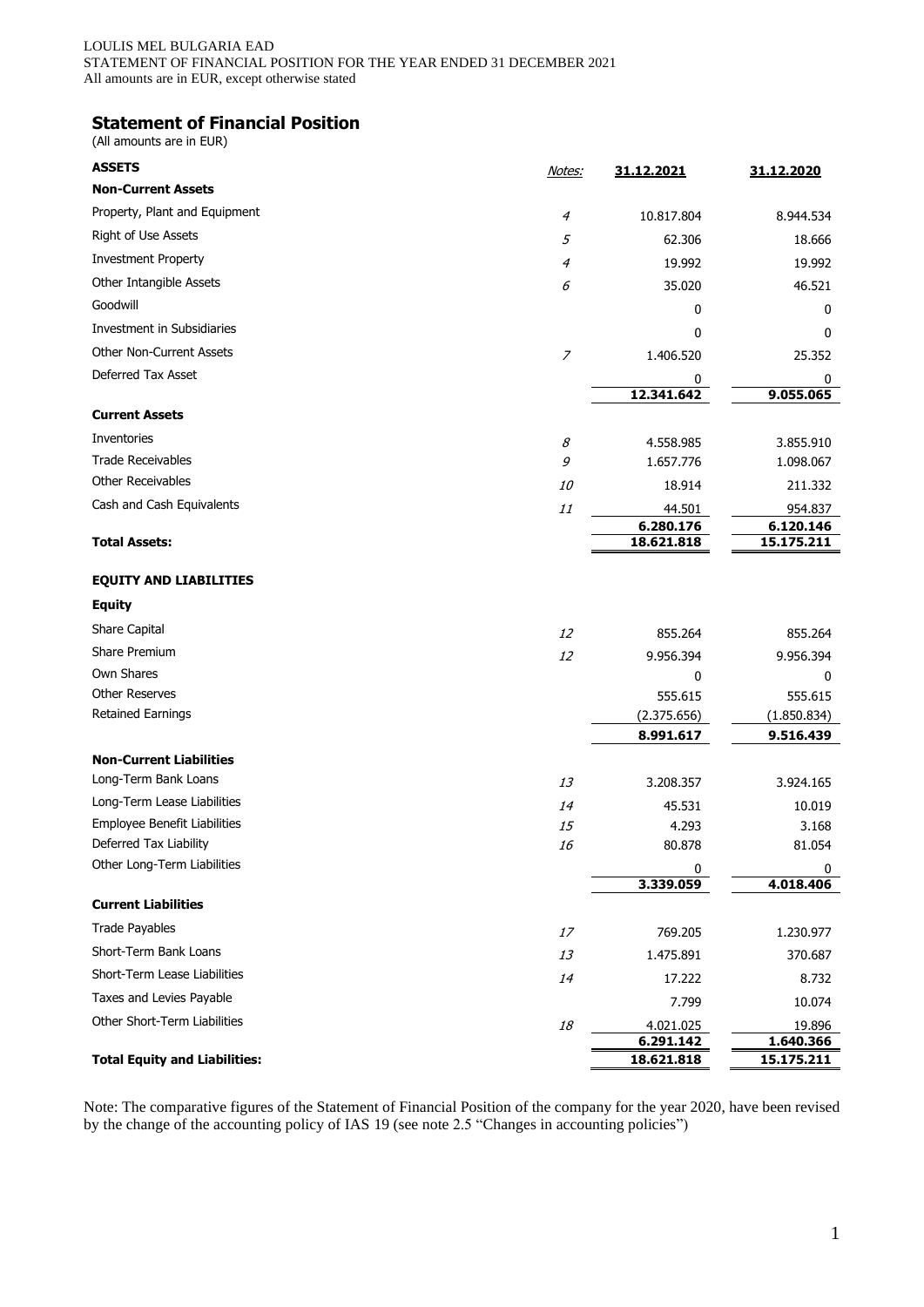## **Statement of Financial Position**

(All amounts are in EUR)

| <b>ASSETS</b>                                         | Notes:         | 31.12.2021             | 31.12.2020          |
|-------------------------------------------------------|----------------|------------------------|---------------------|
| <b>Non-Current Assets</b>                             |                |                        |                     |
| Property, Plant and Equipment                         | 4              | 10.817.804             | 8.944.534           |
| Right of Use Assets                                   | 5              | 62.306                 | 18.666              |
| <b>Investment Property</b>                            | 4              | 19.992                 | 19.992              |
| Other Intangible Assets                               | 6              | 35.020                 | 46.521              |
| Goodwill                                              |                | 0                      | 0                   |
| Investment in Subsidiaries                            |                | 0                      | 0                   |
| <b>Other Non-Current Assets</b>                       | $\overline{z}$ | 1.406.520              | 25.352              |
| Deferred Tax Asset                                    |                | 0                      | 0                   |
|                                                       |                | 12.341.642             | 9.055.065           |
| <b>Current Assets</b>                                 |                |                        |                     |
| Inventories                                           | 8              | 4.558.985              | 3.855.910           |
| <b>Trade Receivables</b>                              | 9              | 1.657.776              | 1.098.067           |
| <b>Other Receivables</b>                              | <i>10</i>      | 18.914                 | 211.332             |
| Cash and Cash Equivalents                             | 11             | 44.501                 | 954.837             |
|                                                       |                | 6.280.176              | 6.120.146           |
| <b>Total Assets:</b>                                  |                | 18.621.818             | 15.175.211          |
| <b>EQUITY AND LIABILITIES</b>                         |                |                        |                     |
| <b>Equity</b>                                         |                |                        |                     |
| Share Capital                                         | 12             | 855.264                | 855.264             |
| Share Premium                                         | 12             | 9.956.394              | 9.956.394           |
| Own Shares                                            |                | 0                      | 0                   |
| <b>Other Reserves</b>                                 |                | 555.615                | 555.615             |
| Retained Earnings                                     |                | (2.375.656)            | (1.850.834)         |
|                                                       |                | 8.991.617              | 9.516.439           |
| <b>Non-Current Liabilities</b>                        |                |                        |                     |
| Long-Term Bank Loans                                  | 13             | 3.208.357              | 3.924.165           |
| Long-Term Lease Liabilities                           | 14             | 45.531                 | 10.019              |
| Employee Benefit Liabilities                          | 15             | 4.293                  | 3.168               |
| Deferred Tax Liability<br>Other Long-Term Liabilities | 16             | 80.878                 | 81.054              |
|                                                       |                | 0<br>3.339.059         | 0<br>4.018.406      |
| <b>Current Liabilities</b>                            |                |                        |                     |
| <b>Trade Payables</b>                                 | 17             |                        |                     |
| Short-Term Bank Loans                                 |                | 769.205                | 1.230.977           |
| Short-Term Lease Liabilities                          | 13             | 1.475.891              | 370.687             |
| Taxes and Levies Payable                              | 14             | 17.222                 | 8.732               |
| Other Short-Term Liabilities                          |                | 7.799                  | 10.074              |
|                                                       | 18             | 4.021.025<br>6.291.142 | 19.896<br>1.640.366 |
| <b>Total Equity and Liabilities:</b>                  |                | 18.621.818             | 15.175.211          |

Note: The comparative figures of the Statement of Financial Position of the company for the year 2020, have been revised by the change of the accounting policy of IAS 19 (see note 2.5 "Changes in accounting policies")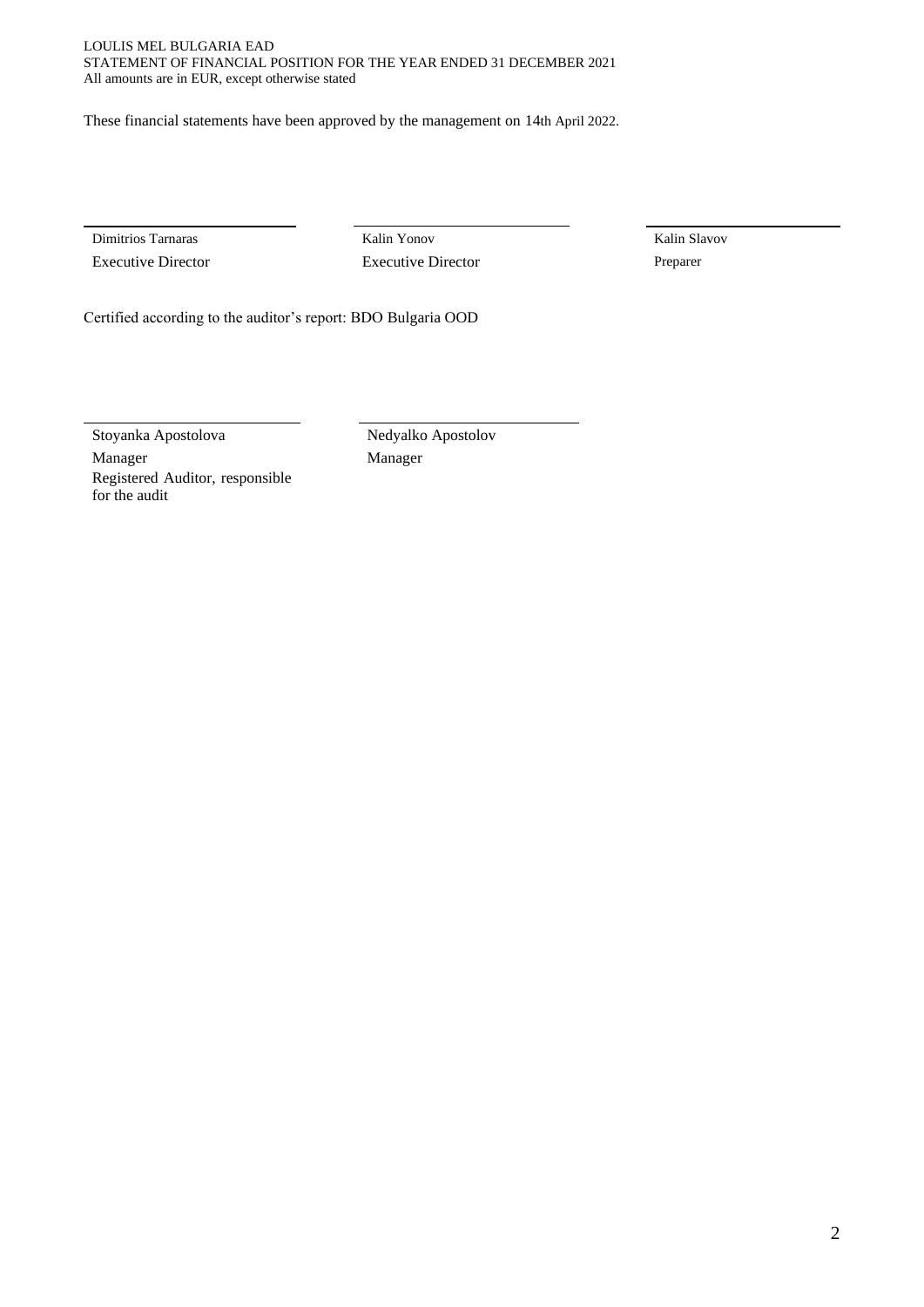#### LOULIS MEL BULGARIA EAD STATEMENT OF FINANCIAL POSITION FOR THE YEAR ENDED 31 DECEMBER 2021 All amounts are in EUR, except otherwise stated

These financial statements have been approved by the management on 14th April 2022.

Executive Director Executive Director Preparer

Dimitrios Tarnaras Kalin Yonov Kalin Slavov

Certified according to the auditor's report: BDO Bulgaria OOD

Stoyanka Apostolova Nedyalko Apostolov Manager Manager Manager Registered Auditor, responsible for the audit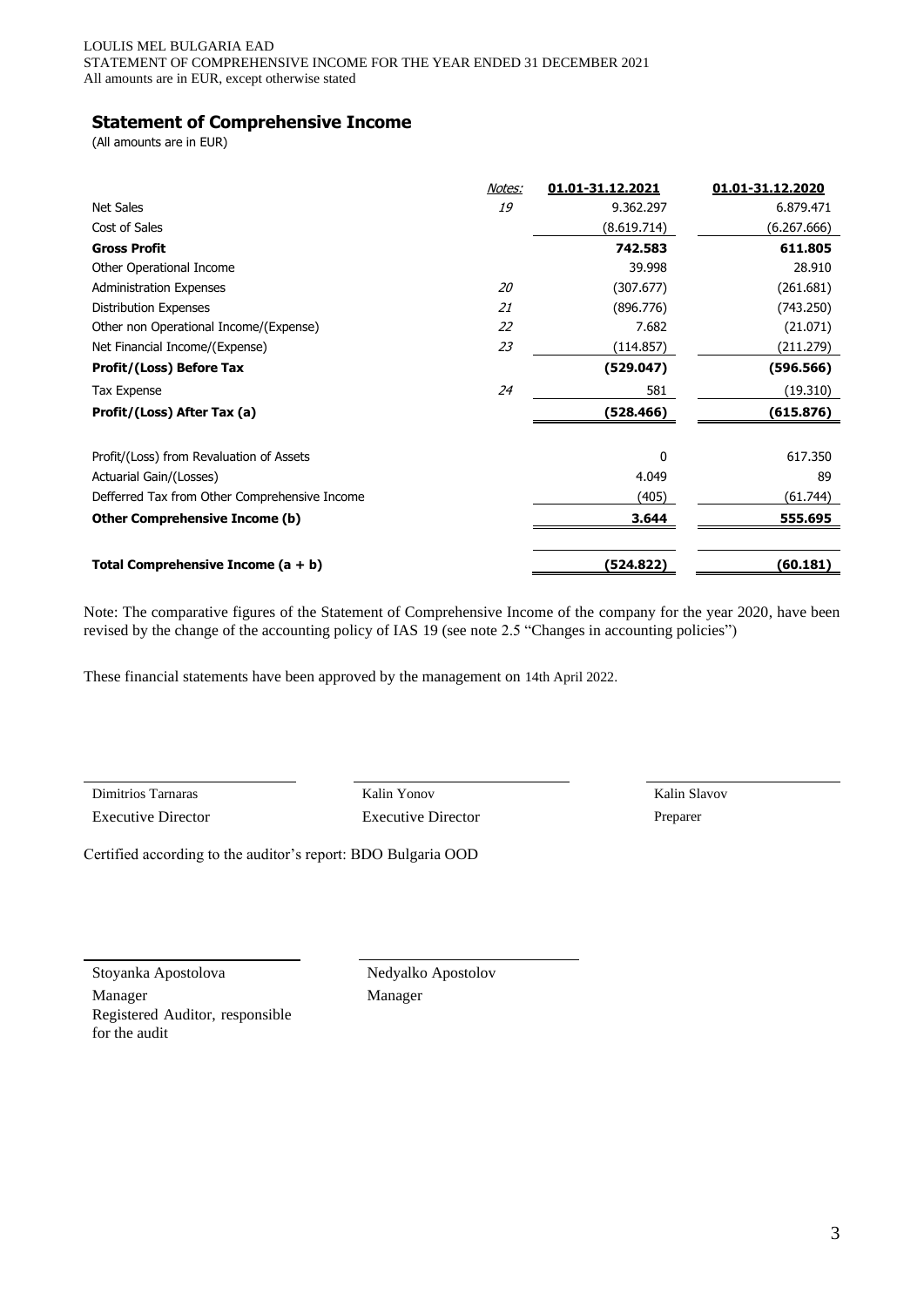## **Statement of Comprehensive Income**

(All amounts are in EUR)

|                                               | Notes: | 01.01-31.12.2021 | 01.01-31.12.2020 |
|-----------------------------------------------|--------|------------------|------------------|
| <b>Net Sales</b>                              | 19     | 9.362.297        | 6.879.471        |
| Cost of Sales                                 |        | (8.619.714)      | (6.267.666)      |
| <b>Gross Profit</b>                           |        | 742.583          | 611.805          |
| Other Operational Income                      |        | 39.998           | 28.910           |
| <b>Administration Expenses</b>                | 20     | (307.677)        | (261.681)        |
| Distribution Expenses                         | 21     | (896.776)        | (743.250)        |
| Other non Operational Income/(Expense)        | 22     | 7.682            | (21.071)         |
| Net Financial Income/(Expense)                | 23     | (114.857)        | (211.279)        |
| <b>Profit/(Loss) Before Tax</b>               |        | (529.047)        | (596.566)        |
| Tax Expense                                   | 24     | 581              | (19.310)         |
| Profit/(Loss) After Tax (a)                   |        | (528.466)        | (615.876)        |
| Profit/(Loss) from Revaluation of Assets      |        | $\Omega$         | 617.350          |
| Actuarial Gain/(Losses)                       |        | 4.049            | 89               |
| Defferred Tax from Other Comprehensive Income |        | (405)            | (61.744)         |
| <b>Other Comprehensive Income (b)</b>         |        | 3.644            | 555.695          |
| Total Comprehensive Income $(a + b)$          |        | (524.822)        | (60.181)         |

Note: The comparative figures of the Statement of Comprehensive Income of the company for the year 2020, have been revised by the change of the accounting policy of IAS 19 (see note 2.5 "Changes in accounting policies")

These financial statements have been approved by the management on 14th April 2022.

Executive Director Executive Director Preparer

Dimitrios Tarnaras Kalin Yonov Kalin Slavov

Certified according to the auditor's report: BDO Bulgaria OOD

Stoyanka Apostolova Nedyalko Apostolov

Manager Manager Manager Registered Auditor, responsible for the audit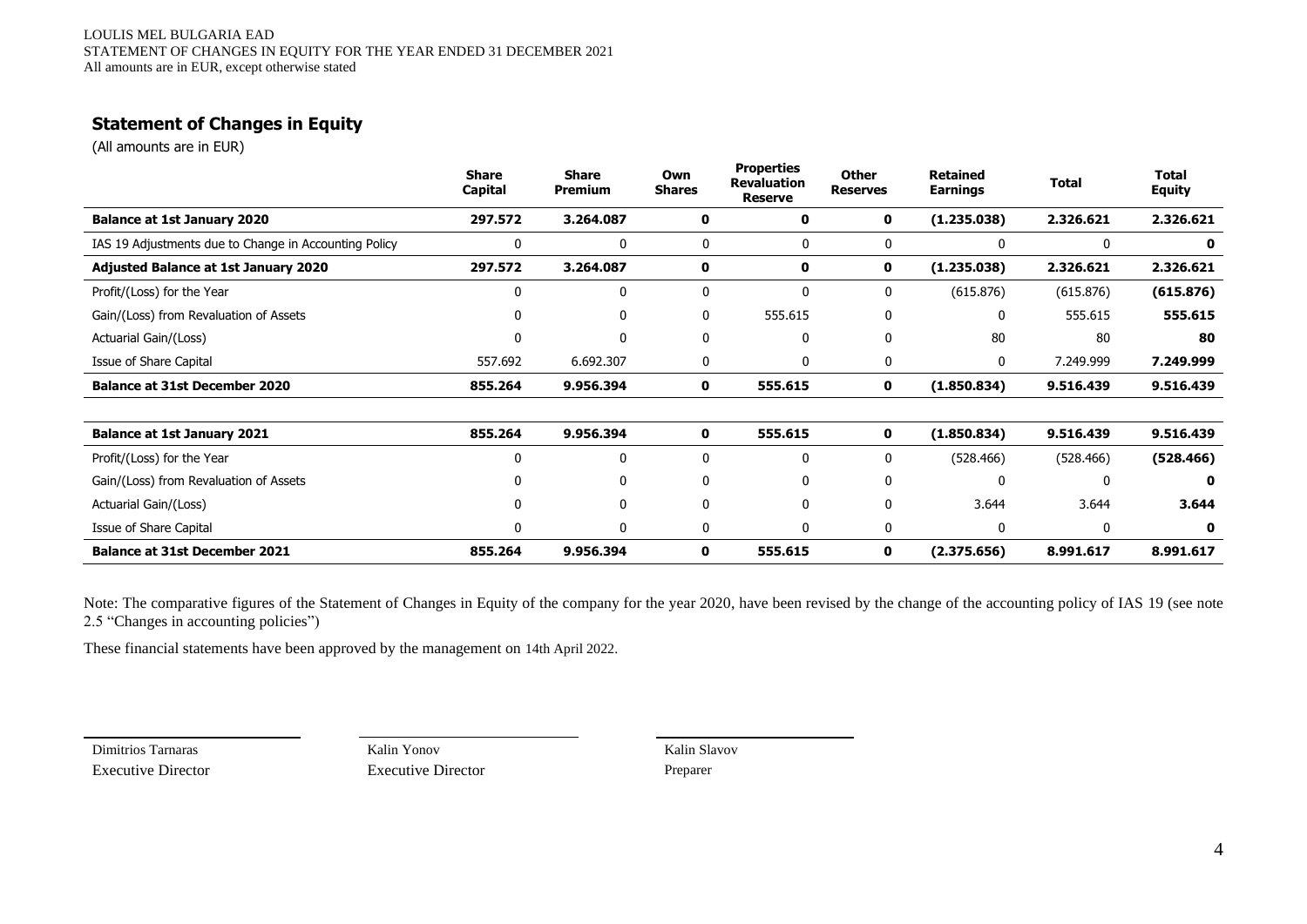# **Statement of Changes in Equity**

(All amounts are in EUR)

|                                                       | <b>Share</b><br><b>Capital</b> | <b>Share</b><br><b>Premium</b> | Own<br><b>Shares</b> | <b>Properties</b><br><b>Revaluation</b><br><b>Reserve</b> | <b>Other</b><br><b>Reserves</b> | <b>Retained</b><br><b>Earnings</b> | <b>Total</b> | <b>Total</b><br><b>Equity</b> |
|-------------------------------------------------------|--------------------------------|--------------------------------|----------------------|-----------------------------------------------------------|---------------------------------|------------------------------------|--------------|-------------------------------|
| <b>Balance at 1st January 2020</b>                    | 297.572                        | 3.264.087                      | 0                    | 0                                                         | 0                               | (1.235.038)                        | 2.326.621    | 2.326.621                     |
| IAS 19 Adjustments due to Change in Accounting Policy | 0                              | $\mathbf 0$                    | 0                    | 0                                                         | 0                               | $\mathbf{0}$                       | 0            | 0                             |
| <b>Adjusted Balance at 1st January 2020</b>           | 297.572                        | 3.264.087                      | 0                    | 0                                                         | 0                               | (1.235.038)                        | 2.326.621    | 2.326.621                     |
| Profit/(Loss) for the Year                            | 0                              | 0                              | 0                    | 0                                                         | 0                               | (615.876)                          | (615.876)    | (615.876)                     |
| Gain/(Loss) from Revaluation of Assets                | 0                              | 0                              | 0                    | 555.615                                                   | 0                               | 0                                  | 555.615      | 555.615                       |
| Actuarial Gain/(Loss)                                 | 0                              | $\mathbf 0$                    | 0                    | 0                                                         | 0                               | 80                                 | 80           | 80                            |
| Issue of Share Capital                                | 557.692                        | 6.692.307                      | 0                    | 0                                                         | 0                               | 0                                  | 7.249.999    | 7.249.999                     |
| <b>Balance at 31st December 2020</b>                  | 855.264                        | 9.956.394                      | 0                    | 555.615                                                   | 0                               | (1.850.834)                        | 9.516.439    | 9.516.439                     |
|                                                       |                                |                                |                      |                                                           |                                 |                                    |              |                               |
| <b>Balance at 1st January 2021</b>                    | 855.264                        | 9.956.394                      | $\mathbf 0$          | 555.615                                                   | $\mathbf 0$                     | (1.850.834)                        | 9.516.439    | 9.516.439                     |
| Profit/(Loss) for the Year                            | 0                              | 0                              | 0                    | 0                                                         | 0                               | (528.466)                          | (528.466)    | (528.466)                     |
| Gain/(Loss) from Revaluation of Assets                | 0                              | 0                              | 0                    | 0                                                         | 0                               | $\mathbf 0$                        | 0            | $\mathbf{0}$                  |
| Actuarial Gain/(Loss)                                 | 0                              | 0                              | 0                    | 0                                                         | 0                               | 3.644                              | 3.644        | 3.644                         |
| Issue of Share Capital                                | 0                              | 0                              | 0                    | 0                                                         | 0                               | $\mathbf{0}$                       | $\Omega$     | $\mathbf 0$                   |
| <b>Balance at 31st December 2021</b>                  | 855.264                        | 9.956.394                      | 0                    | 555.615                                                   | 0                               | (2.375.656)                        | 8.991.617    | 8.991.617                     |

Note: The comparative figures of the Statement of Changes in Equity of the company for the year 2020, have been revised by the change of the accounting policy of IAS 19 (see note 2.5 "Changes in accounting policies")

These financial statements have been approved by the management on 14th April 2022.

Dimitrios Tarnaras Kalin Yonov Kalin Slavov Executive Director Executive Director Preparer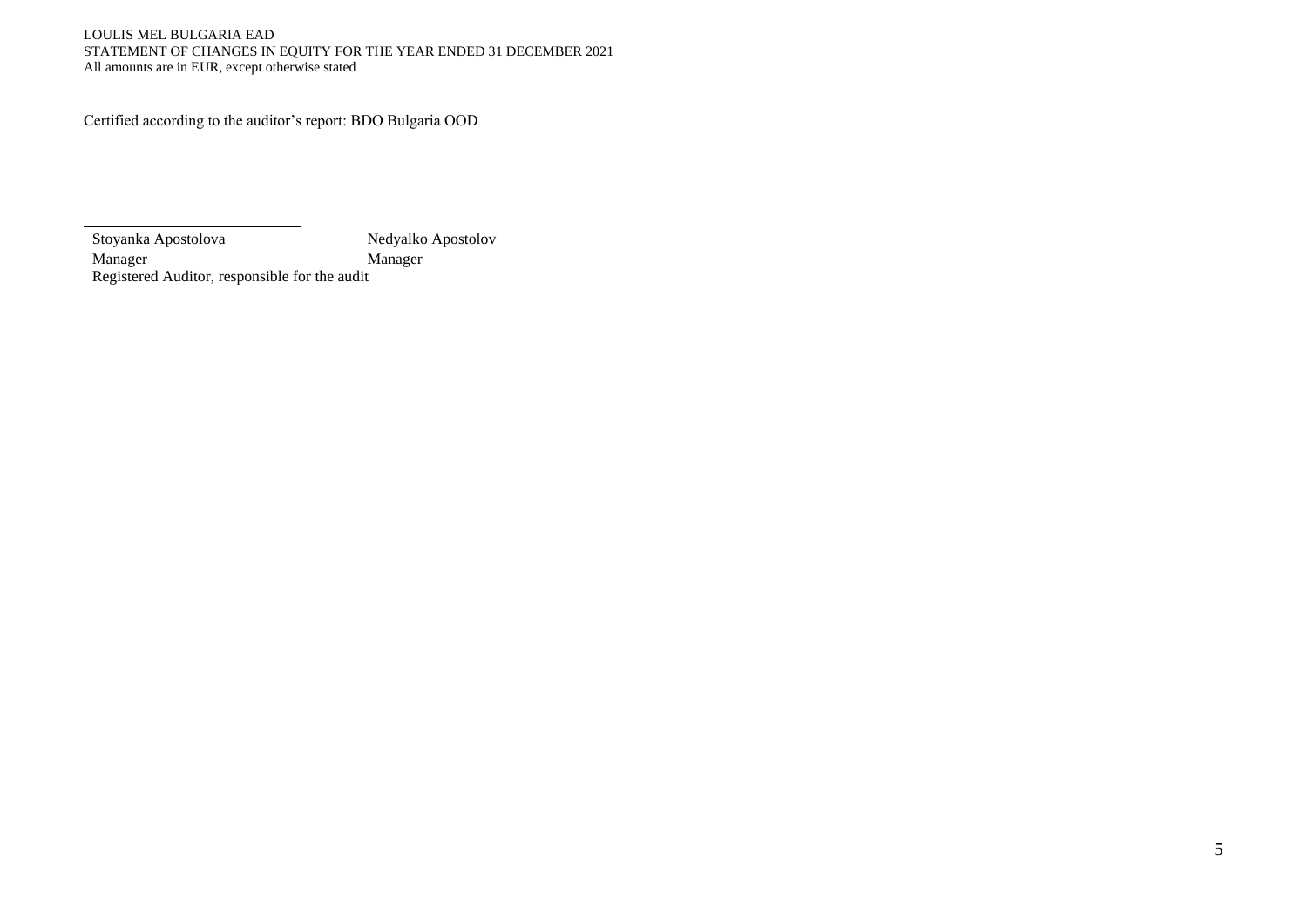#### LOULIS MEL BULGARIA EAD STATEMENT OF CHANGES IN EQUITY FOR THE YEAR ENDED 31 DECEMBER 2021 All amounts are in EUR, except otherwise stated

Certified according to the auditor's report: BDO Bulgaria OOD

Stoyanka Apostolova Nedyalko Apostolov Manager Manager Manager Registered Auditor, responsible for the audit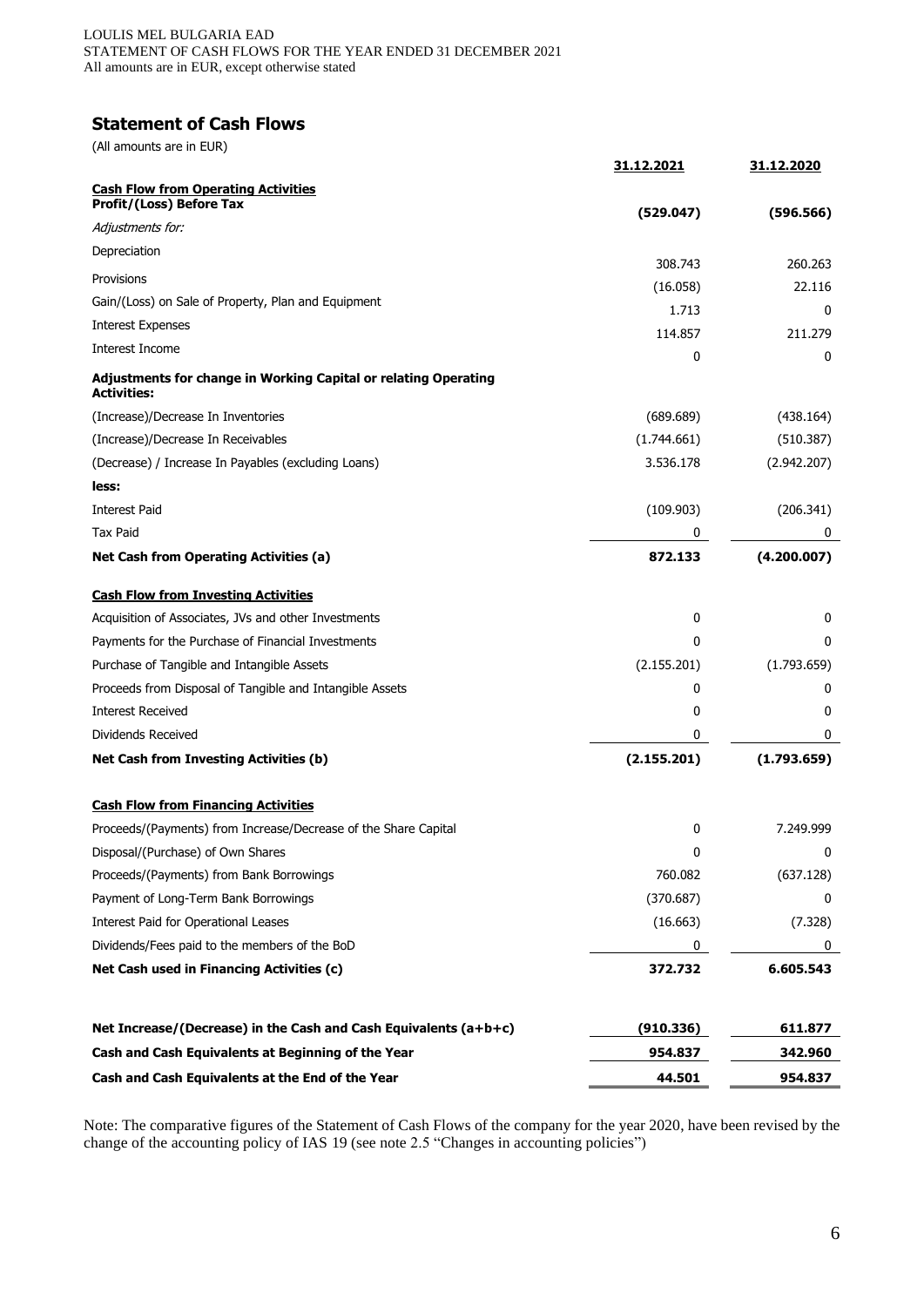# **Statement of Cash Flows**

(All amounts are in EUR)

|                                                                                       | <u>31.12.2021</u> | <u>31.12.2020</u> |
|---------------------------------------------------------------------------------------|-------------------|-------------------|
| <b>Cash Flow from Operating Activities</b>                                            |                   |                   |
| Profit/(Loss) Before Tax                                                              | (529.047)         | (596.566)         |
| Adjustments for:<br>Depreciation                                                      |                   |                   |
|                                                                                       | 308.743           | 260.263           |
| Provisions                                                                            | (16.058)          | 22.116            |
| Gain/(Loss) on Sale of Property, Plan and Equipment                                   | 1.713             | 0                 |
| Interest Expenses                                                                     | 114.857           | 211.279           |
| Interest Income                                                                       | 0                 | 0                 |
| Adjustments for change in Working Capital or relating Operating<br><b>Activities:</b> |                   |                   |
| (Increase)/Decrease In Inventories                                                    | (689.689)         | (438.164)         |
| (Increase)/Decrease In Receivables                                                    | (1.744.661)       | (510.387)         |
| (Decrease) / Increase In Payables (excluding Loans)                                   | 3.536.178         | (2.942.207)       |
| less:                                                                                 |                   |                   |
| Interest Paid                                                                         | (109.903)         | (206.341)         |
| Tax Paid                                                                              | 0                 | 0                 |
| <b>Net Cash from Operating Activities (a)</b>                                         | 872.133           | (4.200.007)       |
| <b>Cash Flow from Investing Activities</b>                                            |                   |                   |
| Acquisition of Associates, JVs and other Investments                                  | 0                 | 0                 |
| Payments for the Purchase of Financial Investments                                    | 0                 | 0                 |
| Purchase of Tangible and Intangible Assets                                            | (2.155.201)       | (1.793.659)       |
| Proceeds from Disposal of Tangible and Intangible Assets                              | 0                 | 0                 |
| <b>Interest Received</b>                                                              | 0                 | 0                 |
| Dividends Received                                                                    | 0                 | 0                 |
| <b>Net Cash from Investing Activities (b)</b>                                         | (2.155.201)       | (1.793.659)       |
| <b>Cash Flow from Financing Activities</b>                                            |                   |                   |
| Proceeds/(Payments) from Increase/Decrease of the Share Capital                       | 0                 | 7.249.999         |
| Disposal/(Purchase) of Own Shares                                                     | 0                 | 0                 |
| Proceeds/(Payments) from Bank Borrowings                                              | 760.082           | (637.128)         |
| Payment of Long-Term Bank Borrowings                                                  | (370.687)         | 0                 |
| Interest Paid for Operational Leases                                                  | (16.663)          | (7.328)           |
| Dividends/Fees paid to the members of the BoD                                         | 0                 | 0                 |
| Net Cash used in Financing Activities (c)                                             | 372.732           | 6.605.543         |
| Net Increase/(Decrease) in the Cash and Cash Equivalents $(a+b+c)$                    | (910.336)         | 611.877           |
| Cash and Cash Equivalents at Beginning of the Year                                    | 954.837           | 342.960           |
| Cash and Cash Equivalents at the End of the Year                                      | 44.501            | 954.837           |
|                                                                                       |                   |                   |

Note: The comparative figures of the Statement of Cash Flows of the company for the year 2020, have been revised by the change of the accounting policy of IAS 19 (see note 2.5 "Changes in accounting policies")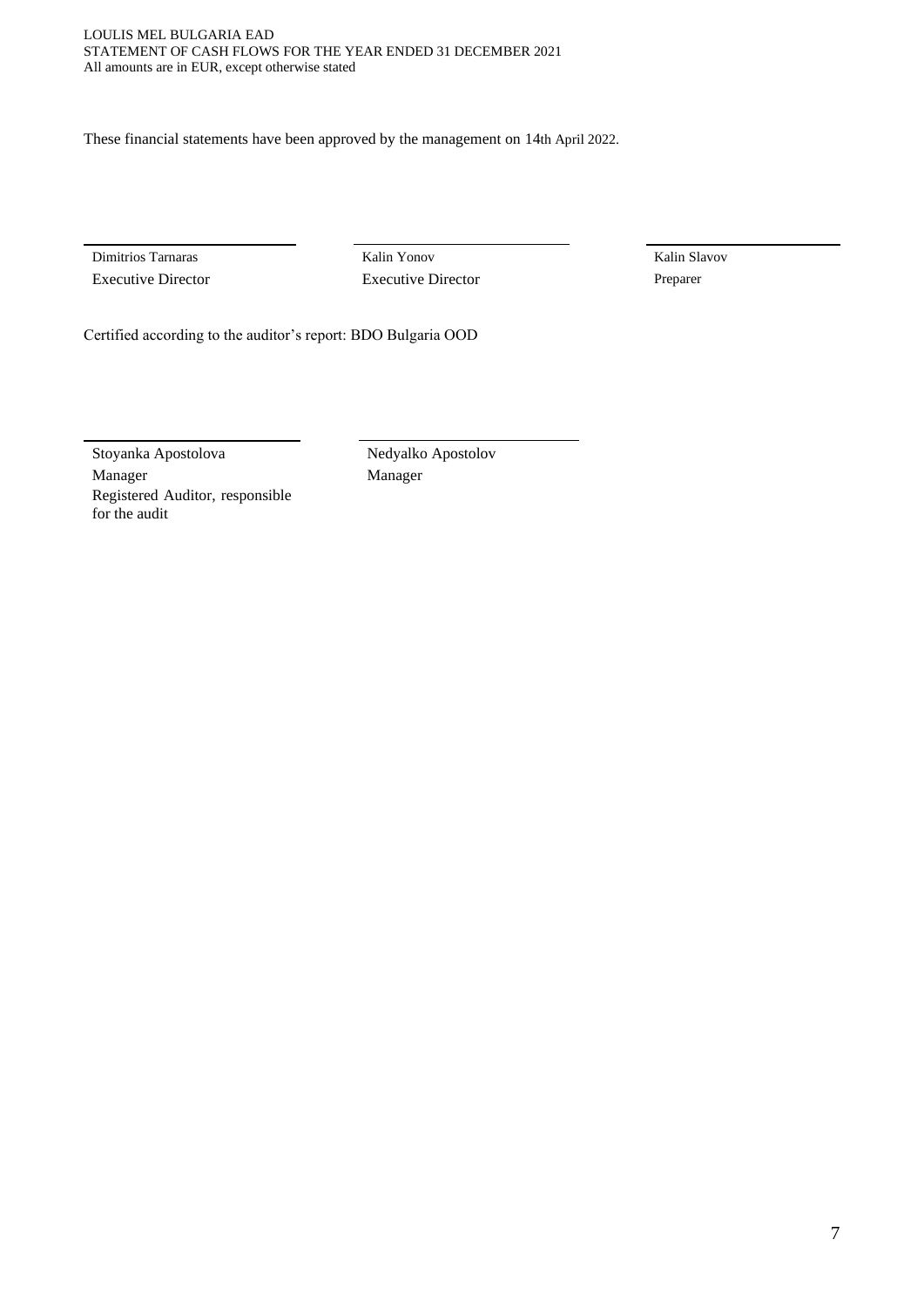These financial statements have been approved by the management on 14th April 2022.

Dimitrios Tarnaras Kalin Yonov Kalin Slavov Executive Director Executive Director Preparer

Certified according to the auditor's report: BDO Bulgaria OOD

Stoyanka Apostolova Nedyalko Apostolov Manager Manager Manager Registered Auditor, responsible for the audit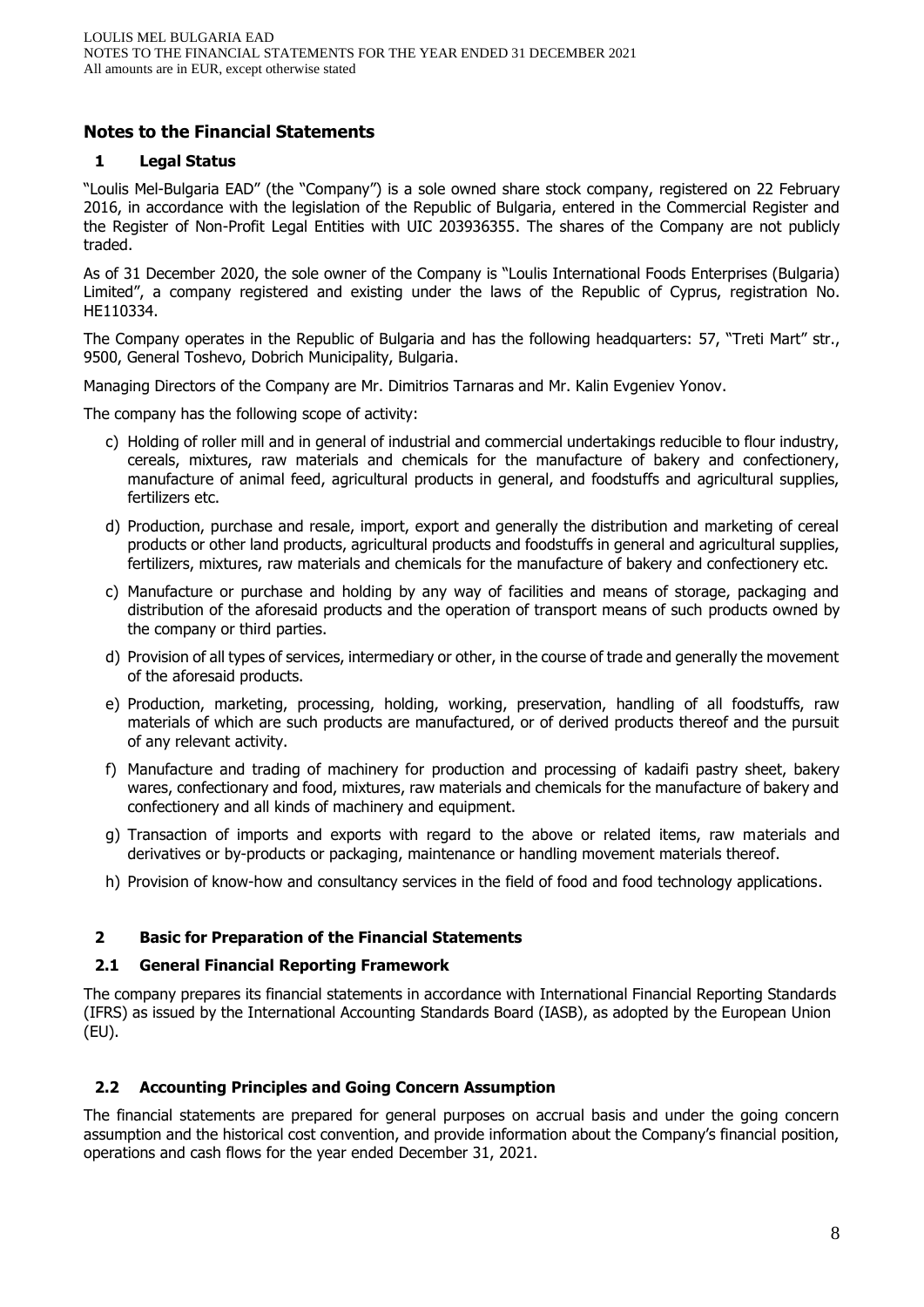## **Notes to the Financial Statements**

## **1 Legal Status**

"Loulis Mel-Bulgaria EAD" (the "Company") is a sole owned share stock company, registered on 22 February 2016, in accordance with the legislation of the Republic of Bulgaria, entered in the Commercial Register and the Register of Non-Profit Legal Entities with UIC 203936355. The shares of the Company are not publicly traded.

As of 31 December 2020, the sole owner of the Company is "Loulis International Foods Enterprises (Bulgaria) Limited", a company registered and existing under the laws of the Republic of Cyprus, registration No. HE110334.

The Company operates in the Republic of Bulgaria and has the following headquarters: 57, "Treti Mart" str., 9500, General Toshevo, Dobrich Municipality, Bulgaria.

Managing Directors of the Company are Mr. Dimitrios Tarnaras and Mr. Kalin Evgeniev Yonov.

The company has the following scope of activity:

- c) Holding of roller mill and in general of industrial and commercial undertakings reducible to flour industry, cereals, mixtures, raw materials and chemicals for the manufacture of bakery and confectionery, manufacture of animal feed, agricultural products in general, and foodstuffs and agricultural supplies, fertilizers etc.
- d) Production, purchase and resale, import, export and generally the distribution and marketing of cereal products or other land products, agricultural products and foodstuffs in general and agricultural supplies, fertilizers, mixtures, raw materials and chemicals for the manufacture of bakery and confectionery etc.
- c) Manufacture or purchase and holding by any way of facilities and means of storage, packaging and distribution of the aforesaid products and the operation of transport means of such products owned by the company or third parties.
- d) Provision of all types of services, intermediary or other, in the course of trade and generally the movement of the aforesaid products.
- e) Production, marketing, processing, holding, working, preservation, handling of all foodstuffs, raw materials of which are such products are manufactured, or of derived products thereof and the pursuit of any relevant activity.
- f) Manufacture and trading of machinery for production and processing of kadaifi pastry sheet, bakery wares, confectionary and food, mixtures, raw materials and chemicals for the manufacture of bakery and confectionery and all kinds of machinery and equipment.
- g) Transaction of imports and exports with regard to the above or related items, raw materials and derivatives or by-products or packaging, maintenance or handling movement materials thereof.
- h) Provision of know-how and consultancy services in the field of food and food technology applications.

## **2 Basic for Preparation of the Financial Statements**

#### **2.1 General Financial Reporting Framework**

The company prepares its financial statements in accordance with International Financial Reporting Standards (IFRS) as issued by the International Accounting Standards Board (IASB), as adopted by the European Union (EU).

#### **2.2 Accounting Principles and Going Concern Assumption**

The financial statements are prepared for general purposes on accrual basis and under the going concern assumption and the historical cost convention, and provide information about the Company's financial position, operations and cash flows for the year ended December 31, 2021.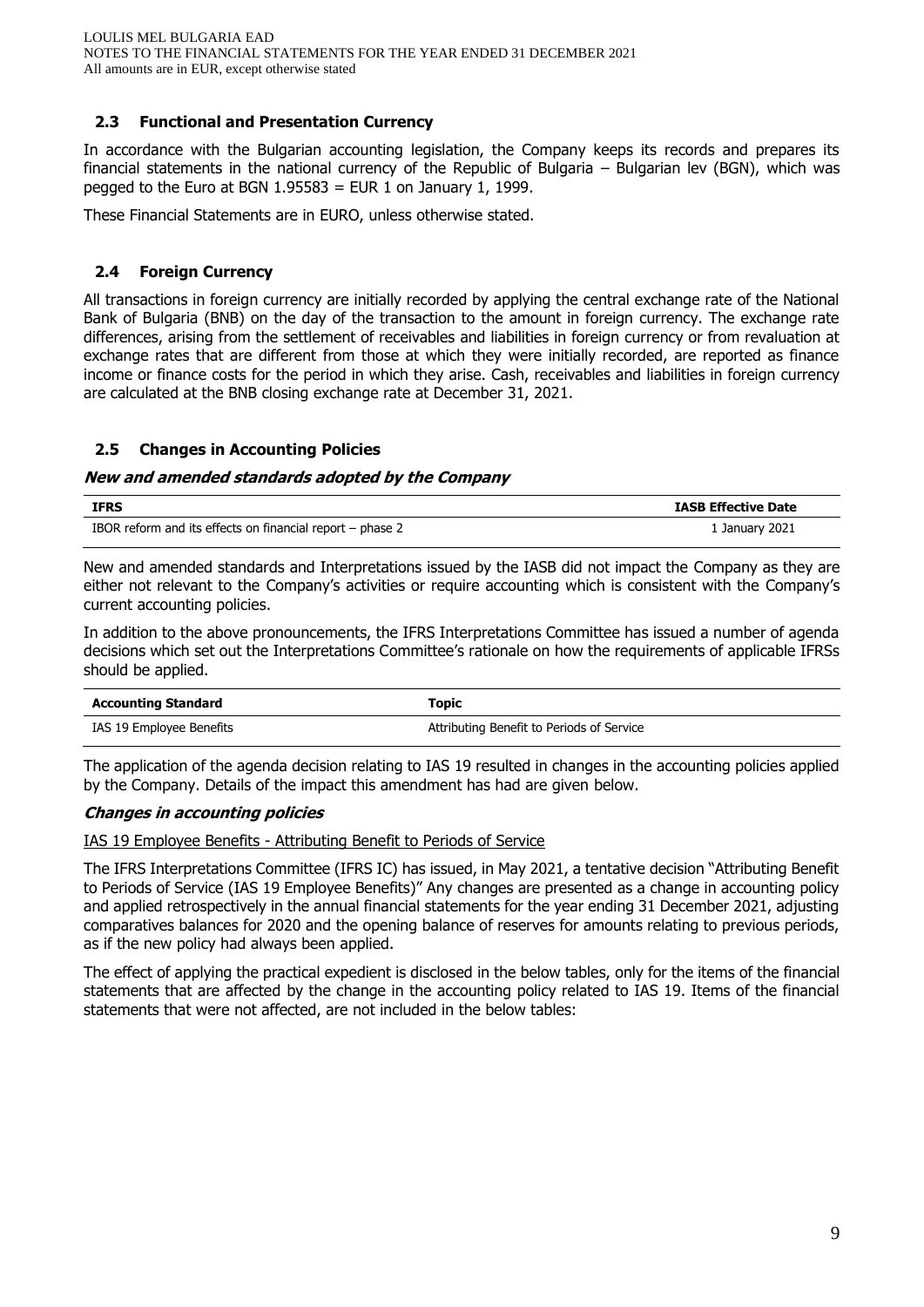## **2.3 Functional and Presentation Currency**

In accordance with the Bulgarian accounting legislation, the Company keeps its records and prepares its financial statements in the national currency of the Republic of Bulgaria – Bulgarian lev (BGN), which was pegged to the Euro at BGN  $1.95583$  = EUR 1 on January 1, 1999.

These Financial Statements are in EURO, unless otherwise stated.

## **2.4 Foreign Currency**

All transactions in foreign currency are initially recorded by applying the central exchange rate of the National Bank of Bulgaria (BNB) on the day of the transaction to the amount in foreign currency. The exchange rate differences, arising from the settlement of receivables and liabilities in foreign currency or from revaluation at exchange rates that are different from those at which they were initially recorded, are reported as finance income or finance costs for the period in which they arise. Cash, receivables and liabilities in foreign currency are calculated at the BNB closing exchange rate at December 31, 2021.

## **2.5 Changes in Accounting Policies**

#### **New and amended standards adopted by the Company**

| <b>IFRS</b>                                               | <b>IASB Effective Date</b> |
|-----------------------------------------------------------|----------------------------|
| IBOR reform and its effects on financial report – phase 2 | 1 January 2021             |

New and amended standards and Interpretations issued by the IASB did not impact the Company as they are either not relevant to the Company's activities or require accounting which is consistent with the Company's current accounting policies.

In addition to the above pronouncements, the IFRS Interpretations Committee has issued a number of agenda decisions which set out the Interpretations Committee's rationale on how the requirements of applicable IFRSs should be applied.

| <b>Accounting Standard</b> | Topic                                     |
|----------------------------|-------------------------------------------|
| IAS 19 Employee Benefits   | Attributing Benefit to Periods of Service |

The application of the agenda decision relating to IAS 19 resulted in changes in the accounting policies applied by the Company. Details of the impact this amendment has had are given below.

#### **Changes in accounting policies**

IAS 19 Employee Benefits - Attributing Benefit to Periods of Service

The IFRS Interpretations Committee (IFRS IC) has issued, in May 2021, a tentative decision "Attributing Benefit to Periods of Service (IAS 19 Employee Benefits)" Any changes are presented as a change in accounting policy and applied retrospectively in the annual financial statements for the year ending 31 December 2021, adjusting comparatives balances for 2020 and the opening balance of reserves for amounts relating to previous periods, as if the new policy had always been applied.

The effect of applying the practical expedient is disclosed in the below tables, only for the items of the financial statements that are affected by the change in the accounting policy related to IAS 19. Items of the financial statements that were not affected, are not included in the below tables: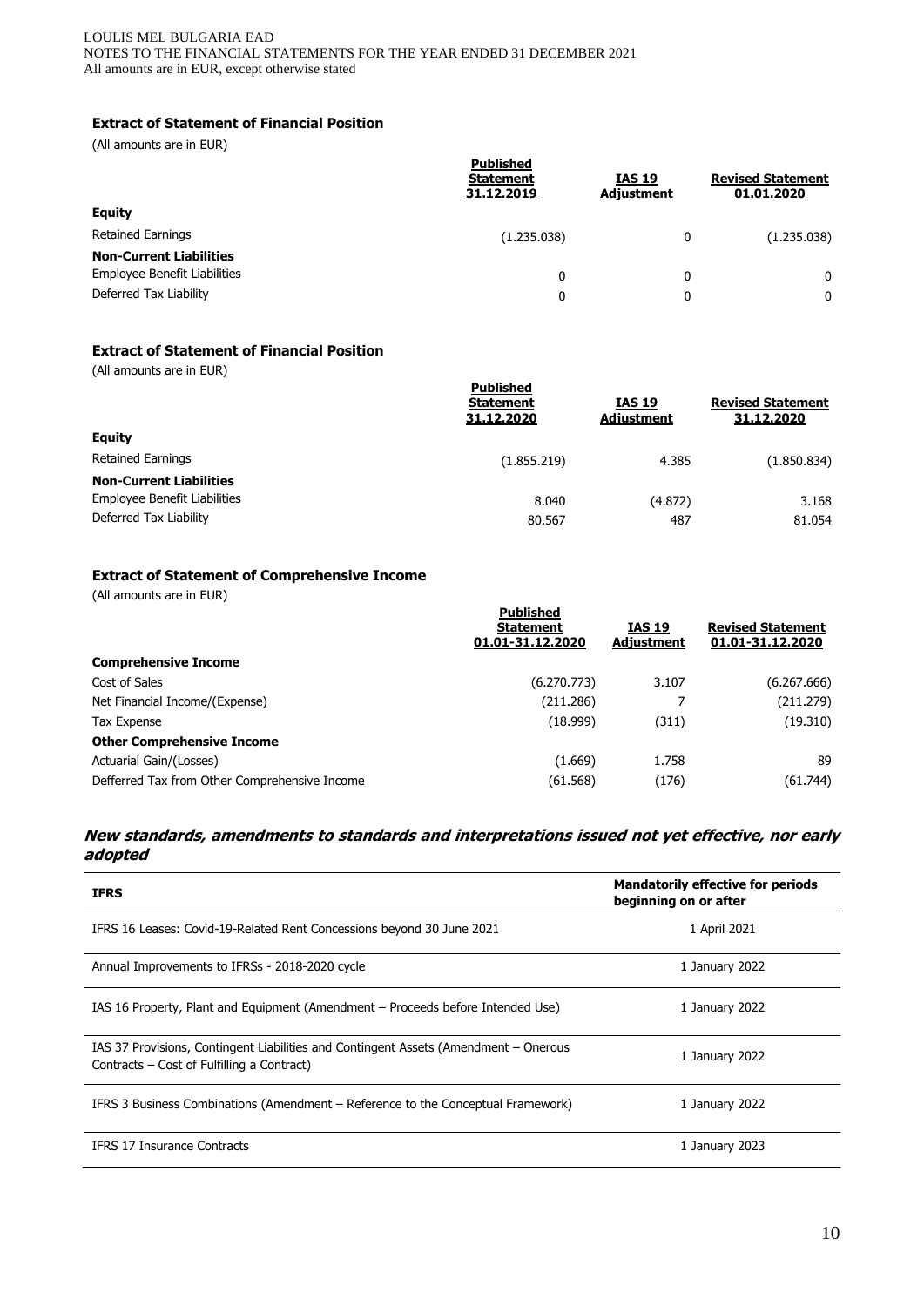#### LOULIS MEL BULGARIA EAD NOTES TO THE FINANCIAL STATEMENTS FOR THE YEAR ENDED 31 DECEMBER 2021 All amounts are in EUR, except otherwise stated

## **Extract of Statement of Financial Position**

(All amounts are in EUR)

|                                | Published<br><b>Statement</b><br>31.12.2019 | <b>IAS 19</b><br><b>Adjustment</b> | <b>Revised Statement</b><br>01.01.2020 |
|--------------------------------|---------------------------------------------|------------------------------------|----------------------------------------|
| <b>Equity</b>                  |                                             |                                    |                                        |
| <b>Retained Earnings</b>       | (1.235.038)                                 | 0                                  | (1.235.038)                            |
| <b>Non-Current Liabilities</b> |                                             |                                    |                                        |
| Employee Benefit Liabilities   | 0                                           | 0                                  | 0                                      |
| Deferred Tax Liability         | 0                                           | 0                                  | 0                                      |
|                                |                                             |                                    |                                        |

## **Extract of Statement of Financial Position**

(All amounts are in EUR)

| <b>Published</b><br><b>IAS 19</b><br><b>Revised Statement</b><br><b>Statement</b><br>31.12.2020<br>31.12.2020<br><b>Adjustment</b><br><b>Equity</b><br><b>Retained Earnings</b><br>(1.855.219)<br>4.385<br><b>Non-Current Liabilities</b><br>Employee Benefit Liabilities<br>8.040<br>(4.872)<br>Deferred Tax Liability<br>487<br>80.567 | $\frac{1}{2}$ announce are  Eq. |  |             |
|------------------------------------------------------------------------------------------------------------------------------------------------------------------------------------------------------------------------------------------------------------------------------------------------------------------------------------------|---------------------------------|--|-------------|
|                                                                                                                                                                                                                                                                                                                                          |                                 |  |             |
|                                                                                                                                                                                                                                                                                                                                          |                                 |  |             |
|                                                                                                                                                                                                                                                                                                                                          |                                 |  | (1.850.834) |
|                                                                                                                                                                                                                                                                                                                                          |                                 |  |             |
|                                                                                                                                                                                                                                                                                                                                          |                                 |  | 3.168       |
|                                                                                                                                                                                                                                                                                                                                          |                                 |  | 81.054      |

## **Extract of Statement of Comprehensive Income**

(All amounts are in EUR)

|                                               | <b>Published</b><br><b>Statement</b><br>01.01-31.12.2020 | <b>IAS 19</b><br><b>Adjustment</b> | <b>Revised Statement</b><br>01.01-31.12.2020 |
|-----------------------------------------------|----------------------------------------------------------|------------------------------------|----------------------------------------------|
| <b>Comprehensive Income</b>                   |                                                          |                                    |                                              |
| Cost of Sales                                 | (6.270.773)                                              | 3.107                              | (6.267.666)                                  |
| Net Financial Income/(Expense)                | (211.286)                                                |                                    | (211.279)                                    |
| Tax Expense                                   | (18.999)                                                 | (311)                              | (19.310)                                     |
| <b>Other Comprehensive Income</b>             |                                                          |                                    |                                              |
| Actuarial Gain/(Losses)                       | (1.669)                                                  | 1.758                              | 89                                           |
| Defferred Tax from Other Comprehensive Income | (61.568)                                                 | (176)                              | (61.744)                                     |

## **New standards, amendments to standards and interpretations issued not yet effective, nor early adopted**

| <b>IFRS</b>                                                                                                                        | <b>Mandatorily effective for periods</b><br>beginning on or after |
|------------------------------------------------------------------------------------------------------------------------------------|-------------------------------------------------------------------|
| IFRS 16 Leases: Covid-19-Related Rent Concessions beyond 30 June 2021                                                              | 1 April 2021                                                      |
| Annual Improvements to IFRSs - 2018-2020 cycle                                                                                     | 1 January 2022                                                    |
| IAS 16 Property, Plant and Equipment (Amendment – Proceeds before Intended Use)                                                    | 1 January 2022                                                    |
| IAS 37 Provisions, Contingent Liabilities and Contingent Assets (Amendment – Onerous<br>Contracts – Cost of Fulfilling a Contract) | 1 January 2022                                                    |
| IFRS 3 Business Combinations (Amendment – Reference to the Conceptual Framework)                                                   | 1 January 2022                                                    |
| <b>IFRS 17 Insurance Contracts</b>                                                                                                 | 1 January 2023                                                    |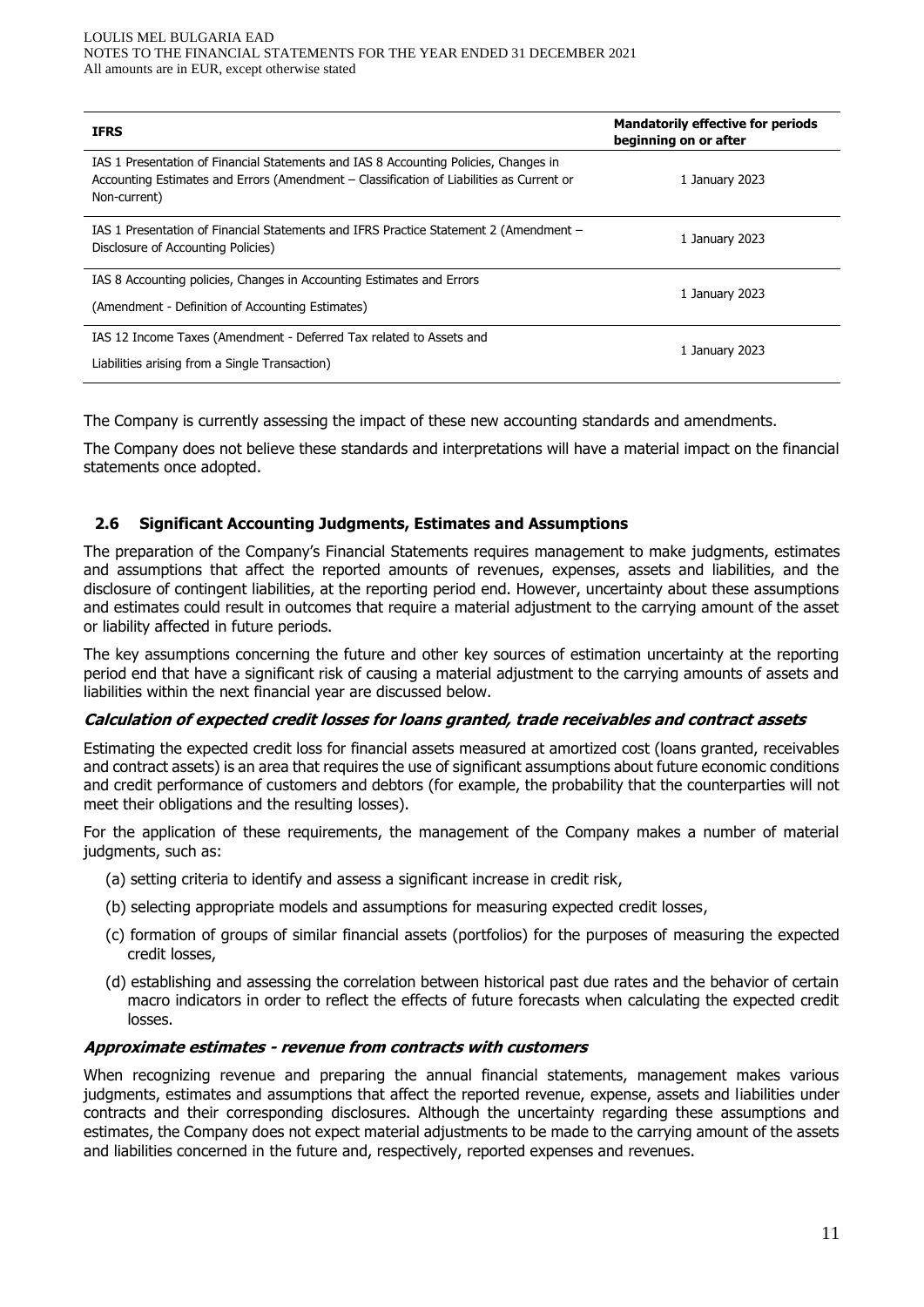| <b>IFRS</b>                                                                                                                                                                                      | <b>Mandatorily effective for periods</b><br>beginning on or after |
|--------------------------------------------------------------------------------------------------------------------------------------------------------------------------------------------------|-------------------------------------------------------------------|
| IAS 1 Presentation of Financial Statements and IAS 8 Accounting Policies, Changes in<br>Accounting Estimates and Errors (Amendment - Classification of Liabilities as Current or<br>Non-current) | 1 January 2023                                                    |
| IAS 1 Presentation of Financial Statements and IFRS Practice Statement 2 (Amendment –<br>Disclosure of Accounting Policies)                                                                      | 1 January 2023                                                    |
| IAS 8 Accounting policies, Changes in Accounting Estimates and Errors                                                                                                                            | 1 January 2023                                                    |
| (Amendment - Definition of Accounting Estimates)                                                                                                                                                 |                                                                   |
| IAS 12 Income Taxes (Amendment - Deferred Tax related to Assets and                                                                                                                              | 1 January 2023                                                    |
| Liabilities arising from a Single Transaction)                                                                                                                                                   |                                                                   |

The Company is currently assessing the impact of these new accounting standards and amendments.

The Company does not believe these standards and interpretations will have a material impact on the financial statements once adopted.

## **2.6 Significant Accounting Judgments, Estimates and Assumptions**

The preparation of the Company's Financial Statements requires management to make judgments, estimates and assumptions that affect the reported amounts of revenues, expenses, assets and liabilities, and the disclosure of contingent liabilities, at the reporting period end. However, uncertainty about these assumptions and estimates could result in outcomes that require a material adjustment to the carrying amount of the asset or liability affected in future periods.

The key assumptions concerning the future and other key sources of estimation uncertainty at the reporting period end that have a significant risk of causing a material adjustment to the carrying amounts of assets and liabilities within the next financial year are discussed below.

#### **Calculation of expected credit losses for loans granted, trade receivables and contract assets**

Estimating the expected credit loss for financial assets measured at amortized cost (loans granted, receivables and contract assets) is an area that requires the use of significant assumptions about future economic conditions and credit performance of customers and debtors (for example, the probability that the counterparties will not meet their obligations and the resulting losses).

For the application of these requirements, the management of the Company makes a number of material judgments, such as:

- (a) setting criteria to identify and assess a significant increase in credit risk,
- (b) selecting appropriate models and assumptions for measuring expected credit losses,
- (c) formation of groups of similar financial assets (portfolios) for the purposes of measuring the expected credit losses,
- (d) establishing and assessing the correlation between historical past due rates and the behavior of certain macro indicators in order to reflect the effects of future forecasts when calculating the expected credit losses.

#### **Approximate estimates - revenue from contracts with customers**

When recognizing revenue and preparing the annual financial statements, management makes various judgments, estimates and assumptions that affect the reported revenue, expense, assets and liabilities under contracts and their corresponding disclosures. Although the uncertainty regarding these assumptions and estimates, the Company does not expect material adjustments to be made to the carrying amount of the assets and liabilities concerned in the future and, respectively, reported expenses and revenues.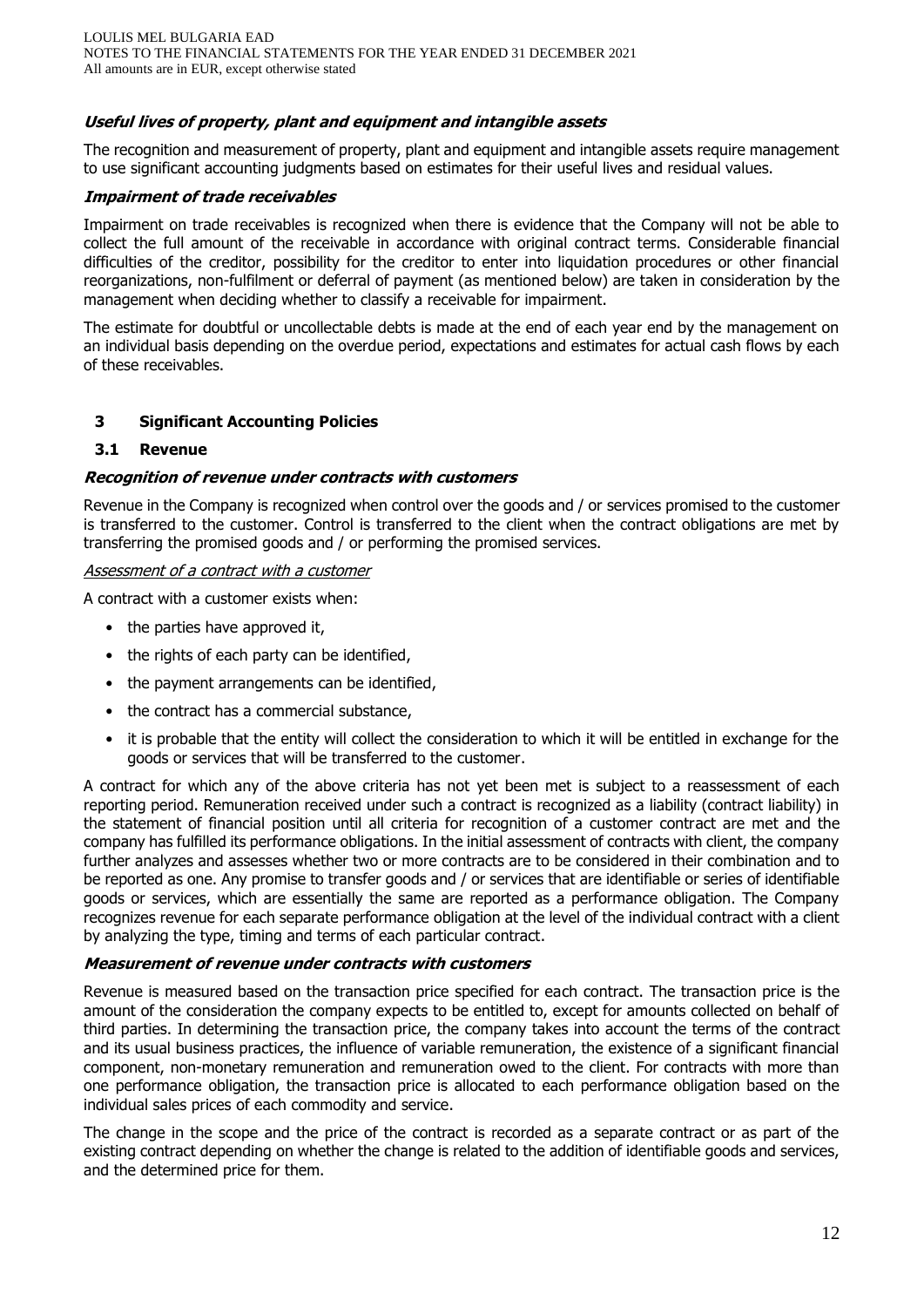## **Useful lives of property, plant and equipment and intangible assets**

The recognition and measurement of property, plant and equipment and intangible assets require management to use significant accounting judgments based on estimates for their useful lives and residual values.

## **Impairment of trade receivables**

Impairment on trade receivables is recognized when there is evidence that the Company will not be able to collect the full amount of the receivable in accordance with original contract terms. Considerable financial difficulties of the creditor, possibility for the creditor to enter into liquidation procedures or other financial reorganizations, non-fulfilment or deferral of payment (as mentioned below) are taken in consideration by the management when deciding whether to classify a receivable for impairment.

The estimate for doubtful or uncollectable debts is made at the end of each year end by the management on an individual basis depending on the overdue period, expectations and estimates for actual cash flows by each of these receivables.

## **3 Significant Accounting Policies**

#### **3.1 Revenue**

## **Recognition of revenue under contracts with customers**

Revenue in the Company is recognized when control over the goods and / or services promised to the customer is transferred to the customer. Control is transferred to the client when the contract obligations are met by transferring the promised goods and / or performing the promised services.

#### Assessment of a contract with a customer

A contract with a customer exists when:

- the parties have approved it,
- the rights of each party can be identified,
- the payment arrangements can be identified,
- the contract has a commercial substance,
- it is probable that the entity will collect the consideration to which it will be entitled in exchange for the goods or services that will be transferred to the customer.

A contract for which any of the above criteria has not yet been met is subject to a reassessment of each reporting period. Remuneration received under such a contract is recognized as a liability (contract liability) in the statement of financial position until all criteria for recognition of a customer contract are met and the company has fulfilled its performance obligations. In the initial assessment of contracts with client, the company further analyzes and assesses whether two or more contracts are to be considered in their combination and to be reported as one. Any promise to transfer goods and / or services that are identifiable or series of identifiable goods or services, which are essentially the same are reported as a performance obligation. The Company recognizes revenue for each separate performance obligation at the level of the individual contract with a client by analyzing the type, timing and terms of each particular contract.

## **Measurement of revenue under contracts with customers**

Revenue is measured based on the transaction price specified for each contract. The transaction price is the amount of the consideration the company expects to be entitled to, except for amounts collected on behalf of third parties. In determining the transaction price, the company takes into account the terms of the contract and its usual business practices, the influence of variable remuneration, the existence of a significant financial component, non-monetary remuneration and remuneration owed to the client. For contracts with more than one performance obligation, the transaction price is allocated to each performance obligation based on the individual sales prices of each commodity and service.

The change in the scope and the price of the contract is recorded as a separate contract or as part of the existing contract depending on whether the change is related to the addition of identifiable goods and services, and the determined price for them.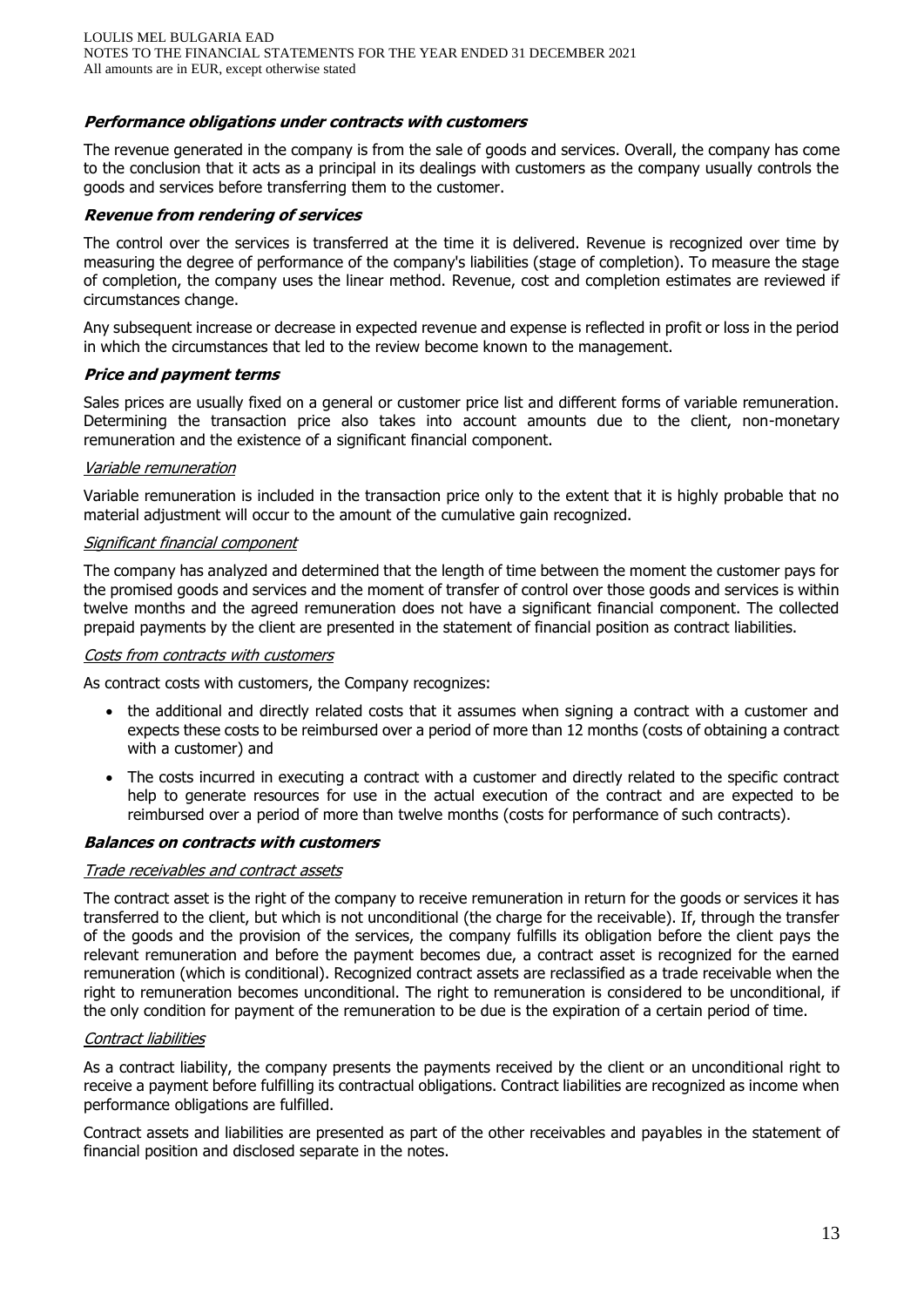## **Performance obligations under contracts with customers**

The revenue generated in the company is from the sale of goods and services. Overall, the company has come to the conclusion that it acts as a principal in its dealings with customers as the company usually controls the goods and services before transferring them to the customer.

#### **Revenue from rendering of services**

The control over the services is transferred at the time it is delivered. Revenue is recognized over time by measuring the degree of performance of the company's liabilities (stage of completion). To measure the stage of completion, the company uses the linear method. Revenue, cost and completion estimates are reviewed if circumstances change.

Any subsequent increase or decrease in expected revenue and expense is reflected in profit or loss in the period in which the circumstances that led to the review become known to the management.

#### **Price and payment terms**

Sales prices are usually fixed on a general or customer price list and different forms of variable remuneration. Determining the transaction price also takes into account amounts due to the client, non-monetary remuneration and the existence of a significant financial component.

#### Variable remuneration

Variable remuneration is included in the transaction price only to the extent that it is highly probable that no material adjustment will occur to the amount of the cumulative gain recognized.

#### Significant financial component

The company has analyzed and determined that the length of time between the moment the customer pays for the promised goods and services and the moment of transfer of control over those goods and services is within twelve months and the agreed remuneration does not have a significant financial component. The collected prepaid payments by the client are presented in the statement of financial position as contract liabilities.

#### Costs from contracts with customers

As contract costs with customers, the Company recognizes:

- the additional and directly related costs that it assumes when signing a contract with a customer and expects these costs to be reimbursed over a period of more than 12 months (costs of obtaining a contract with a customer) and
- The costs incurred in executing a contract with a customer and directly related to the specific contract help to generate resources for use in the actual execution of the contract and are expected to be reimbursed over a period of more than twelve months (costs for performance of such contracts).

## **Balances on contracts with customers**

#### Trade receivables and contract assets

The contract asset is the right of the company to receive remuneration in return for the goods or services it has transferred to the client, but which is not unconditional (the charge for the receivable). If, through the transfer of the goods and the provision of the services, the company fulfills its obligation before the client pays the relevant remuneration and before the payment becomes due, a contract asset is recognized for the earned remuneration (which is conditional). Recognized contract assets are reclassified as a trade receivable when the right to remuneration becomes unconditional. The right to remuneration is considered to be unconditional, if the only condition for payment of the remuneration to be due is the expiration of a certain period of time.

#### Contract liabilities

As a contract liability, the company presents the payments received by the client or an unconditional right to receive a payment before fulfilling its contractual obligations. Contract liabilities are recognized as income when performance obligations are fulfilled.

Contract assets and liabilities are presented as part of the other receivables and payables in the statement of financial position and disclosed separate in the notes.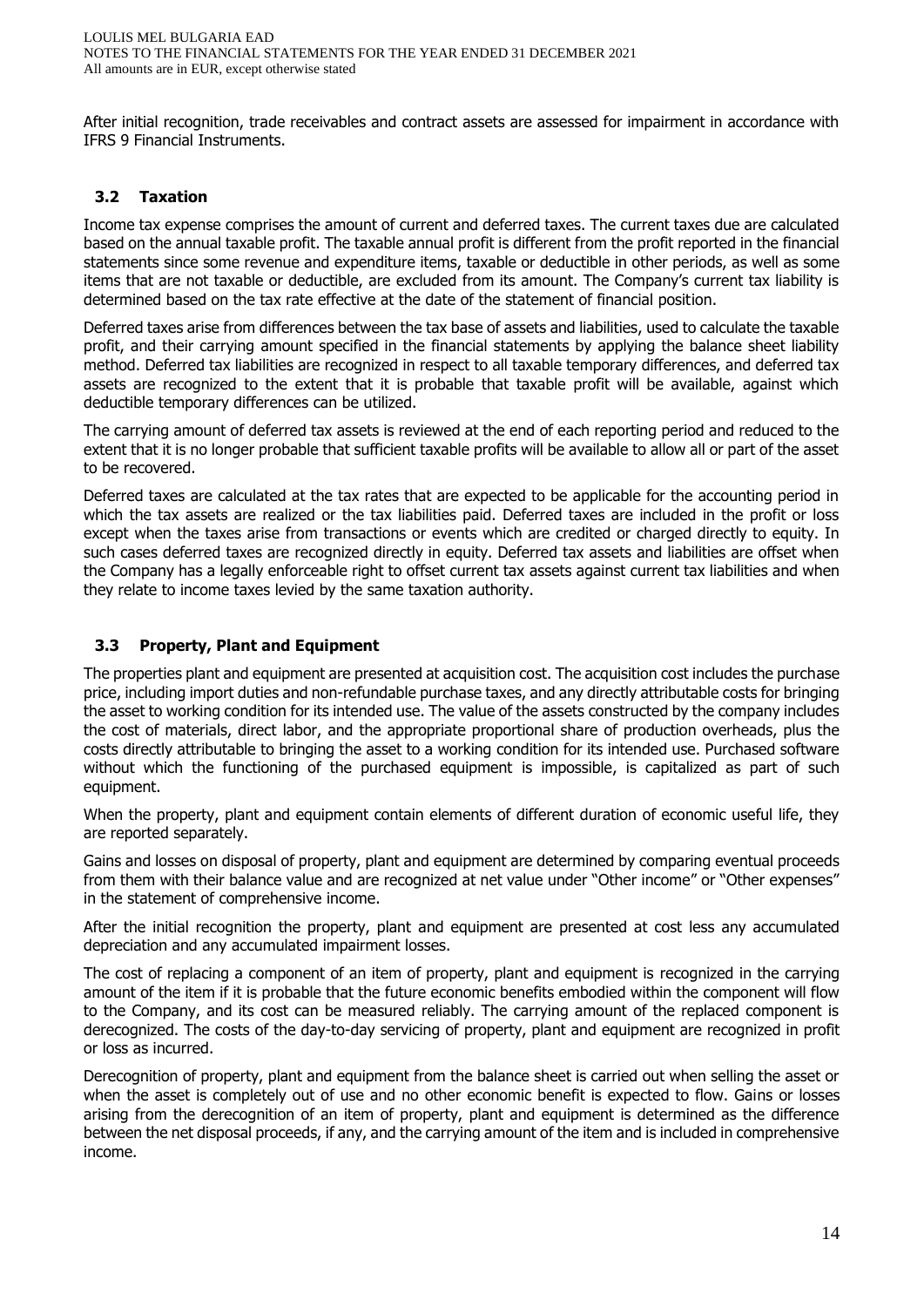After initial recognition, trade receivables and contract assets are assessed for impairment in accordance with IFRS 9 Financial Instruments.

## **3.2 Taxation**

Income tax expense comprises the amount of current and deferred taxes. The current taxes due are calculated based on the annual taxable profit. The taxable annual profit is different from the profit reported in the financial statements since some revenue and expenditure items, taxable or deductible in other periods, as well as some items that are not taxable or deductible, are excluded from its amount. The Company's current tax liability is determined based on the tax rate effective at the date of the statement of financial position.

Deferred taxes arise from differences between the tax base of assets and liabilities, used to calculate the taxable profit, and their carrying amount specified in the financial statements by applying the balance sheet liability method. Deferred tax liabilities are recognized in respect to all taxable temporary differences, and deferred tax assets are recognized to the extent that it is probable that taxable profit will be available, against which deductible temporary differences can be utilized.

The carrying amount of deferred tax assets is reviewed at the end of each reporting period and reduced to the extent that it is no longer probable that sufficient taxable profits will be available to allow all or part of the asset to be recovered.

Deferred taxes are calculated at the tax rates that are expected to be applicable for the accounting period in which the tax assets are realized or the tax liabilities paid. Deferred taxes are included in the profit or loss except when the taxes arise from transactions or events which are credited or charged directly to equity. In such cases deferred taxes are recognized directly in equity. Deferred tax assets and liabilities are offset when the Company has a legally enforceable right to offset current tax assets against current tax liabilities and when they relate to income taxes levied by the same taxation authority.

## **3.3 Property, Plant and Equipment**

The properties plant and equipment are presented at acquisition cost. The acquisition cost includes the purchase price, including import duties and non-refundable purchase taxes, and any directly attributable costs for bringing the asset to working condition for its intended use. The value of the assets constructed by the company includes the cost of materials, direct labor, and the appropriate proportional share of production overheads, plus the costs directly attributable to bringing the asset to a working condition for its intended use. Purchased software without which the functioning of the purchased equipment is impossible, is capitalized as part of such equipment.

When the property, plant and equipment contain elements of different duration of economic useful life, they are reported separately.

Gains and losses on disposal of property, plant and equipment are determined by comparing eventual proceeds from them with their balance value and are recognized at net value under "Other income" or "Other expenses" in the statement of comprehensive income.

After the initial recognition the property, plant and equipment are presented at cost less any accumulated depreciation and any accumulated impairment losses.

The cost of replacing a component of an item of property, plant and equipment is recognized in the carrying amount of the item if it is probable that the future economic benefits embodied within the component will flow to the Company, and its cost can be measured reliably. The carrying amount of the replaced component is derecognized. The costs of the day-to-day servicing of property, plant and equipment are recognized in profit or loss as incurred.

Derecognition of property, plant and equipment from the balance sheet is carried out when selling the asset or when the asset is completely out of use and no other economic benefit is expected to flow. Gains or losses arising from the derecognition of an item of property, plant and equipment is determined as the difference between the net disposal proceeds, if any, and the carrying amount of the item and is included in comprehensive income.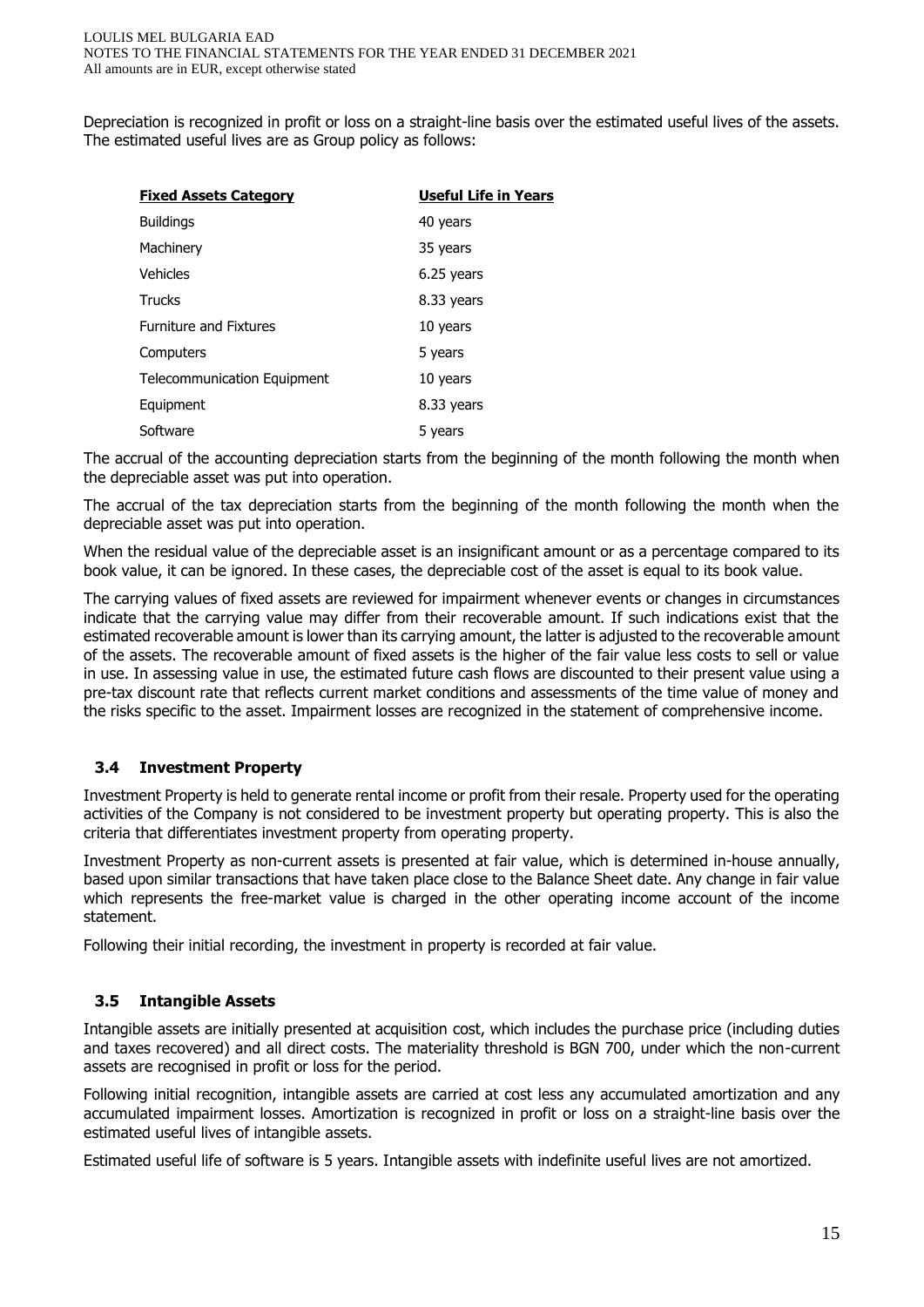Depreciation is recognized in profit or loss on a straight-line basis over the estimated useful lives of the assets. The estimated useful lives are as Group policy as follows:

| <b>Fixed Assets Category</b>       | <b>Useful Life in Years</b> |
|------------------------------------|-----------------------------|
| <b>Buildings</b>                   | 40 years                    |
| Machinery                          | 35 years                    |
| <b>Vehicles</b>                    | 6.25 years                  |
| <b>Trucks</b>                      | 8.33 years                  |
| <b>Furniture and Fixtures</b>      | 10 years                    |
| Computers                          | 5 years                     |
| <b>Telecommunication Equipment</b> | 10 years                    |
| Equipment                          | 8.33 years                  |
| Software                           | 5 years                     |

The accrual of the accounting depreciation starts from the beginning of the month following the month when the depreciable asset was put into operation.

The accrual of the tax depreciation starts from the beginning of the month following the month when the depreciable asset was put into operation.

When the residual value of the depreciable asset is an insignificant amount or as a percentage compared to its book value, it can be ignored. In these cases, the depreciable cost of the asset is equal to its book value.

The carrying values of fixed assets are reviewed for impairment whenever events or changes in circumstances indicate that the carrying value may differ from their recoverable amount. If such indications exist that the estimated recoverable amount is lower than its carrying amount, the latter is adjusted to the recoverable amount of the assets. The recoverable amount of fixed assets is the higher of the fair value less costs to sell or value in use. In assessing value in use, the estimated future cash flows are discounted to their present value using a pre-tax discount rate that reflects current market conditions and assessments of the time value of money and the risks specific to the asset. Impairment losses are recognized in the statement of comprehensive income.

## **3.4 Investment Property**

Investment Property is held to generate rental income or profit from their resale. Property used for the operating activities of the Company is not considered to be investment property but operating property. This is also the criteria that differentiates investment property from operating property.

Investment Property as non-current assets is presented at fair value, which is determined in-house annually, based upon similar transactions that have taken place close to the Balance Sheet date. Any change in fair value which represents the free-market value is charged in the other operating income account of the income statement.

Following their initial recording, the investment in property is recorded at fair value.

## **3.5 Intangible Assets**

Intangible assets are initially presented at acquisition cost, which includes the purchase price (including duties and taxes recovered) and all direct costs. The materiality threshold is BGN 700, under which the non-current assets are recognised in profit or loss for the period.

Following initial recognition, intangible assets are carried at cost less any accumulated amortization and any accumulated impairment losses. Amortization is recognized in profit or loss on a straight-line basis over the estimated useful lives of intangible assets.

Estimated useful life of software is 5 years. Intangible assets with indefinite useful lives are not amortized.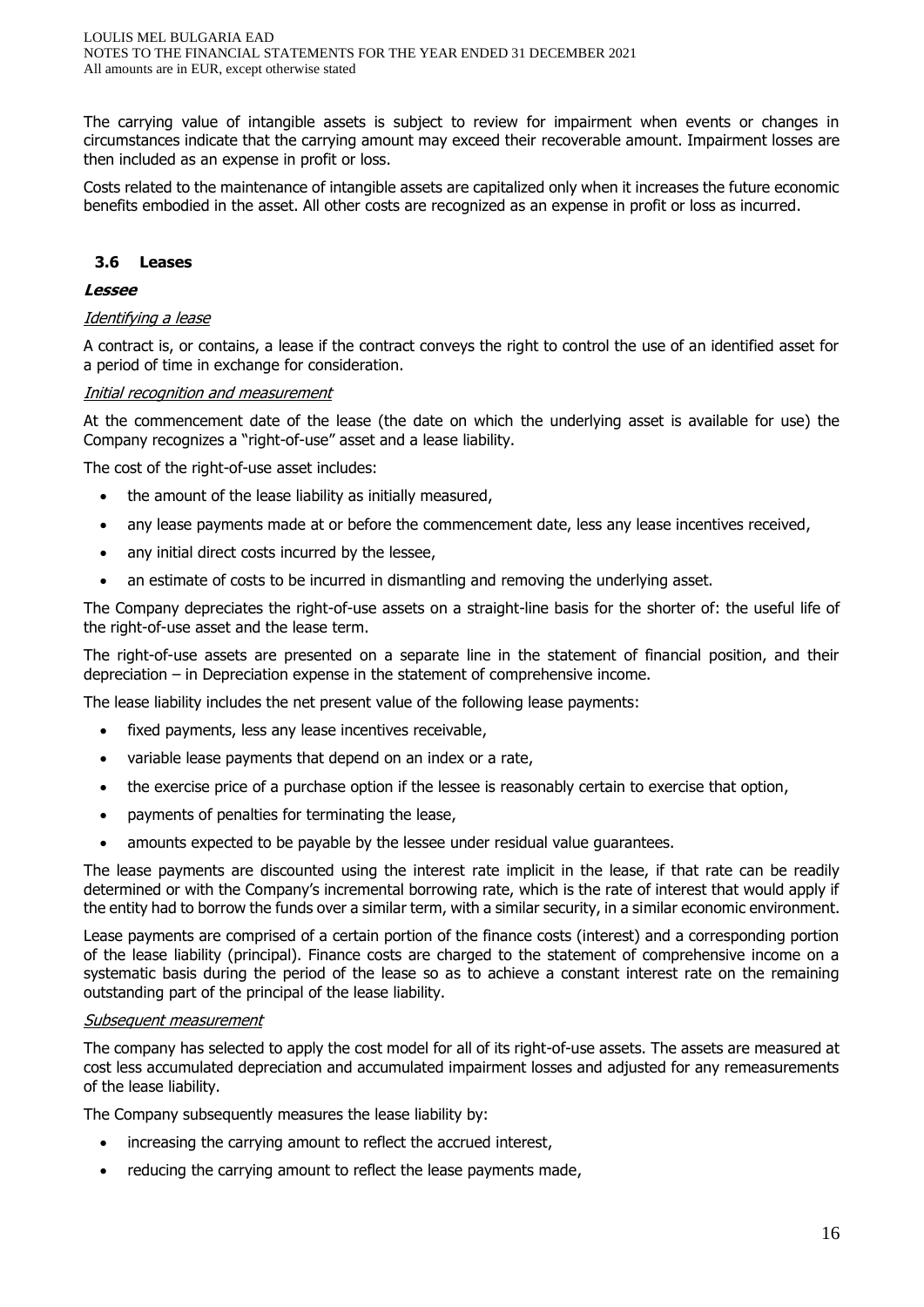The carrying value of intangible assets is subject to review for impairment when events or changes in circumstances indicate that the carrying amount may exceed their recoverable amount. Impairment losses are then included as an expense in profit or loss.

Costs related to the maintenance of intangible assets are capitalized only when it increases the future economic benefits embodied in the asset. All other costs are recognized as an expense in profit or loss as incurred.

## **3.6 Leases**

#### **Lessee**

#### Identifying a lease

A contract is, or contains, a lease if the contract conveys the right to control the use of an identified asset for a period of time in exchange for consideration.

#### Initial recognition and measurement

At the commencement date of the lease (the date on which the underlying asset is available for use) the Company recognizes a "right-of-use" asset and a lease liability.

The cost of the right-of-use asset includes:

- the amount of the lease liability as initially measured,
- any lease payments made at or before the commencement date, less any lease incentives received,
- any initial direct costs incurred by the lessee,
- an estimate of costs to be incurred in dismantling and removing the underlying asset.

The Company depreciates the right-of-use assets on a straight-line basis for the shorter of: the useful life of the right-of-use asset and the lease term.

The right-of-use assets are presented on a separate line in the statement of financial position, and their depreciation – in Depreciation expense in the statement of comprehensive income.

The lease liability includes the net present value of the following lease payments:

- fixed payments, less any lease incentives receivable,
- variable lease payments that depend on an index or a rate,
- the exercise price of a purchase option if the lessee is reasonably certain to exercise that option,
- payments of penalties for terminating the lease,
- amounts expected to be payable by the lessee under residual value guarantees.

The lease payments are discounted using the interest rate implicit in the lease, if that rate can be readily determined or with the Company's incremental borrowing rate, which is the rate of interest that would apply if the entity had to borrow the funds over a similar term, with a similar security, in a similar economic environment.

Lease payments are comprised of a certain portion of the finance costs (interest) and a corresponding portion of the lease liability (principal). Finance costs are charged to the statement of comprehensive income on a systematic basis during the period of the lease so as to achieve a constant interest rate on the remaining outstanding part of the principal of the lease liability.

#### Subsequent measurement

The company has selected to apply the cost model for all of its right-of-use assets. The assets are measured at cost less accumulated depreciation and accumulated impairment losses and adjusted for any remeasurements of the lease liability.

The Company subsequently measures the lease liability by:

- increasing the carrying amount to reflect the accrued interest,
- reducing the carrying amount to reflect the lease payments made,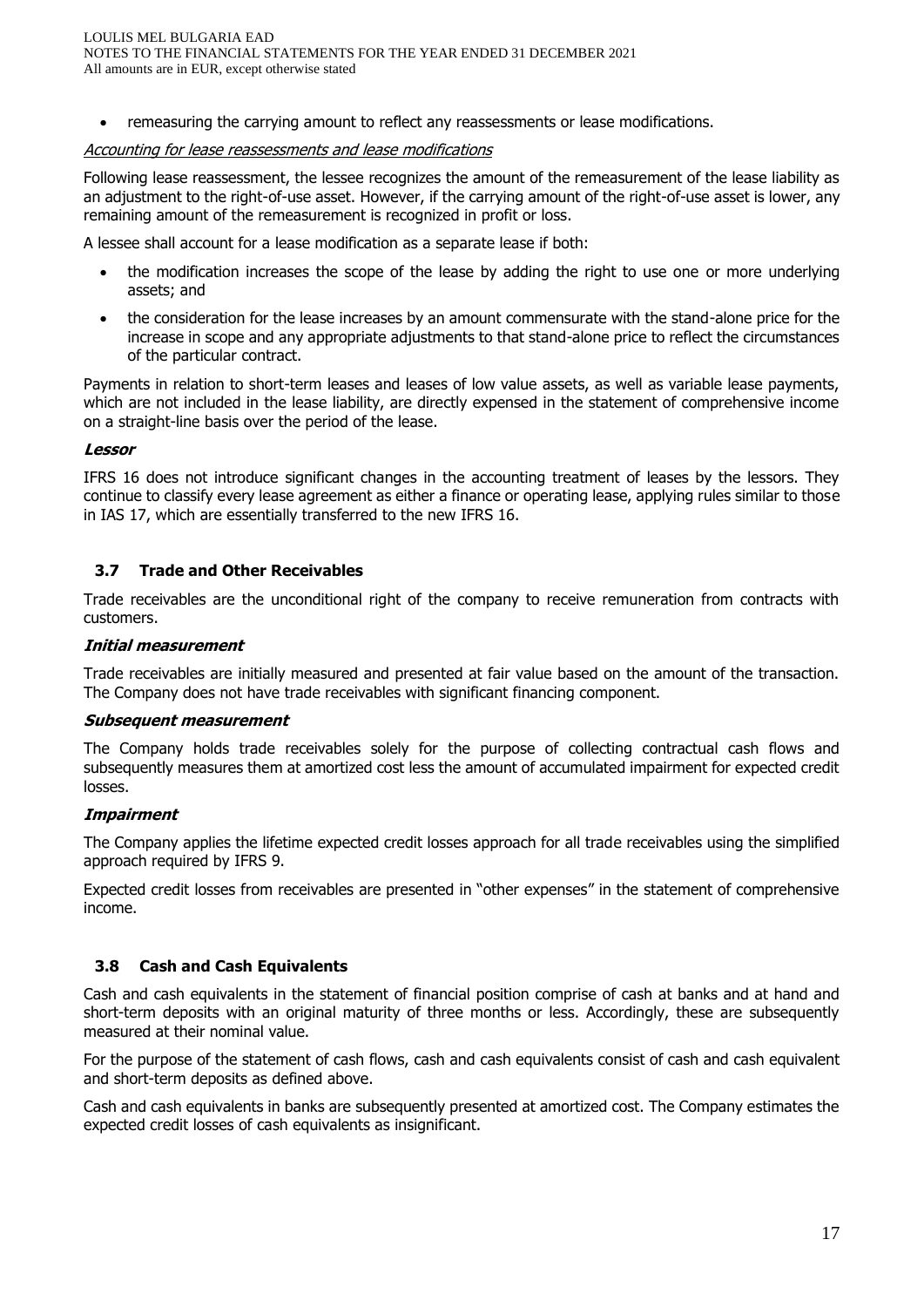• remeasuring the carrying amount to reflect any reassessments or lease modifications.

## Accounting for lease reassessments and lease modifications

Following lease reassessment, the lessee recognizes the amount of the remeasurement of the lease liability as an adjustment to the right-of-use asset. However, if the carrying amount of the right-of-use asset is lower, any remaining amount of the remeasurement is recognized in profit or loss.

A lessee shall account for a lease modification as a separate lease if both:

- the modification increases the scope of the lease by adding the right to use one or more underlying assets; and
- the consideration for the lease increases by an amount commensurate with the stand-alone price for the increase in scope and any appropriate adjustments to that stand-alone price to reflect the circumstances of the particular contract.

Payments in relation to short-term leases and leases of low value assets, as well as variable lease payments, which are not included in the lease liability, are directly expensed in the statement of comprehensive income on a straight-line basis over the period of the lease.

#### **Lessor**

IFRS 16 does not introduce significant changes in the accounting treatment of leases by the lessors. They continue to classify every lease agreement as either a finance or operating lease, applying rules similar to those in IAS 17, which are essentially transferred to the new IFRS 16.

## **3.7 Trade and Other Receivables**

Trade receivables are the unconditional right of the company to receive remuneration from contracts with customers.

## **Initial measurement**

Trade receivables are initially measured and presented at fair value based on the amount of the transaction. The Company does not have trade receivables with significant financing component.

#### **Subsequent measurement**

The Company holds trade receivables solely for the purpose of collecting contractual cash flows and subsequently measures them at amortized cost less the amount of accumulated impairment for expected credit losses.

#### **Impairment**

The Company applies the lifetime expected credit losses approach for all trade receivables using the simplified approach required by IFRS 9.

Expected credit losses from receivables are presented in "other expenses" in the statement of comprehensive income.

## **3.8 Cash and Cash Equivalents**

Cash and cash equivalents in the statement of financial position comprise of cash at banks and at hand and short-term deposits with an original maturity of three months or less. Accordingly, these are subsequently measured at their nominal value.

For the purpose of the statement of cash flows, cash and cash equivalents consist of cash and cash equivalent and short-term deposits as defined above.

Cash and cash equivalents in banks are subsequently presented at amortized cost. The Company estimates the expected credit losses of cash equivalents as insignificant.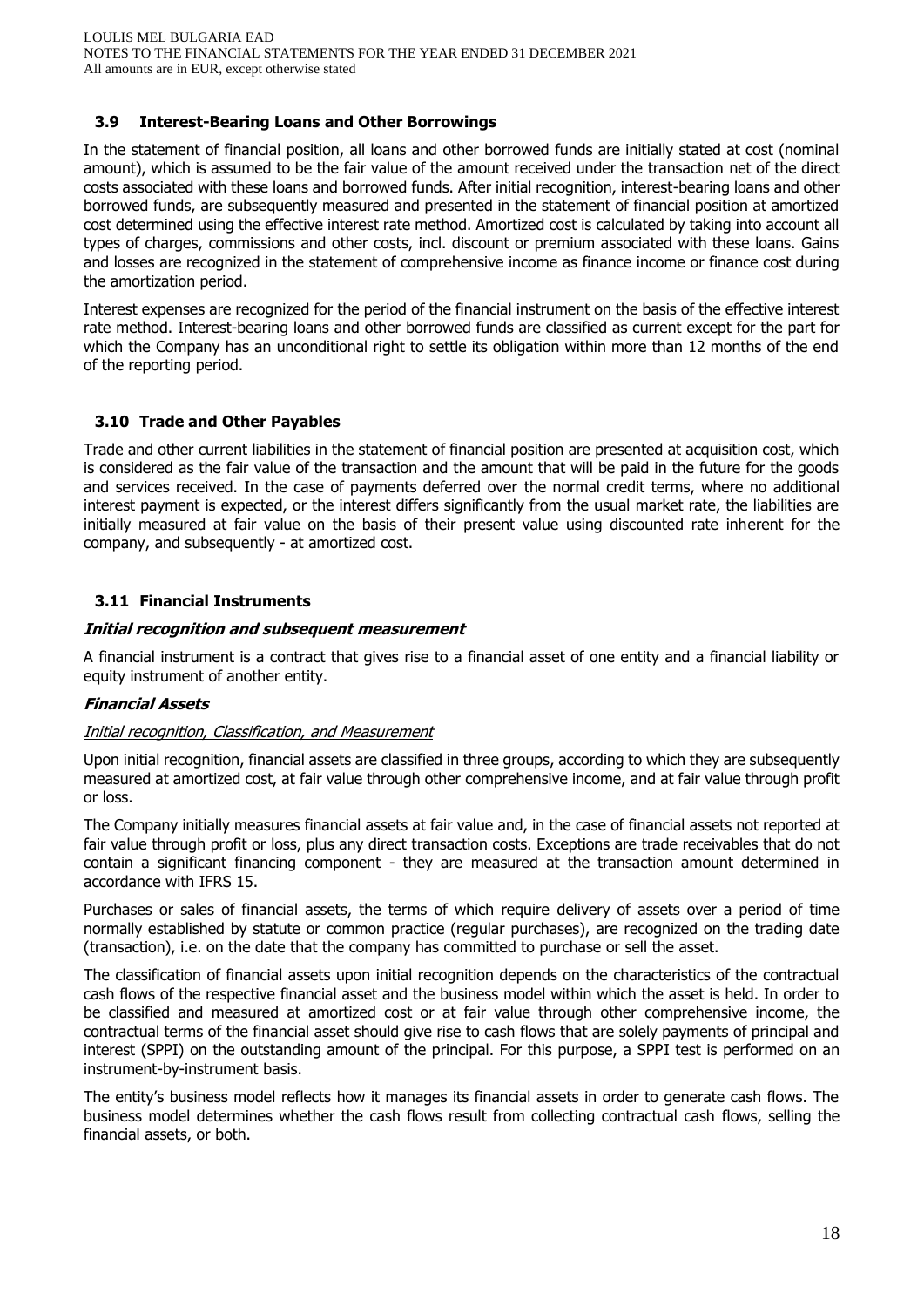## **3.9 Interest-Bearing Loans and Other Borrowings**

In the statement of financial position, all loans and other borrowed funds are initially stated at cost (nominal amount), which is assumed to be the fair value of the amount received under the transaction net of the direct costs associated with these loans and borrowed funds. After initial recognition, interest-bearing loans and other borrowed funds, are subsequently measured and presented in the statement of financial position at amortized cost determined using the effective interest rate method. Amortized cost is calculated by taking into account all types of charges, commissions and other costs, incl. discount or premium associated with these loans. Gains and losses are recognized in the statement of comprehensive income as finance income or finance cost during the amortization period.

Interest expenses are recognized for the period of the financial instrument on the basis of the effective interest rate method. Interest-bearing loans and other borrowed funds are classified as current except for the part for which the Company has an unconditional right to settle its obligation within more than 12 months of the end of the reporting period.

## **3.10 Trade and Other Payables**

Trade and other current liabilities in the statement of financial position are presented at acquisition cost, which is considered as the fair value of the transaction and the amount that will be paid in the future for the goods and services received. In the case of payments deferred over the normal credit terms, where no additional interest payment is expected, or the interest differs significantly from the usual market rate, the liabilities are initially measured at fair value on the basis of their present value using discounted rate inherent for the company, and subsequently - at amortized cost.

## **3.11 Financial Instruments**

#### **Initial recognition and subsequent measurement**

A financial instrument is a contract that gives rise to a financial asset of one entity and a financial liability or equity instrument of another entity.

#### **Financial Assets**

## Initial recognition, Classification, and Measurement

Upon initial recognition, financial assets are classified in three groups, according to which they are subsequently measured at amortized cost, at fair value through other comprehensive income, and at fair value through profit or loss.

The Company initially measures financial assets at fair value and, in the case of financial assets not reported at fair value through profit or loss, plus any direct transaction costs. Exceptions are trade receivables that do not contain a significant financing component - they are measured at the transaction amount determined in accordance with IFRS 15.

Purchases or sales of financial assets, the terms of which require delivery of assets over a period of time normally established by statute or common practice (regular purchases), are recognized on the trading date (transaction), i.e. on the date that the company has committed to purchase or sell the asset.

The classification of financial assets upon initial recognition depends on the characteristics of the contractual cash flows of the respective financial asset and the business model within which the asset is held. In order to be classified and measured at amortized cost or at fair value through other comprehensive income, the contractual terms of the financial asset should give rise to cash flows that are solely payments of principal and interest (SPPI) on the outstanding amount of the principal. For this purpose, a SPPI test is performed on an instrument-by-instrument basis.

The entity's business model reflects how it manages its financial assets in order to generate cash flows. The business model determines whether the cash flows result from collecting contractual cash flows, selling the financial assets, or both.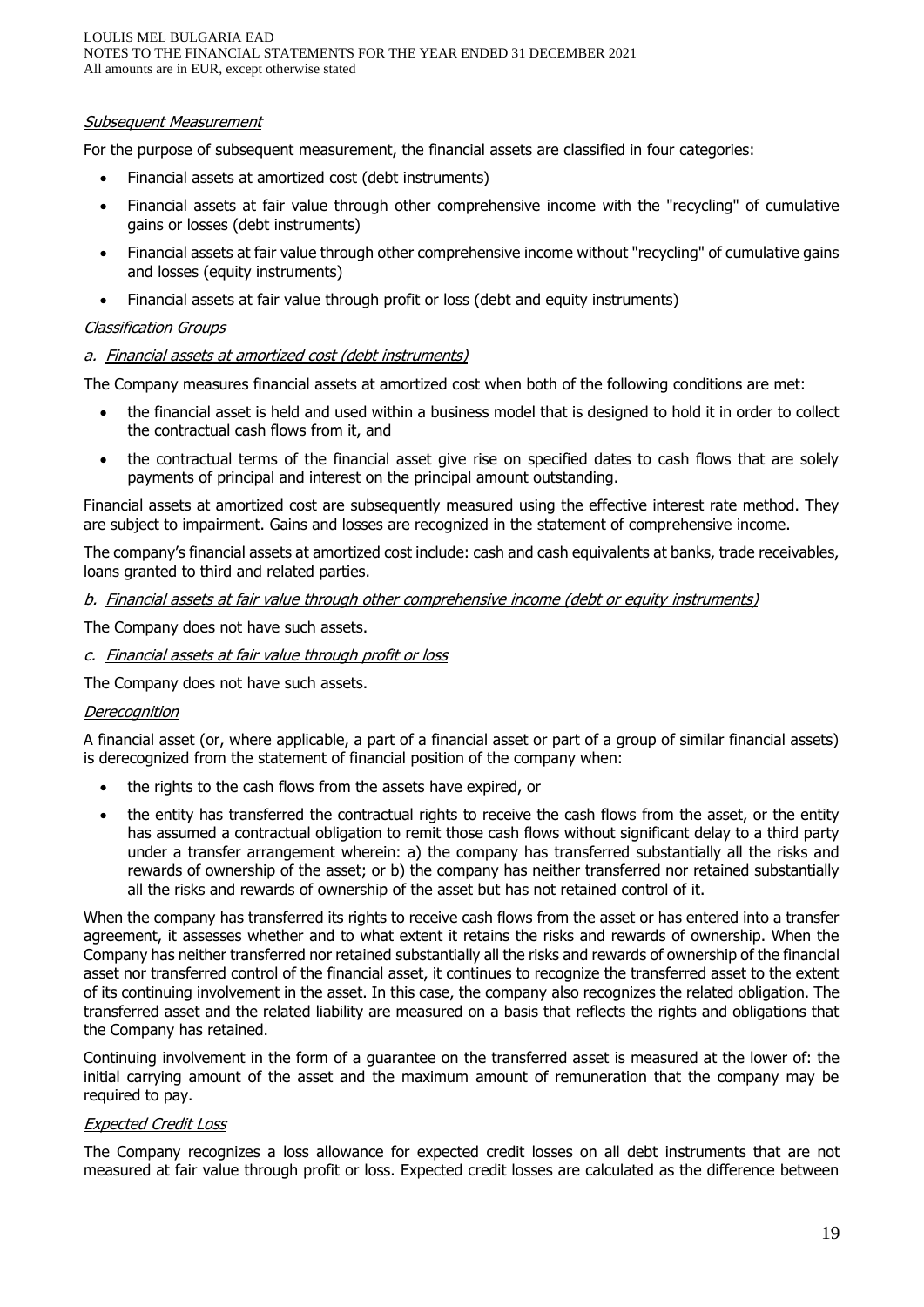LOULIS MEL BULGARIA EAD NOTES TO THE FINANCIAL STATEMENTS FOR THE YEAR ENDED 31 DECEMBER 2021 All amounts are in EUR, except otherwise stated

#### Subsequent Measurement

For the purpose of subsequent measurement, the financial assets are classified in four categories:

- Financial assets at amortized cost (debt instruments)
- Financial assets at fair value through other comprehensive income with the "recycling" of cumulative gains or losses (debt instruments)
- Financial assets at fair value through other comprehensive income without "recycling" of cumulative gains and losses (equity instruments)
- Financial assets at fair value through profit or loss (debt and equity instruments)

#### Classification Groups

#### a. Financial assets at amortized cost (debt instruments)

The Company measures financial assets at amortized cost when both of the following conditions are met:

- the financial asset is held and used within a business model that is designed to hold it in order to collect the contractual cash flows from it, and
- the contractual terms of the financial asset give rise on specified dates to cash flows that are solely payments of principal and interest on the principal amount outstanding.

Financial assets at amortized cost are subsequently measured using the effective interest rate method. They are subject to impairment. Gains and losses are recognized in the statement of comprehensive income.

The company's financial assets at amortized cost include: cash and cash equivalents at banks, trade receivables, loans granted to third and related parties.

#### b. Financial assets at fair value through other comprehensive income (debt or equity instruments)

The Company does not have such assets.

c. Financial assets at fair value through profit or loss

The Company does not have such assets.

#### **Derecognition**

A financial asset (or, where applicable, a part of a financial asset or part of a group of similar financial assets) is derecognized from the statement of financial position of the company when:

- the rights to the cash flows from the assets have expired, or
- the entity has transferred the contractual rights to receive the cash flows from the asset, or the entity has assumed a contractual obligation to remit those cash flows without significant delay to a third party under a transfer arrangement wherein: a) the company has transferred substantially all the risks and rewards of ownership of the asset; or b) the company has neither transferred nor retained substantially all the risks and rewards of ownership of the asset but has not retained control of it.

When the company has transferred its rights to receive cash flows from the asset or has entered into a transfer agreement, it assesses whether and to what extent it retains the risks and rewards of ownership. When the Company has neither transferred nor retained substantially all the risks and rewards of ownership of the financial asset nor transferred control of the financial asset, it continues to recognize the transferred asset to the extent of its continuing involvement in the asset. In this case, the company also recognizes the related obligation. The transferred asset and the related liability are measured on a basis that reflects the rights and obligations that the Company has retained.

Continuing involvement in the form of a guarantee on the transferred asset is measured at the lower of: the initial carrying amount of the asset and the maximum amount of remuneration that the company may be required to pay.

#### Expected Credit Loss

The Company recognizes a loss allowance for expected credit losses on all debt instruments that are not measured at fair value through profit or loss. Expected credit losses are calculated as the difference between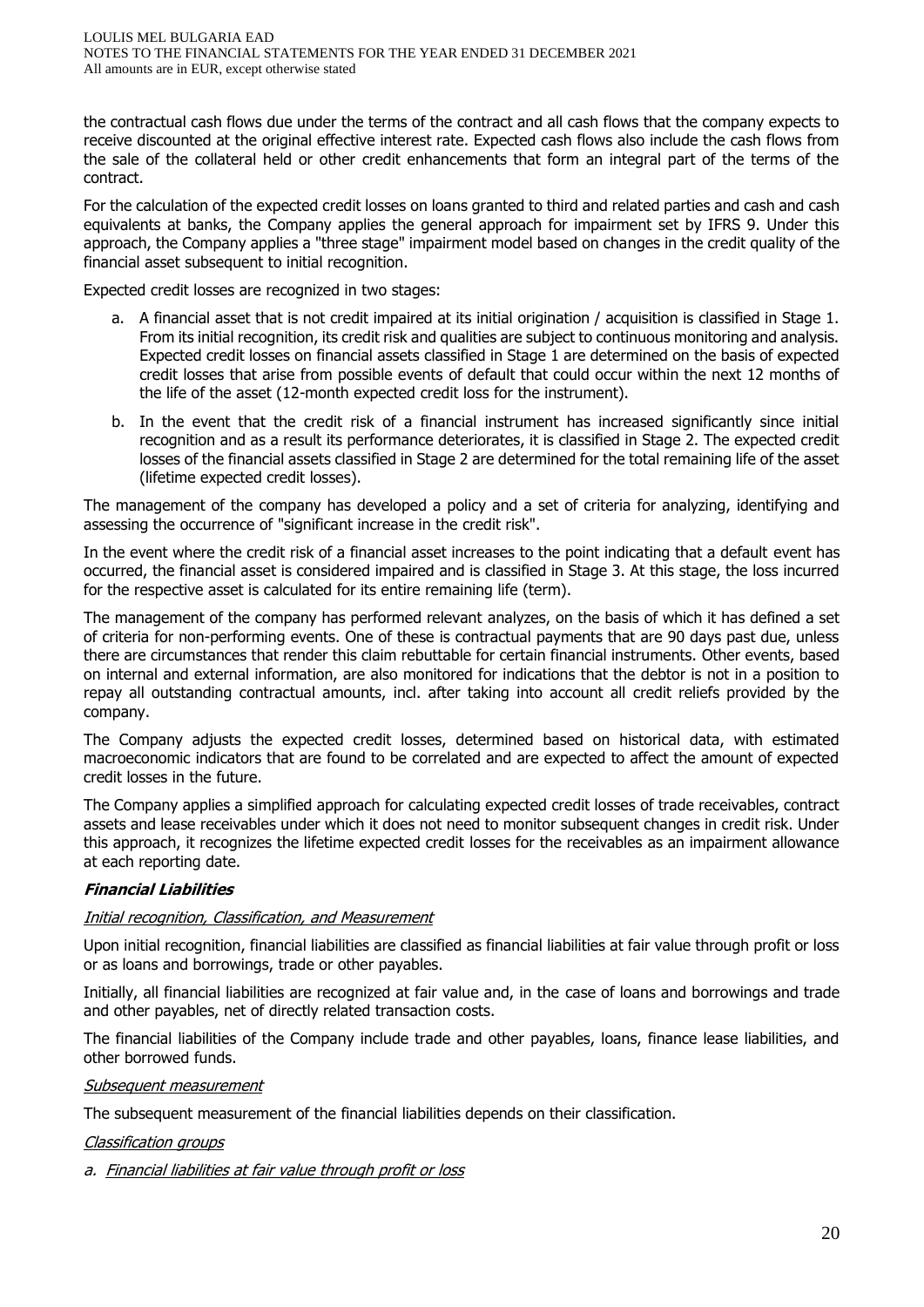the contractual cash flows due under the terms of the contract and all cash flows that the company expects to receive discounted at the original effective interest rate. Expected cash flows also include the cash flows from the sale of the collateral held or other credit enhancements that form an integral part of the terms of the contract.

For the calculation of the expected credit losses on loans granted to third and related parties and cash and cash equivalents at banks, the Company applies the general approach for impairment set by IFRS 9. Under this approach, the Company applies a "three stage" impairment model based on changes in the credit quality of the financial asset subsequent to initial recognition.

Expected credit losses are recognized in two stages:

- a. A financial asset that is not credit impaired at its initial origination / acquisition is classified in Stage 1. From its initial recognition, its credit risk and qualities are subject to continuous monitoring and analysis. Expected credit losses on financial assets classified in Stage 1 are determined on the basis of expected credit losses that arise from possible events of default that could occur within the next 12 months of the life of the asset (12-month expected credit loss for the instrument).
- b. In the event that the credit risk of a financial instrument has increased significantly since initial recognition and as a result its performance deteriorates, it is classified in Stage 2. The expected credit losses of the financial assets classified in Stage 2 are determined for the total remaining life of the asset (lifetime expected credit losses).

The management of the company has developed a policy and a set of criteria for analyzing, identifying and assessing the occurrence of "significant increase in the credit risk".

In the event where the credit risk of a financial asset increases to the point indicating that a default event has occurred, the financial asset is considered impaired and is classified in Stage 3. At this stage, the loss incurred for the respective asset is calculated for its entire remaining life (term).

The management of the company has performed relevant analyzes, on the basis of which it has defined a set of criteria for non-performing events. One of these is contractual payments that are 90 days past due, unless there are circumstances that render this claim rebuttable for certain financial instruments. Other events, based on internal and external information, are also monitored for indications that the debtor is not in a position to repay all outstanding contractual amounts, incl. after taking into account all credit reliefs provided by the company.

The Company adjusts the expected credit losses, determined based on historical data, with estimated macroeconomic indicators that are found to be correlated and are expected to affect the amount of expected credit losses in the future.

The Company applies a simplified approach for calculating expected credit losses of trade receivables, contract assets and lease receivables under which it does not need to monitor subsequent changes in credit risk. Under this approach, it recognizes the lifetime expected credit losses for the receivables as an impairment allowance at each reporting date.

## **Financial Liabilities**

## Initial recognition, Classification, and Measurement

Upon initial recognition, financial liabilities are classified as financial liabilities at fair value through profit or loss or as loans and borrowings, trade or other payables.

Initially, all financial liabilities are recognized at fair value and, in the case of loans and borrowings and trade and other payables, net of directly related transaction costs.

The financial liabilities of the Company include trade and other payables, loans, finance lease liabilities, and other borrowed funds.

#### Subsequent measurement

The subsequent measurement of the financial liabilities depends on their classification.

#### Classification groups

a. Financial liabilities at fair value through profit or loss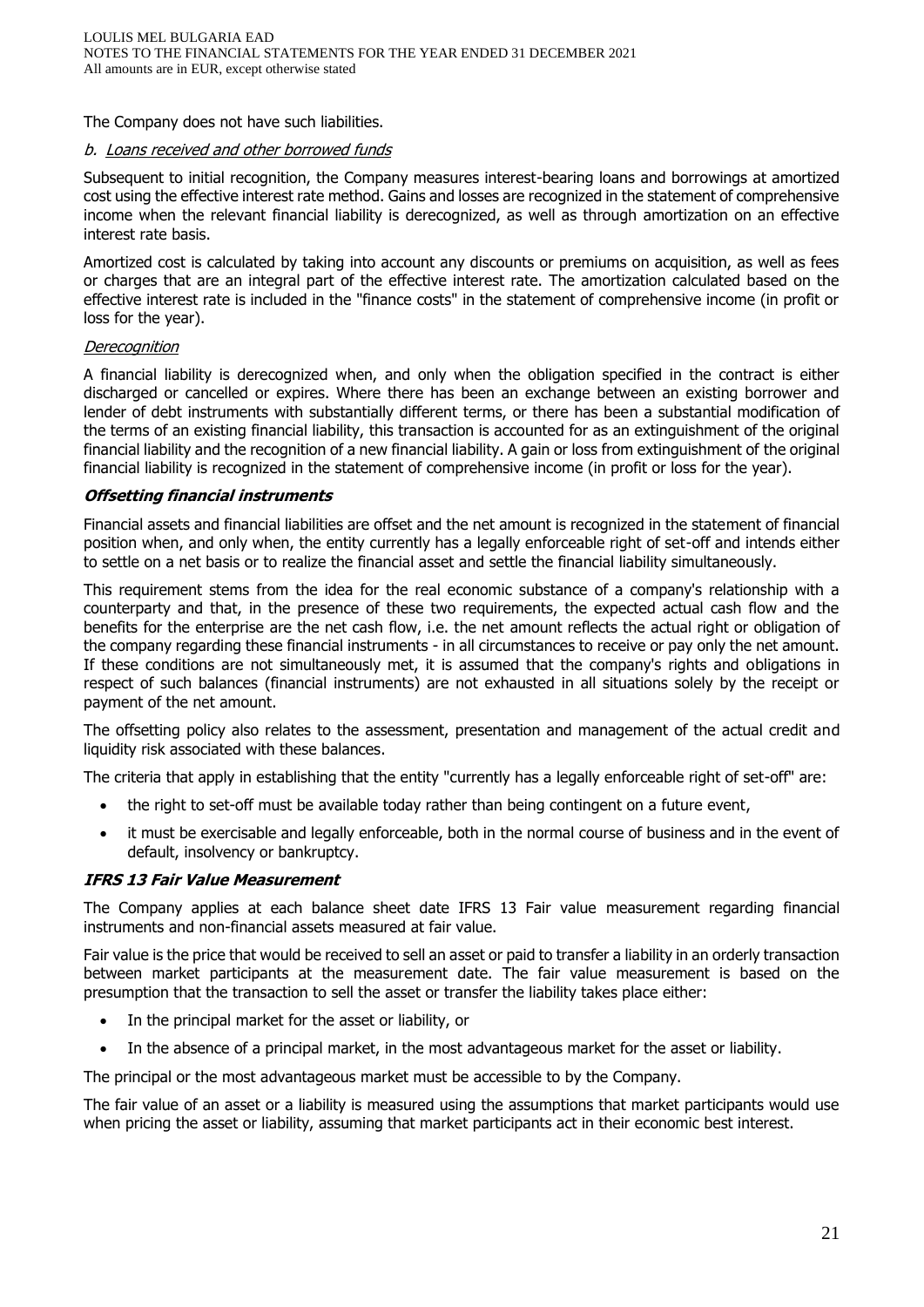The Company does not have such liabilities.

## b. Loans received and other borrowed funds

Subsequent to initial recognition, the Company measures interest-bearing loans and borrowings at amortized cost using the effective interest rate method. Gains and losses are recognized in the statement of comprehensive income when the relevant financial liability is derecognized, as well as through amortization on an effective interest rate basis.

Amortized cost is calculated by taking into account any discounts or premiums on acquisition, as well as fees or charges that are an integral part of the effective interest rate. The amortization calculated based on the effective interest rate is included in the "finance costs" in the statement of comprehensive income (in profit or loss for the year).

#### **Derecognition**

A financial liability is derecognized when, and only when the obligation specified in the contract is either discharged or cancelled or expires. Where there has been an exchange between an existing borrower and lender of debt instruments with substantially different terms, or there has been a substantial modification of the terms of an existing financial liability, this transaction is accounted for as an extinguishment of the original financial liability and the recognition of a new financial liability. A gain or loss from extinguishment of the original financial liability is recognized in the statement of comprehensive income (in profit or loss for the year).

#### **Offsetting financial instruments**

Financial assets and financial liabilities are offset and the net amount is recognized in the statement of financial position when, and only when, the entity currently has a legally enforceable right of set-off and intends either to settle on a net basis or to realize the financial asset and settle the financial liability simultaneously.

This requirement stems from the idea for the real economic substance of a company's relationship with a counterparty and that, in the presence of these two requirements, the expected actual cash flow and the benefits for the enterprise are the net cash flow, i.e. the net amount reflects the actual right or obligation of the company regarding these financial instruments - in all circumstances to receive or pay only the net amount. If these conditions are not simultaneously met, it is assumed that the company's rights and obligations in respect of such balances (financial instruments) are not exhausted in all situations solely by the receipt or payment of the net amount.

The offsetting policy also relates to the assessment, presentation and management of the actual credit and liquidity risk associated with these balances.

The criteria that apply in establishing that the entity "currently has a legally enforceable right of set-off" are:

- the right to set-off must be available today rather than being contingent on a future event,
- it must be exercisable and legally enforceable, both in the normal course of business and in the event of default, insolvency or bankruptcy.

#### **IFRS 13 Fair Value Measurement**

The Company applies at each balance sheet date IFRS 13 Fair value measurement regarding financial instruments and non-financial assets measured at fair value.

Fair value is the price that would be received to sell an asset or paid to transfer a liability in an orderly transaction between market participants at the measurement date. The fair value measurement is based on the presumption that the transaction to sell the asset or transfer the liability takes place either:

- In the principal market for the asset or liability, or
- In the absence of a principal market, in the most advantageous market for the asset or liability.

The principal or the most advantageous market must be accessible to by the Company.

The fair value of an asset or a liability is measured using the assumptions that market participants would use when pricing the asset or liability, assuming that market participants act in their economic best interest.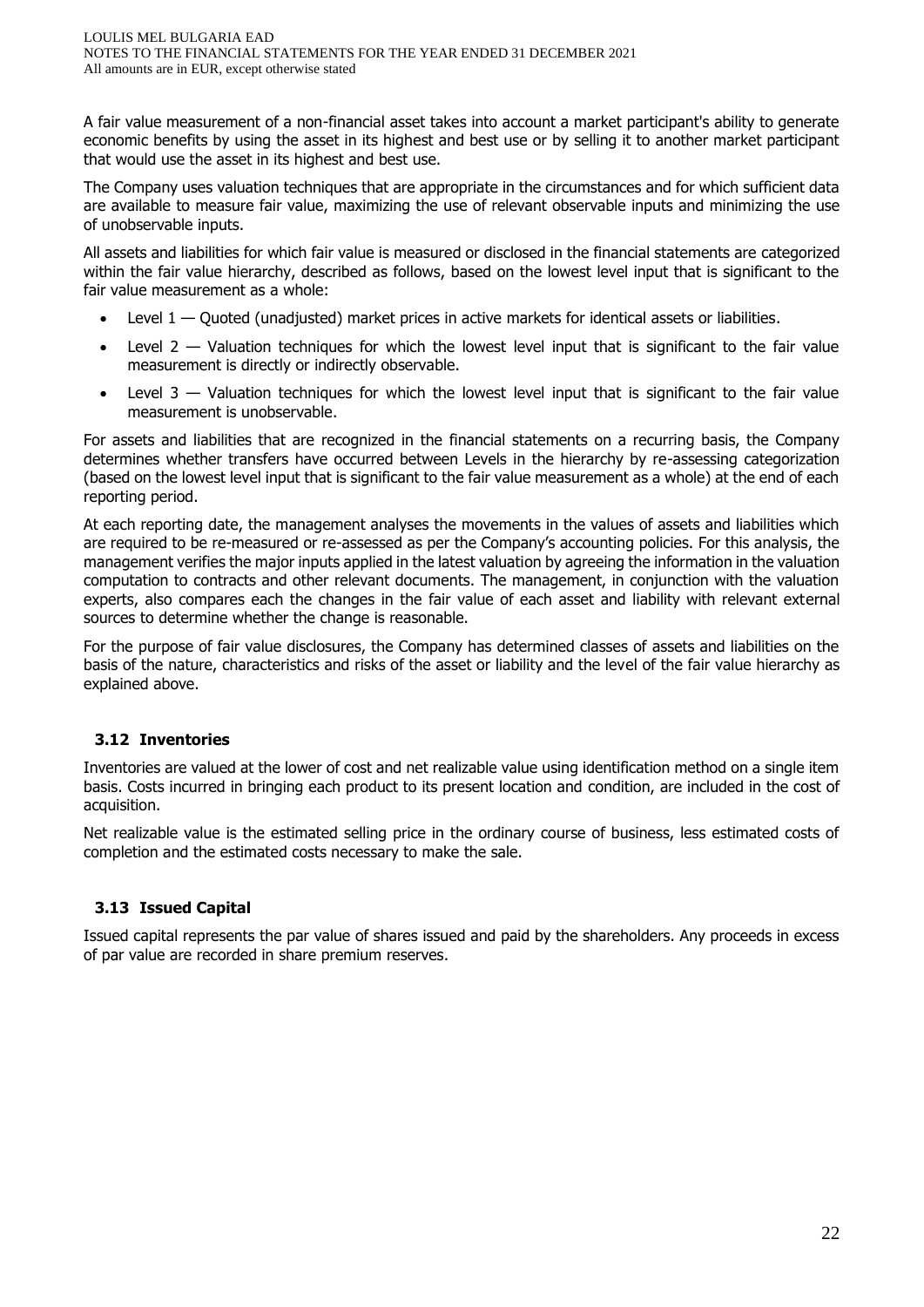A fair value measurement of a non-financial asset takes into account a market participant's ability to generate economic benefits by using the asset in its highest and best use or by selling it to another market participant that would use the asset in its highest and best use.

The Company uses valuation techniques that are appropriate in the circumstances and for which sufficient data are available to measure fair value, maximizing the use of relevant observable inputs and minimizing the use of unobservable inputs.

All assets and liabilities for which fair value is measured or disclosed in the financial statements are categorized within the fair value hierarchy, described as follows, based on the lowest level input that is significant to the fair value measurement as a whole:

- Level  $1 -$  Ouoted (unadjusted) market prices in active markets for identical assets or liabilities.
- Level  $2$   $-$  Valuation techniques for which the lowest level input that is significant to the fair value measurement is directly or indirectly observable.
- Level  $3$  Valuation techniques for which the lowest level input that is significant to the fair value measurement is unobservable.

For assets and liabilities that are recognized in the financial statements on a recurring basis, the Company determines whether transfers have occurred between Levels in the hierarchy by re-assessing categorization (based on the lowest level input that is significant to the fair value measurement as a whole) at the end of each reporting period.

At each reporting date, the management analyses the movements in the values of assets and liabilities which are required to be re-measured or re-assessed as per the Company's accounting policies. For this analysis, the management verifies the major inputs applied in the latest valuation by agreeing the information in the valuation computation to contracts and other relevant documents. The management, in conjunction with the valuation experts, also compares each the changes in the fair value of each asset and liability with relevant external sources to determine whether the change is reasonable.

For the purpose of fair value disclosures, the Company has determined classes of assets and liabilities on the basis of the nature, characteristics and risks of the asset or liability and the level of the fair value hierarchy as explained above.

## **3.12 Inventories**

Inventories are valued at the lower of cost and net realizable value using identification method on a single item basis. Costs incurred in bringing each product to its present location and condition, are included in the cost of acquisition.

Net realizable value is the estimated selling price in the ordinary course of business, less estimated costs of completion and the estimated costs necessary to make the sale.

# **3.13 Issued Capital**

Issued capital represents the par value of shares issued and paid by the shareholders. Any proceeds in excess of par value are recorded in share premium reserves.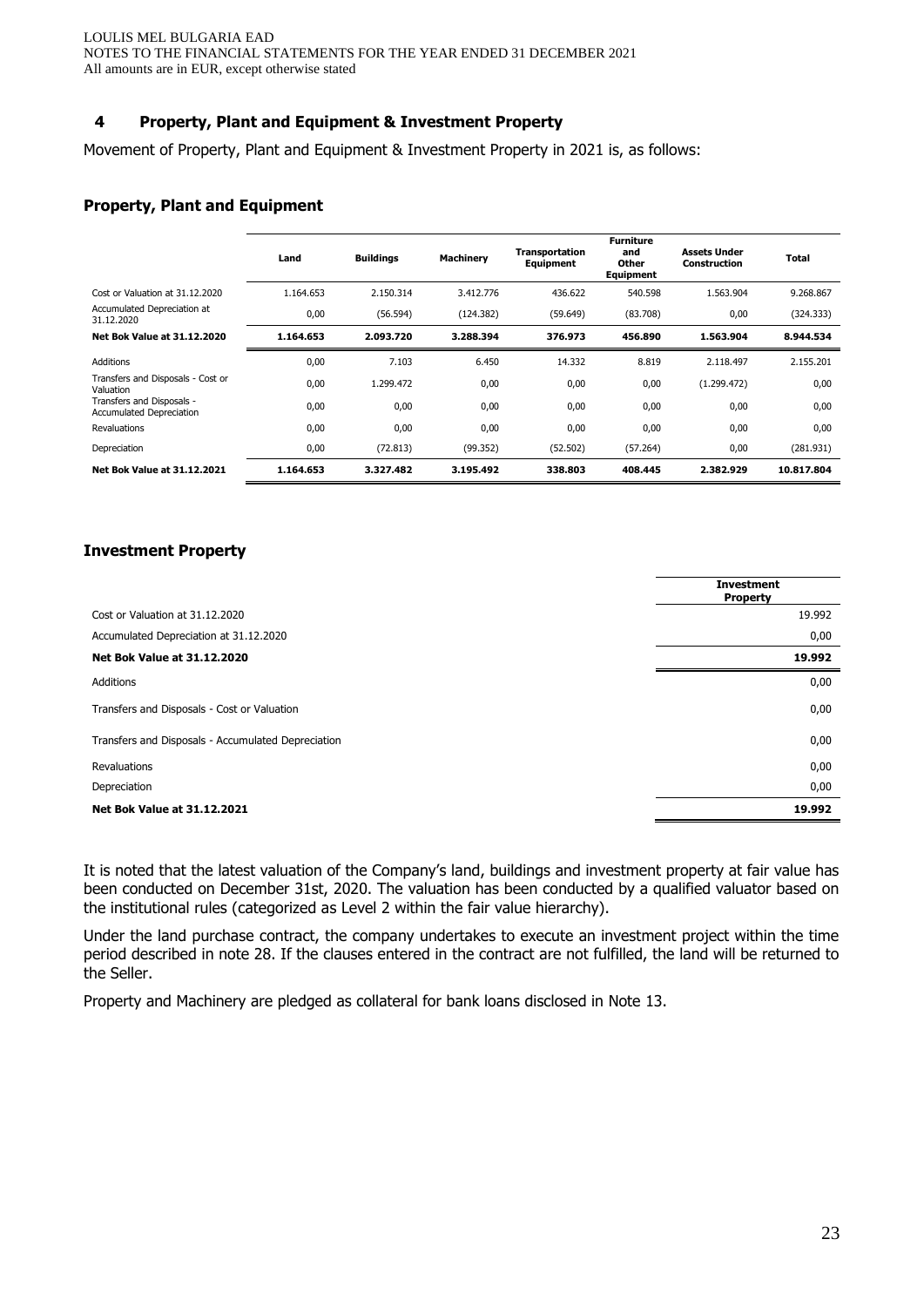## **4 Property, Plant and Equipment & Investment Property**

Movement of Property, Plant and Equipment & Investment Property in 2021 is, as follows:

#### **Property, Plant and Equipment**

|                                                              | Land      | <b>Buildings</b> | <b>Machinery</b> | Transportation<br><b>Equipment</b> | <b>Furniture</b><br>and<br>Other<br><b>Equipment</b> | <b>Assets Under</b><br><b>Construction</b> | Total      |
|--------------------------------------------------------------|-----------|------------------|------------------|------------------------------------|------------------------------------------------------|--------------------------------------------|------------|
| Cost or Valuation at 31.12.2020                              | 1.164.653 | 2.150.314        | 3.412.776        | 436.622                            | 540.598                                              | 1.563.904                                  | 9.268.867  |
| Accumulated Depreciation at<br>31.12.2020                    | 0,00      | (56.594)         | (124.382)        | (59.649)                           | (83.708)                                             | 0,00                                       | (324.333)  |
| <b>Net Bok Value at 31.12.2020</b>                           | 1.164.653 | 2.093.720        | 3.288.394        | 376.973                            | 456.890                                              | 1.563.904                                  | 8.944.534  |
| <b>Additions</b>                                             | 0,00      | 7.103            | 6.450            | 14.332                             | 8.819                                                | 2.118.497                                  | 2.155.201  |
| Transfers and Disposals - Cost or<br>Valuation               | 0,00      | 1.299.472        | 0,00             | 0,00                               | 0,00                                                 | (1.299.472)                                | 0,00       |
| Transfers and Disposals -<br><b>Accumulated Depreciation</b> | 0,00      | 0,00             | 0,00             | 0,00                               | 0,00                                                 | 0,00                                       | 0,00       |
| <b>Revaluations</b>                                          | 0,00      | 0,00             | 0,00             | 0,00                               | 0,00                                                 | 0,00                                       | 0,00       |
| Depreciation                                                 | 0,00      | (72.813)         | (99.352)         | (52.502)                           | (57.264)                                             | 0,00                                       | (281.931)  |
| <b>Net Bok Value at 31.12.2021</b>                           | 1.164.653 | 3.327.482        | 3.195.492        | 338.803                            | 408.445                                              | 2.382.929                                  | 10.817.804 |

#### **Investment Property**

|                                                    | <b>Investment</b><br><b>Property</b> |
|----------------------------------------------------|--------------------------------------|
| Cost or Valuation at 31.12.2020                    | 19.992                               |
| Accumulated Depreciation at 31.12.2020             | 0,00                                 |
| <b>Net Bok Value at 31.12.2020</b>                 | 19.992                               |
| <b>Additions</b>                                   | 0,00                                 |
| Transfers and Disposals - Cost or Valuation        | 0,00                                 |
| Transfers and Disposals - Accumulated Depreciation | 0,00                                 |
| Revaluations                                       | 0,00                                 |
| Depreciation                                       | 0,00                                 |
| <b>Net Bok Value at 31.12.2021</b>                 | 19.992                               |

It is noted that the latest valuation of the Company's land, buildings and investment property at fair value has been conducted on December 31st, 2020. The valuation has been conducted by a qualified valuator based on the institutional rules (categorized as Level 2 within the fair value hierarchy).

Under the land purchase contract, the company undertakes to execute an investment project within the time period described in note 28. If the clauses entered in the contract are not fulfilled, the land will be returned to the Seller.

Property and Machinery are pledged as collateral for bank loans disclosed in Note 13.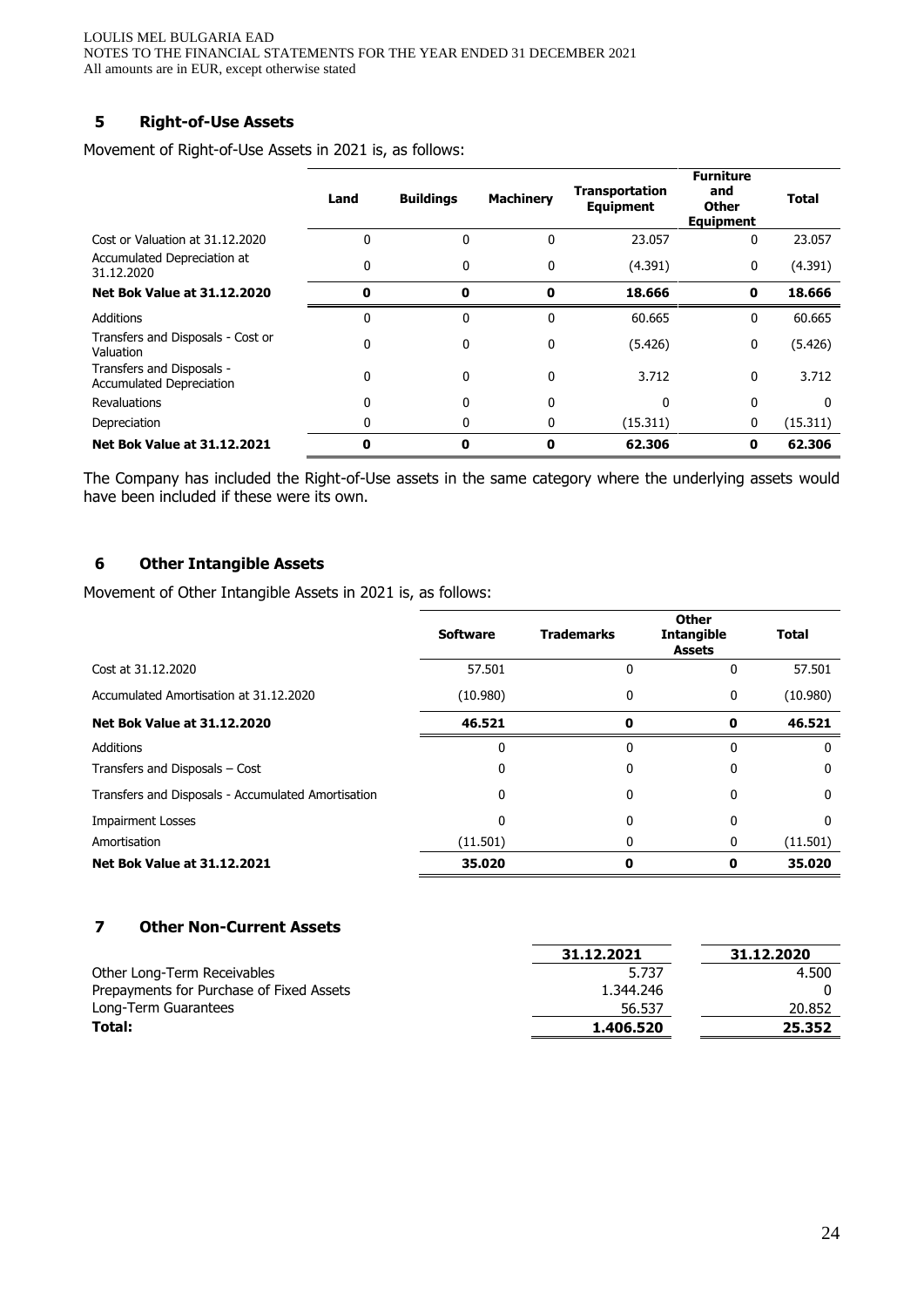# **5 Right-of-Use Assets**

Movement of Right-of-Use Assets in 2021 is, as follows:

|                                                              | Land | <b>Buildings</b> | <b>Machinery</b> | <b>Transportation</b><br><b>Equipment</b> | <b>Furniture</b><br>and<br><b>Other</b><br><b>Equipment</b> | <b>Total</b> |
|--------------------------------------------------------------|------|------------------|------------------|-------------------------------------------|-------------------------------------------------------------|--------------|
| Cost or Valuation at 31.12.2020                              | 0    | 0                | 0                | 23.057                                    | 0                                                           | 23.057       |
| Accumulated Depreciation at<br>31.12.2020                    | 0    | 0                | 0                | (4.391)                                   | 0                                                           | (4.391)      |
| <b>Net Bok Value at 31.12.2020</b>                           | 0    | 0                | 0                | 18.666                                    | 0                                                           | 18.666       |
| <b>Additions</b>                                             | 0    | 0                | 0                | 60.665                                    | 0                                                           | 60.665       |
| Transfers and Disposals - Cost or<br>Valuation               | 0    | 0                | 0                | (5.426)                                   | 0                                                           | (5.426)      |
| Transfers and Disposals -<br><b>Accumulated Depreciation</b> | 0    | 0                | $\mathbf{0}$     | 3.712                                     | 0                                                           | 3.712        |
| <b>Revaluations</b>                                          | 0    | 0                | 0                | 0                                         | 0                                                           | 0            |
| Depreciation                                                 |      | 0                | 0                | (15.311)                                  | 0                                                           | (15.311)     |
| <b>Net Bok Value at 31.12.2021</b>                           | ŋ    | 0                | 0                | 62.306                                    | 0                                                           | 62.306       |

The Company has included the Right-of-Use assets in the same category where the underlying assets would have been included if these were its own.

## **6 Other Intangible Assets**

Movement of Other Intangible Assets in 2021 is, as follows:

|                                                    | <b>Software</b> | <b>Trademarks</b> | Other<br><b>Intangible</b><br><b>Assets</b> | <b>Total</b> |
|----------------------------------------------------|-----------------|-------------------|---------------------------------------------|--------------|
| Cost at 31.12.2020                                 | 57.501          | 0                 | 0                                           | 57.501       |
| Accumulated Amortisation at 31.12.2020             | (10.980)        | 0                 | 0                                           | (10.980)     |
| <b>Net Bok Value at 31.12.2020</b>                 | 46.521          | 0                 | $\mathbf 0$                                 | 46.521       |
| Additions                                          | 0               | $\Omega$          | 0                                           | 0            |
| Transfers and Disposals - Cost                     |                 |                   |                                             |              |
| Transfers and Disposals - Accumulated Amortisation | <sup>0</sup>    | 0                 | 0                                           | ŋ            |
| <b>Impairment Losses</b>                           |                 | 0                 | 0                                           |              |
| Amortisation                                       | (11.501)        |                   | 0                                           | (11.501)     |
| <b>Net Bok Value at 31.12.2021</b>                 | 35.020          | Ω                 | Ω                                           | 35.020       |

## **7 Other Non-Current Assets**

|                                          | 31.12.2021 | 31.12.2020 |
|------------------------------------------|------------|------------|
| Other Long-Term Receivables              | 5.737      | 4.500      |
| Prepayments for Purchase of Fixed Assets | 1.344.246  |            |
| Long-Term Guarantees                     | 56.537     | 20.852     |
| Total:                                   | 1.406.520  | 25.352     |
|                                          |            |            |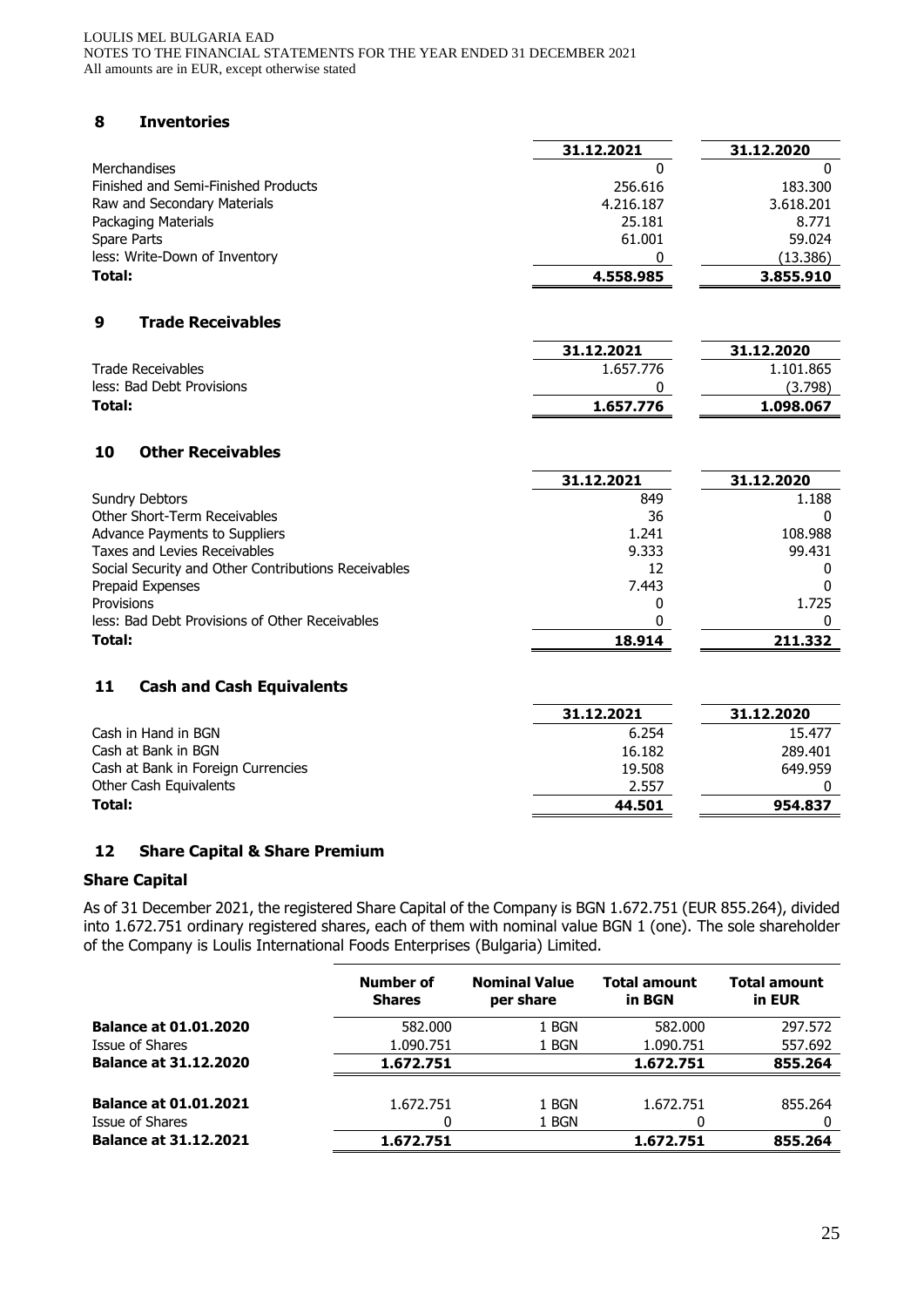#### LOULIS MEL BULGARIA EAD NOTES TO THE FINANCIAL STATEMENTS FOR THE YEAR ENDED 31 DECEMBER 2021 All amounts are in EUR, except otherwise stated

# **8 Inventories**

|                                                     | 31.12.2021 | 31.12.2020 |
|-----------------------------------------------------|------------|------------|
| Merchandises                                        | 0          | 0          |
| Finished and Semi-Finished Products                 | 256.616    | 183.300    |
| Raw and Secondary Materials                         | 4.216.187  | 3.618.201  |
| Packaging Materials                                 | 25.181     | 8.771      |
| Spare Parts                                         | 61.001     | 59.024     |
| less: Write-Down of Inventory                       | 0          | (13.386)   |
| Total:                                              | 4.558.985  | 3.855.910  |
| <b>Trade Receivables</b><br>9                       |            |            |
|                                                     | 31.12.2021 | 31.12.2020 |
| <b>Trade Receivables</b>                            | 1.657.776  | 1.101.865  |
| less: Bad Debt Provisions                           | 0          | (3.798)    |
| Total:                                              | 1.657.776  | 1.098.067  |
| <b>Other Receivables</b><br>10                      |            |            |
|                                                     | 31.12.2021 | 31.12.2020 |
| <b>Sundry Debtors</b>                               | 849        | 1.188      |
| Other Short-Term Receivables                        | 36         | 0          |
| Advance Payments to Suppliers                       | 1.241      | 108.988    |
| Taxes and Levies Receivables                        | 9.333      | 99.431     |
| Social Security and Other Contributions Receivables | 12         | 0          |
| Prepaid Expenses                                    | 7.443      | $\Omega$   |
| Provisions                                          | 0          | 1.725      |
| less: Bad Debt Provisions of Other Receivables      | 0          | 0          |
| Total:                                              | 18.914     | 211.332    |
| 11<br><b>Cash and Cash Equivalents</b>              |            |            |
|                                                     | 31.12.2021 | 31.12.2020 |
| Cash in Hand in BGN                                 | 6.254      | 15.477     |
| Cash at Bank in BGN                                 | 16.182     | 289.401    |

| Total:                             | 44.501 | 954.837 |
|------------------------------------|--------|---------|
| Other Cash Equivalents             | 2.557  |         |
| Cash at Bank in Foreign Currencies | 19.508 | 649.959 |
| Cash at Bank in BGN                | 16.182 | 289,401 |

## **12 Share Capital & Share Premium**

## **Share Capital**

As of 31 December 2021, the registered Share Capital of the Company is BGN 1.672.751 (EUR 855.264), divided into 1.672.751 ordinary registered shares, each of them with nominal value BGN 1 (one). The sole shareholder of the Company is Loulis International Foods Enterprises (Bulgaria) Limited.

|                                                 | Number of<br><b>Shares</b> | <b>Nominal Value</b><br>per share | <b>Total amount</b><br>in BGN | Total amount<br>in EUR |
|-------------------------------------------------|----------------------------|-----------------------------------|-------------------------------|------------------------|
| <b>Balance at 01.01.2020</b>                    | 582.000                    | 1 BGN                             | 582,000                       | 297.572                |
| Issue of Shares                                 | 1.090.751                  | 1 BGN                             | 1.090.751                     | 557.692                |
| <b>Balance at 31.12.2020</b>                    | 1.672.751                  |                                   | 1.672.751                     | 855.264                |
| <b>Balance at 01.01.2021</b><br>Issue of Shares | 1.672.751<br>0             | 1 BGN<br>1 BGN                    | 1.672.751<br>0                | 855.264                |
| <b>Balance at 31.12.2021</b>                    | 1.672.751                  |                                   | 1.672.751                     | 855.264                |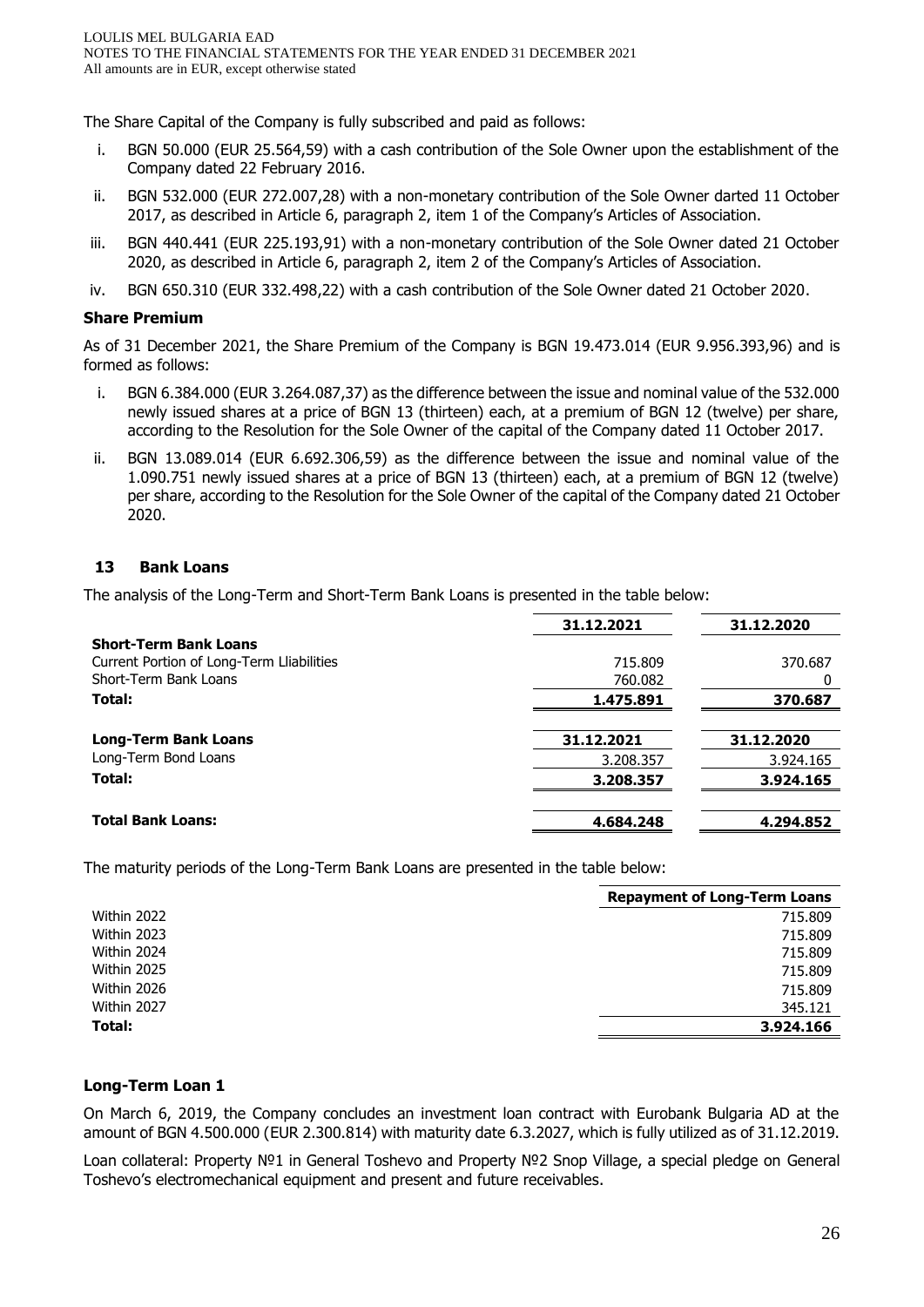The Share Capital of the Company is fully subscribed and paid as follows:

- i. BGN 50.000 (EUR 25.564,59) with a cash contribution of the Sole Owner upon the establishment of the Company dated 22 February 2016.
- ii. BGN 532.000 (EUR 272.007,28) with a non-monetary contribution of the Sole Owner darted 11 October 2017, as described in Article 6, paragraph 2, item 1 of the Company's Articles of Association.
- iii. BGN 440.441 (EUR 225.193,91) with a non-monetary contribution of the Sole Owner dated 21 October 2020, as described in Article 6, paragraph 2, item 2 of the Company's Articles of Association.
- iv. BGN 650.310 (EUR 332.498,22) with a cash contribution of the Sole Owner dated 21 October 2020.

## **Share Premium**

As of 31 December 2021, the Share Premium of the Company is BGN 19.473.014 (EUR 9.956.393,96) and is formed as follows:

- i. BGN 6.384.000 (EUR 3.264.087,37) as the difference between the issue and nominal value of the 532.000 newly issued shares at a price of BGN 13 (thirteen) each, at a premium of BGN 12 (twelve) per share, according to the Resolution for the Sole Owner of the capital of the Company dated 11 October 2017.
- ii. BGN 13.089.014 (EUR 6.692.306,59) as the difference between the issue and nominal value of the 1.090.751 newly issued shares at a price of BGN 13 (thirteen) each, at a premium of BGN 12 (twelve) per share, according to the Resolution for the Sole Owner of the capital of the Company dated 21 October 2020.

## **13 Bank Loans**

The analysis of the Long-Term and Short-Term Bank Loans is presented in the table below:

|                                           | 31.12.2021 | 31.12.2020 |
|-------------------------------------------|------------|------------|
| <b>Short-Term Bank Loans</b>              |            |            |
| Current Portion of Long-Term Lliabilities | 715.809    | 370.687    |
| Short-Term Bank Loans                     | 760.082    | $^{(1)}$   |
| Total:                                    | 1.475.891  | 370.687    |
|                                           |            |            |
| <b>Long-Term Bank Loans</b>               | 31.12.2021 | 31.12.2020 |
| Long-Term Bond Loans                      | 3.208.357  | 3.924.165  |
| Total:                                    | 3.208.357  | 3.924.165  |
|                                           |            |            |
| <b>Total Bank Loans:</b>                  | 4.684.248  | 4.294.852  |

The maturity periods of the Long-Term Bank Loans are presented in the table below:

|             | <b>Repayment of Long-Term Loans</b> |
|-------------|-------------------------------------|
| Within 2022 | 715.809                             |
| Within 2023 | 715.809                             |
| Within 2024 | 715.809                             |
| Within 2025 | 715.809                             |
| Within 2026 | 715,809                             |
| Within 2027 | 345.121                             |
| Total:      | 3.924.166                           |

## **Long-Term Loan 1**

On March 6, 2019, the Company concludes an investment loan contract with Eurobank Bulgaria AD at the amount of BGN 4.500.000 (EUR 2.300.814) with maturity date 6.3.2027, which is fully utilized as of 31.12.2019.

Loan collateral: Property №1 in General Toshevo and Property №2 Snop Village, a special pledge on General Toshevo's electromechanical equipment and present and future receivables.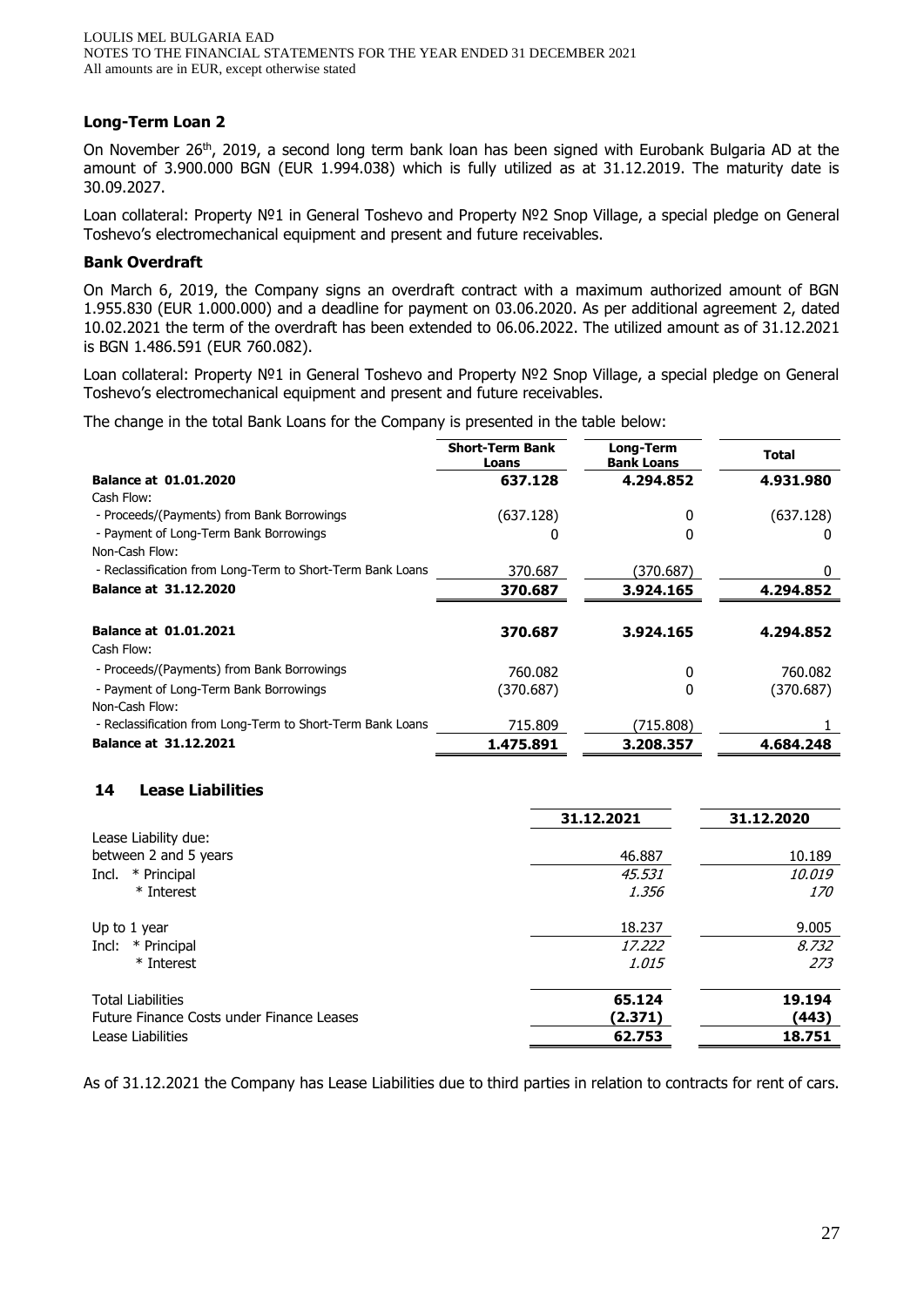## **Long-Term Loan 2**

On November 26<sup>th</sup>, 2019, a second long term bank loan has been signed with Eurobank Bulgaria AD at the amount of 3.900.000 BGN (EUR 1.994.038) which is fully utilized as at 31.12.2019. The maturity date is 30.09.2027.

Loan collateral: Property №1 in General Toshevo and Property №2 Snop Village, a special pledge on General Toshevo's electromechanical equipment and present and future receivables.

## **Bank Overdraft**

On March 6, 2019, the Company signs an overdraft contract with a maximum authorized amount of BGN 1.955.830 (EUR 1.000.000) and a deadline for payment on 03.06.2020. As per additional agreement 2, dated 10.02.2021 the term of the overdraft has been extended to 06.06.2022. The utilized amount as of 31.12.2021 is BGN 1.486.591 (EUR 760.082).

Loan collateral: Property №1 in General Toshevo and Property №2 Snop Village, a special pledge on General Toshevo's electromechanical equipment and present and future receivables.

The change in the total Bank Loans for the Company is presented in the table below:

|                                                            | <b>Short-Term Bank</b><br>Loans | Long-Term<br><b>Bank Loans</b> | <b>Total</b> |
|------------------------------------------------------------|---------------------------------|--------------------------------|--------------|
| <b>Balance at 01.01.2020</b>                               | 637.128                         | 4.294.852                      | 4.931.980    |
| Cash Flow:                                                 |                                 |                                |              |
| - Proceeds/(Payments) from Bank Borrowings                 | (637.128)                       | 0                              | (637.128)    |
| - Payment of Long-Term Bank Borrowings                     | 0                               |                                |              |
| Non-Cash Flow:                                             |                                 |                                |              |
| - Reclassification from Long-Term to Short-Term Bank Loans | 370.687                         | (370.687)                      |              |
| <b>Balance at 31.12.2020</b>                               | 370.687                         | 3.924.165                      | 4.294.852    |
|                                                            |                                 |                                |              |
| <b>Balance at 01.01.2021</b>                               | 370.687                         | 3.924.165                      | 4.294.852    |
| Cash Flow:                                                 |                                 |                                |              |
| - Proceeds/(Payments) from Bank Borrowings                 | 760.082                         | 0                              | 760.082      |
| - Payment of Long-Term Bank Borrowings                     | (370.687)                       | 0                              | (370.687)    |
| Non-Cash Flow:                                             |                                 |                                |              |
| - Reclassification from Long-Term to Short-Term Bank Loans | 715,809                         | (715.808)                      |              |
| <b>Balance at 31.12.2021</b>                               | 1.475.891                       | 3.208.357                      | 4.684.248    |

## **14 Lease Liabilities**

|                                           | 31.12.2021   | 31.12.2020    |
|-------------------------------------------|--------------|---------------|
| Lease Liability due:                      |              |               |
| between 2 and 5 years                     | 46.887       | 10.189        |
| * Principal<br>Incl.                      | 45.531       | <i>10.019</i> |
| * Interest                                | 1.356        | <i>170</i>    |
| Up to 1 year                              | 18.237       | 9.005         |
| * Principal<br>Incl:                      | 17.222       | 8.732         |
| * Interest                                | <i>1.015</i> | 273           |
| <b>Total Liabilities</b>                  | 65.124       | 19.194        |
| Future Finance Costs under Finance Leases | (2.371)      | (443)         |
| Lease Liabilities                         | 62.753       | 18.751        |

As of 31.12.2021 the Company has Lease Liabilities due to third parties in relation to contracts for rent of cars.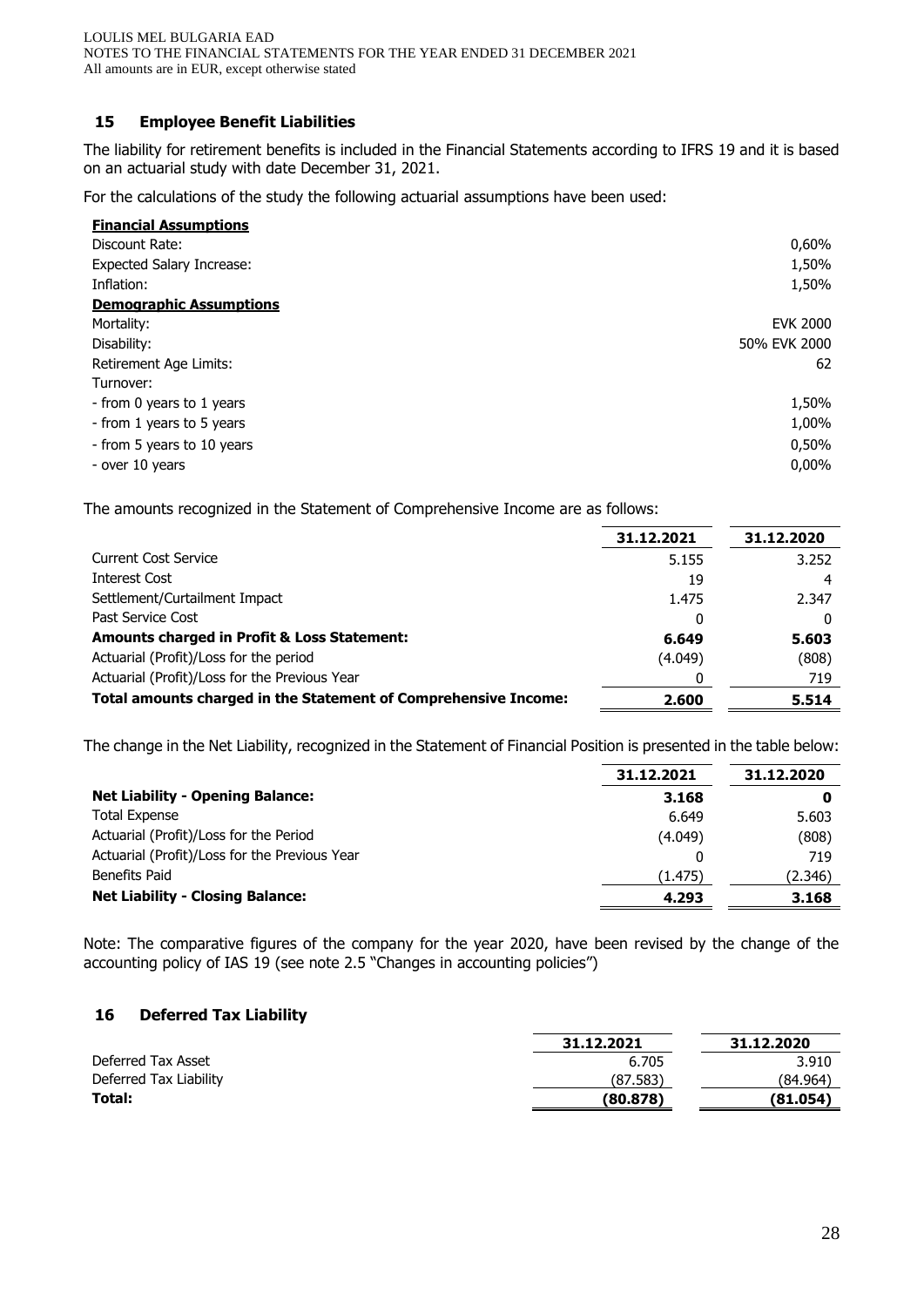## **15 Employee Benefit Liabilities**

The liability for retirement benefits is included in the Financial Statements according to IFRS 19 and it is based on an actuarial study with date December 31, 2021.

For the calculations of the study the following actuarial assumptions have been used:

| <b>Financial Assumptions</b>     |                 |
|----------------------------------|-----------------|
| Discount Rate:                   | 0,60%           |
| <b>Expected Salary Increase:</b> | 1,50%           |
| Inflation:                       | 1,50%           |
| <b>Demographic Assumptions</b>   |                 |
| Mortality:                       | <b>EVK 2000</b> |
| Disability:                      | 50% EVK 2000    |
| Retirement Age Limits:           | 62              |
| Turnover:                        |                 |
| - from 0 years to 1 years        | 1,50%           |
| - from 1 years to 5 years        | 1,00%           |
| - from 5 years to 10 years       | 0,50%           |
| - over 10 years                  | $0.00\%$        |

The amounts recognized in the Statement of Comprehensive Income are as follows:

|                                                                 | 31.12.2021 | 31.12.2020 |
|-----------------------------------------------------------------|------------|------------|
| <b>Current Cost Service</b>                                     | 5.155      | 3.252      |
| Interest Cost                                                   | 19         |            |
| Settlement/Curtailment Impact                                   | 1.475      | 2.347      |
| Past Service Cost                                               | 0          | 0          |
| <b>Amounts charged in Profit &amp; Loss Statement:</b>          | 6.649      | 5.603      |
| Actuarial (Profit)/Loss for the period                          | (4.049)    | (808)      |
| Actuarial (Profit)/Loss for the Previous Year                   |            | 719        |
| Total amounts charged in the Statement of Comprehensive Income: | 2.600      | 5.514      |

The change in the Net Liability, recognized in the Statement of Financial Position is presented in the table below:

|                                               | 31.12.2021 | 31.12.2020 |
|-----------------------------------------------|------------|------------|
| <b>Net Liability - Opening Balance:</b>       | 3.168      |            |
| <b>Total Expense</b>                          | 6.649      | 5.603      |
| Actuarial (Profit)/Loss for the Period        | (4.049)    | (808)      |
| Actuarial (Profit)/Loss for the Previous Year |            | 719        |
| Benefits Paid                                 | (1.475)    | (2.346)    |
| <b>Net Liability - Closing Balance:</b>       | 4.293      | 3.168      |
|                                               |            |            |

Note: The comparative figures of the company for the year 2020, have been revised by the change of the accounting policy of IAS 19 (see note 2.5 "Changes in accounting policies")

## **16 Deferred Tax Liability**

|                        | 31.12.2021 | 31.12.2020 |
|------------------------|------------|------------|
| Deferred Tax Asset     | 6.705      | 3.910      |
| Deferred Tax Liability | (87.583)   | (84.964)   |
| Total:                 | (80.878)   | (81.054)   |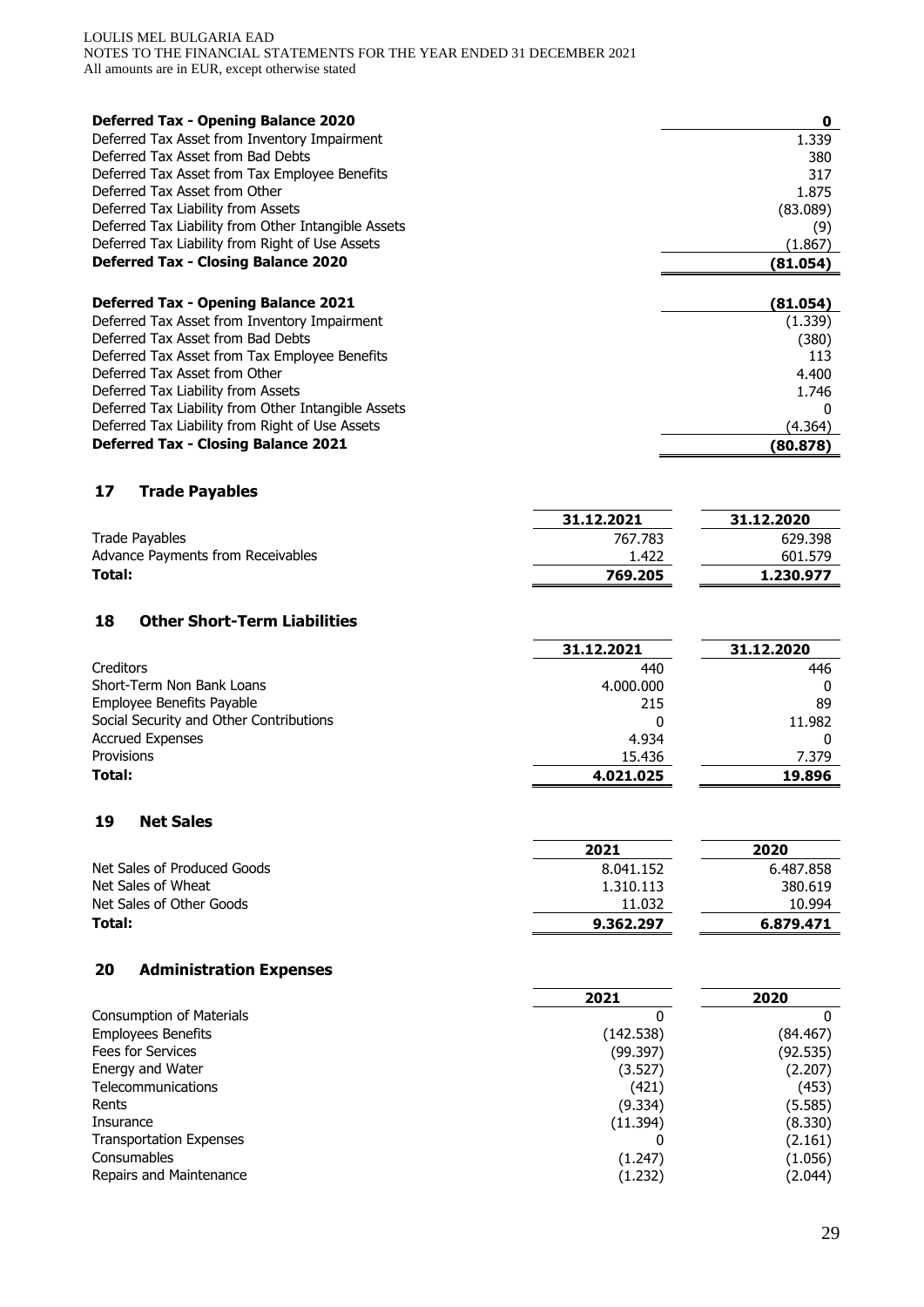#### LOULIS MEL BULGARIA EAD NOTES TO THE FINANCIAL STATEMENTS FOR THE YEAR ENDED 31 DECEMBER 2021 All amounts are in EUR, except otherwise stated

| <b>Deferred Tax - Opening Balance 2020</b>          | 0        |
|-----------------------------------------------------|----------|
| Deferred Tax Asset from Inventory Impairment        | 1.339    |
| Deferred Tax Asset from Bad Debts                   | 380      |
| Deferred Tax Asset from Tax Employee Benefits       | 317      |
| Deferred Tax Asset from Other                       | 1.875    |
| Deferred Tax Liability from Assets                  | (83.089) |
| Deferred Tax Liability from Other Intangible Assets | (9)      |
| Deferred Tax Liability from Right of Use Assets     | (1.867)  |
| <b>Deferred Tax - Closing Balance 2020</b>          | (81.054) |
|                                                     |          |
| <b>Deferred Tax - Opening Balance 2021</b>          | (81.054) |
| Deferred Tax Asset from Inventory Impairment        | (1.339)  |
| Deferred Tax Asset from Bad Debts                   | (380)    |
| Deferred Tax Asset from Tax Employee Benefits       | 113      |
| Deferred Tax Asset from Other                       | 4.400    |
| Deferred Tax Liability from Assets                  | 1.746    |
| Deferred Tax Liability from Other Intangible Assets | n        |
| Deferred Tax Liability from Right of Use Assets     | (4.364)  |
| <b>Deferred Tax - Closing Balance 2021</b>          | (80.878) |

# **17 Trade Payables**

|                                   | 31.12.2021 | 31.12.2020 |
|-----------------------------------|------------|------------|
| Trade Payables                    | 767.783    | 629.398    |
| Advance Payments from Receivables | 1.422      | 601.579    |
| Total:                            | 769.205    | 1.230.977  |

## **18 Other Short-Term Liabilities**

|                                         | 31.12.2021 | 31.12.2020 |
|-----------------------------------------|------------|------------|
| Creditors                               | 440        | 446        |
| Short-Term Non Bank Loans               | 4.000.000  |            |
| Employee Benefits Payable               | 215        | 89         |
| Social Security and Other Contributions |            | 11.982     |
| <b>Accrued Expenses</b>                 | 4.934      |            |
| Provisions                              | 15.436     | 7.379      |
| Total:                                  | 4.021.025  | 19.896     |

 $\mathbb{R}$ 

 $\overline{\phantom{a}}$ 

#### **19 Net Sales**

|                             | 2021      | 2020      |
|-----------------------------|-----------|-----------|
| Net Sales of Produced Goods | 8.041.152 | 6.487.858 |
| Net Sales of Wheat          | 1.310.113 | 380.619   |
| Net Sales of Other Goods    | 11.032    | 10.994    |
| Total:                      | 9.362.297 | 6.879.471 |

## **20 Administration Expenses**

|                                 | 2021      | 2020     |
|---------------------------------|-----------|----------|
| <b>Consumption of Materials</b> |           | 0        |
| <b>Employees Benefits</b>       | (142.538) | (84.467) |
| Fees for Services               | (99.397)  | (92.535) |
| Energy and Water                | (3.527)   | (2.207)  |
| Telecommunications              | (421)     | (453)    |
| Rents                           | (9.334)   | (5.585)  |
| Insurance                       | (11.394)  | (8.330)  |
| <b>Transportation Expenses</b>  |           | (2.161)  |
| Consumables                     | (1.247)   | (1.056)  |
| Repairs and Maintenance         | (1.232)   | (2.044)  |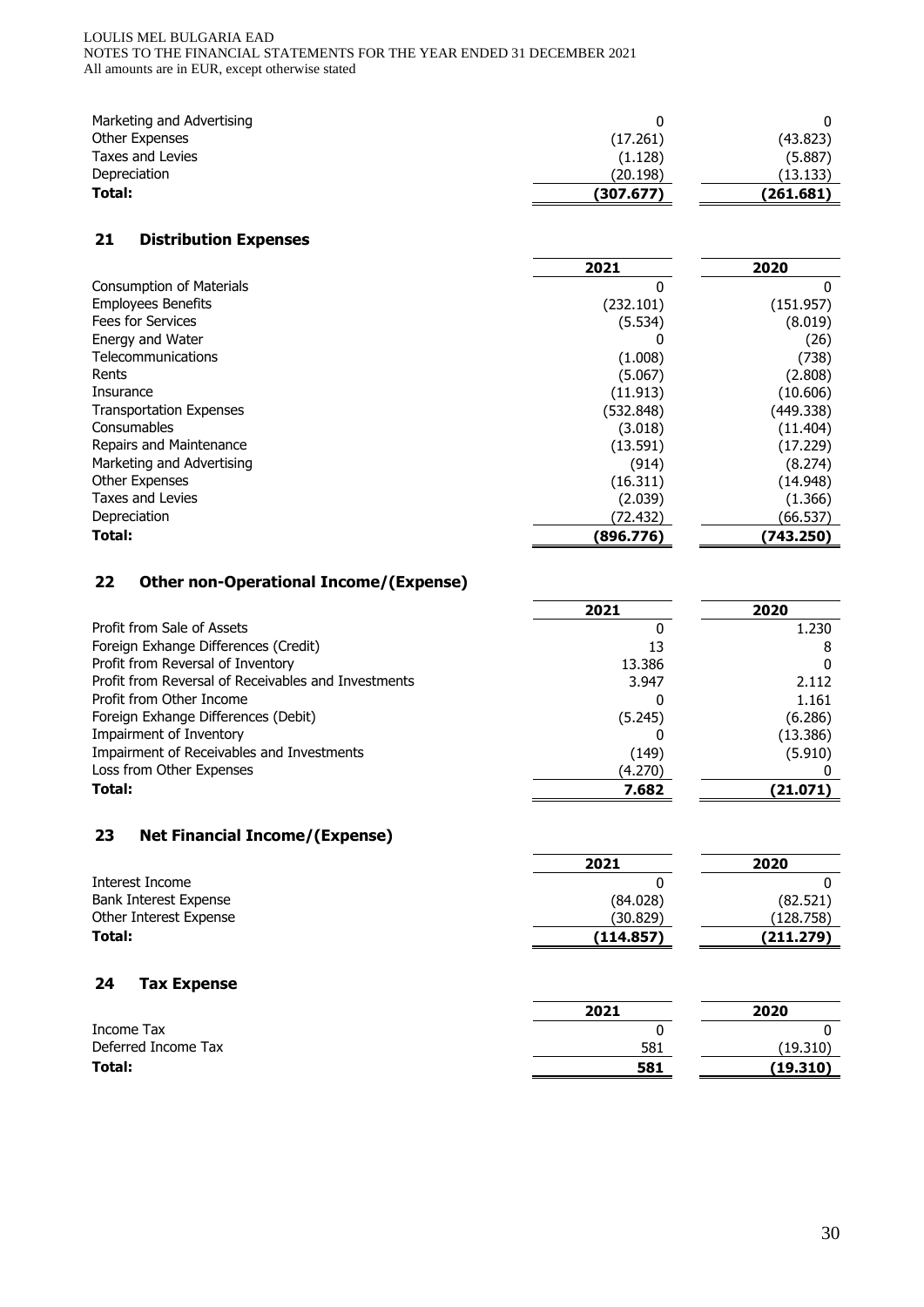#### LOULIS MEL BULGARIA EAD NOTES TO THE FINANCIAL STATEMENTS FOR THE YEAR ENDED 31 DECEMBER 2021 All amounts are in EUR, except otherwise stated

| Marketing and Advertising |           |           |
|---------------------------|-----------|-----------|
| Other Expenses            | (17.261)  | (43.823)  |
| Taxes and Levies          | (1.128)   | (5.887)   |
| Depreciation              | (20.198)  | (13.133)  |
| Total:                    | (307.677) | (261.681) |

## **21 Distribution Expenses**

|                                 | 2021      | 2020      |
|---------------------------------|-----------|-----------|
| <b>Consumption of Materials</b> | 0         | 0         |
| <b>Employees Benefits</b>       | (232.101) | (151.957) |
| <b>Fees for Services</b>        | (5.534)   | (8.019)   |
| Energy and Water                |           | (26)      |
| Telecommunications              | (1.008)   | (738)     |
| Rents                           | (5.067)   | (2.808)   |
| Insurance                       | (11.913)  | (10.606)  |
| <b>Transportation Expenses</b>  | (532.848) | (449.338) |
| Consumables                     | (3.018)   | (11.404)  |
| Repairs and Maintenance         | (13.591)  | (17.229)  |
| Marketing and Advertising       | (914)     | (8.274)   |
| <b>Other Expenses</b>           | (16.311)  | (14.948)  |
| <b>Taxes and Levies</b>         | (2.039)   | (1.366)   |
| Depreciation                    | (72.432)  | (66.537)  |
| Total:                          | (896.776) | (743.250) |

## **22 Other non-Operational Income/(Expense)**

|                                                     | 2021    | 2020     |
|-----------------------------------------------------|---------|----------|
| Profit from Sale of Assets                          |         | 1.230    |
| Foreign Exhange Differences (Credit)                | 13      |          |
| Profit from Reversal of Inventory                   | 13.386  |          |
| Profit from Reversal of Receivables and Investments | 3.947   | 2.112    |
| Profit from Other Income                            |         | 1.161    |
| Foreign Exhange Differences (Debit)                 | (5.245) | (6.286)  |
| Impairment of Inventory                             |         | (13.386) |
| Impairment of Receivables and Investments           | (149)   | (5.910)  |
| Loss from Other Expenses                            | (4.270) |          |
| Total:                                              | 7.682   | (21.071) |

# **23 Net Financial Income/(Expense)**

|                        | 2021<br>2020 |           |  |
|------------------------|--------------|-----------|--|
| Interest Income        |              |           |  |
| Bank Interest Expense  | (84.028)     | (82.521)  |  |
| Other Interest Expense | (30.829)     | (128.758) |  |
| Total:                 | (114.857)    | (211.279) |  |

## **24 Tax Expense**

|                     | 2021 | 2020     |
|---------------------|------|----------|
| Income Tax          |      |          |
| Deferred Income Tax | 581  | (19.310) |
| Total:              | 581  | (19.310) |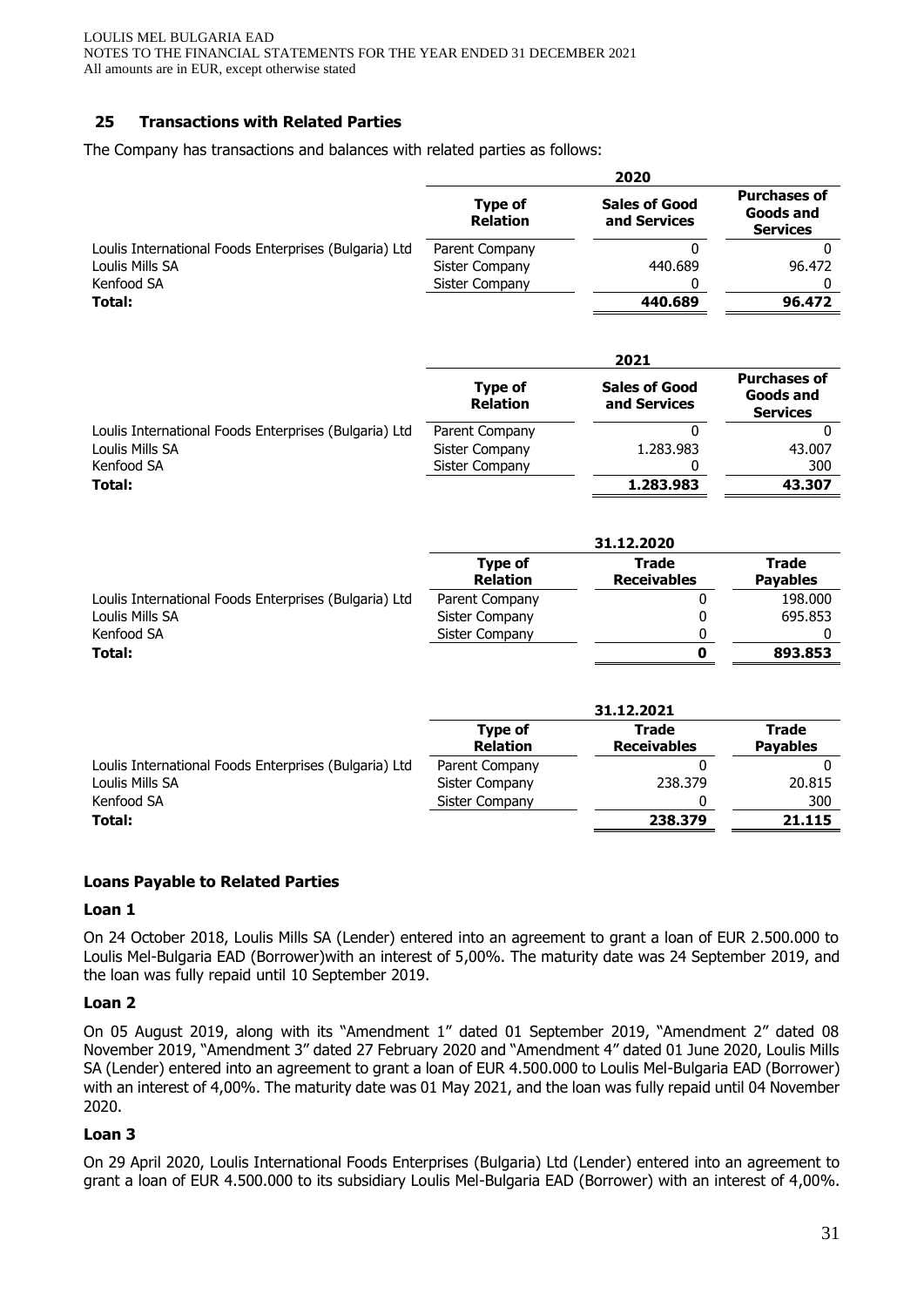## **25 Transactions with Related Parties**

The Company has transactions and balances with related parties as follows:

|                                                       |                                   | 2020                                 |                                                            |
|-------------------------------------------------------|-----------------------------------|--------------------------------------|------------------------------------------------------------|
|                                                       | <b>Type of</b><br><b>Relation</b> | <b>Sales of Good</b><br>and Services | <b>Purchases of</b><br><b>Goods and</b><br><b>Services</b> |
| Loulis International Foods Enterprises (Bulgaria) Ltd | Parent Company                    | 0                                    | $\mathbf{0}$                                               |
| Loulis Mills SA                                       | Sister Company                    | 440.689                              | 96.472                                                     |
| Kenfood SA                                            | Sister Company                    | 0                                    | 0                                                          |
| Total:                                                |                                   | 440.689                              | 96.472                                                     |
|                                                       |                                   | 2021                                 |                                                            |
|                                                       | <b>Type of</b><br><b>Relation</b> | <b>Sales of Good</b><br>and Services | <b>Purchases of</b><br><b>Goods and</b><br><b>Services</b> |
| Loulis International Foods Enterprises (Bulgaria) Ltd | Parent Company                    | 0                                    | $\Omega$                                                   |
| Loulis Mills SA                                       | Sister Company                    | 1.283.983                            | 43.007                                                     |
| Kenfood SA                                            | <b>Sister Company</b>             |                                      | 300                                                        |
| Total:                                                |                                   | 1.283.983                            | 43.307                                                     |
|                                                       |                                   | 31.12.2020                           |                                                            |
|                                                       | <b>Type of</b>                    | <b>Trade</b>                         | <b>Trade</b>                                               |
|                                                       | <b>Relation</b>                   | <b>Receivables</b>                   | <b>Payables</b>                                            |
| Loulis International Foods Enterprises (Bulgaria) Ltd | Parent Company                    | 0                                    | 198.000                                                    |
| Loulis Mills SA                                       | Sister Company                    | 0                                    | 695.853                                                    |
| Kenfood SA                                            | Sister Company                    | 0                                    | 0                                                          |
| Total:                                                |                                   | $\mathbf 0$                          | 893.853                                                    |
|                                                       |                                   | 31.12.2021                           |                                                            |
|                                                       | <b>Type of</b><br><b>Relation</b> | <b>Trade</b><br><b>Receivables</b>   | <b>Trade</b><br><b>Payables</b>                            |
| Loulis International Foods Enterprises (Bulgaria) Ltd | Parent Company                    | $\Omega$                             | $\Omega$                                                   |
| Loulis Mills SA                                       | Sister Company                    | 238.379                              | 20.815                                                     |
| Kenfood SA                                            | Sister Company                    | $\Omega$                             | 300                                                        |
| Total:                                                |                                   | 238.379                              | 21.115                                                     |
|                                                       |                                   |                                      |                                                            |

## **Loans Payable to Related Parties**

#### **Loan 1**

On 24 October 2018, Loulis Mills SA (Lender) entered into an agreement to grant a loan of EUR 2.500.000 to Loulis Mel-Bulgaria EAD (Borrower)with an interest of 5,00%. The maturity date was 24 September 2019, and the loan was fully repaid until 10 September 2019.

## **Loan 2**

On 05 August 2019, along with its "Amendment 1" dated 01 September 2019, "Amendment 2" dated 08 November 2019, "Amendment 3" dated 27 February 2020 and "Amendment 4" dated 01 June 2020, Loulis Mills SA (Lender) entered into an agreement to grant a loan of EUR 4.500.000 to Loulis Mel-Bulgaria EAD (Borrower) with an interest of 4,00%. The maturity date was 01 May 2021, and the loan was fully repaid until 04 November 2020.

## **Loan 3**

On 29 April 2020, Loulis International Foods Enterprises (Bulgaria) Ltd (Lender) entered into an agreement to grant a loan of EUR 4.500.000 to its subsidiary Loulis Mel-Bulgaria EAD (Borrower) with an interest of 4,00%.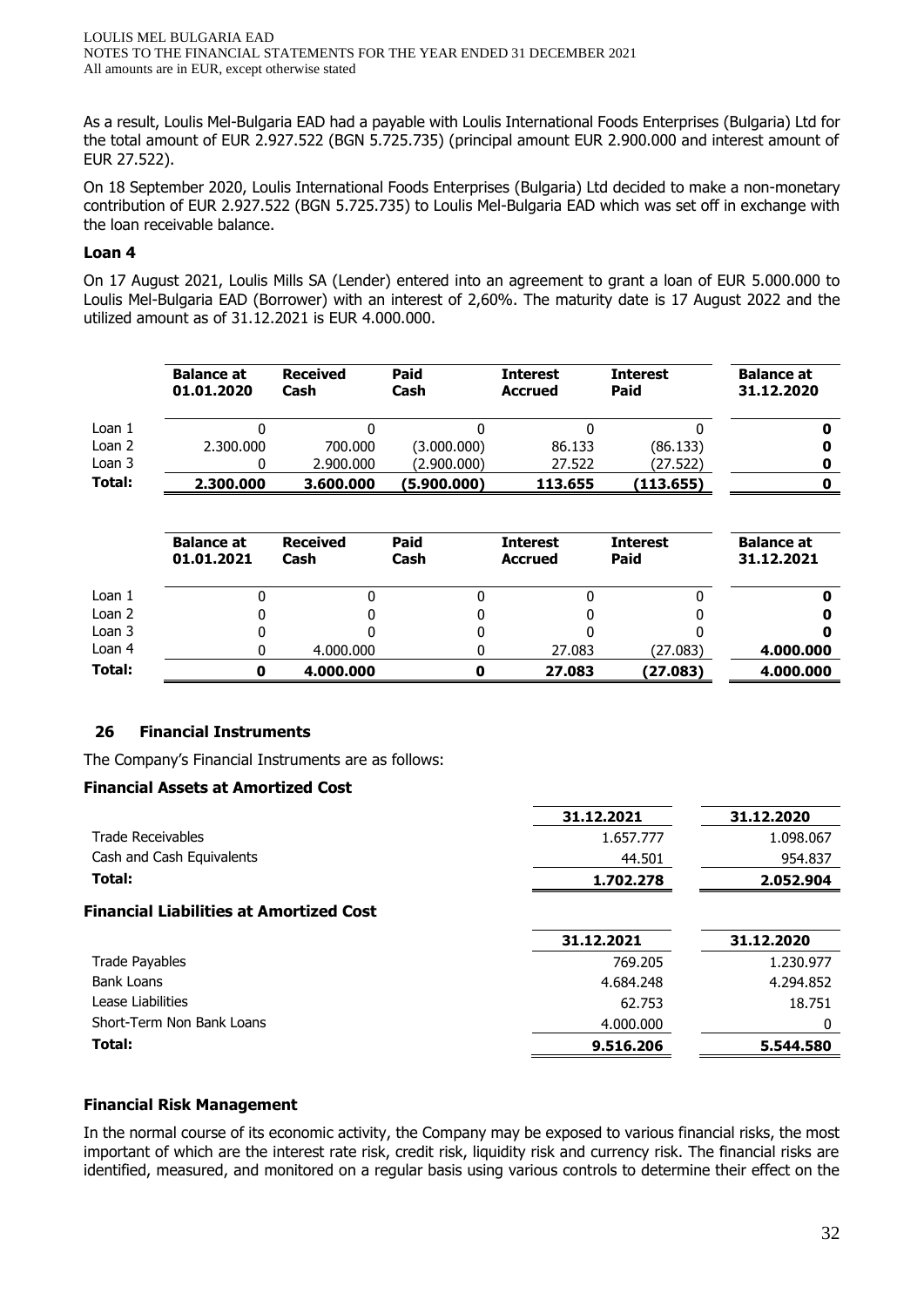As a result, Loulis Mel-Bulgaria EAD had a payable with Loulis International Foods Enterprises (Bulgaria) Ltd for the total amount of EUR 2.927.522 (BGN 5.725.735) (principal amount EUR 2.900.000 and interest amount of EUR 27.522).

On 18 September 2020, Loulis International Foods Enterprises (Bulgaria) Ltd decided to make a non-monetary contribution of EUR 2.927.522 (BGN 5.725.735) to Loulis Mel-Bulgaria EAD which was set off in exchange with the loan receivable balance.

## **Loan 4**

On 17 August 2021, Loulis Mills SA (Lender) entered into an agreement to grant a loan of EUR 5.000.000 to Loulis Mel-Bulgaria EAD (Borrower) with an interest of 2,60%. The maturity date is 17 August 2022 and the utilized amount as of 31.12.2021 is EUR 4.000.000.

|        | <b>Balance at</b><br>01.01.2020 | <b>Received</b><br>Cash | Paid<br>Cash | <b>Interest</b><br><b>Accrued</b> | <b>Interest</b><br>Paid | <b>Balance at</b><br>31.12.2020 |
|--------|---------------------------------|-------------------------|--------------|-----------------------------------|-------------------------|---------------------------------|
| Loan 1 |                                 |                         |              |                                   |                         |                                 |
| Loan 2 | 2.300.000                       | 700,000                 | (3.000.000)  | 86.133                            | (86.133)                |                                 |
| Loan 3 |                                 | 2,900,000               | (2.900.000)  | 27.522                            | (27.522)                |                                 |
| Total: | 2,300,000                       | 3,600,000               | (5.900.000)  | 113.655                           | (113.655)               |                                 |

|          | <b>Balance at</b><br>01.01.2021 | <b>Received</b><br>Cash | <b>Paid</b><br>Cash | <b>Interest</b><br><b>Accrued</b> | <b>Interest</b><br>Paid | <b>Balance at</b><br>31.12.2021 |
|----------|---------------------------------|-------------------------|---------------------|-----------------------------------|-------------------------|---------------------------------|
| Loan 1   |                                 |                         |                     |                                   |                         |                                 |
| Loan 2   |                                 |                         |                     |                                   |                         |                                 |
| Loan 3   |                                 |                         |                     |                                   |                         |                                 |
| Loan $4$ |                                 | 4.000.000               |                     | 27.083                            | (27.083)                | 4.000.000                       |
| Total:   | Ω                               | 4.000.000               |                     | 27.083                            | (27.083)                | 4.000.000                       |

## **26 Financial Instruments**

The Company's Financial Instruments are as follows:

## **Financial Assets at Amortized Cost**

|                                                | 31.12.2021 | 31.12.2020 |
|------------------------------------------------|------------|------------|
| <b>Trade Receivables</b>                       | 1.657.777  | 1.098.067  |
| Cash and Cash Equivalents                      | 44.501     | 954.837    |
| Total:                                         | 1.702.278  | 2.052.904  |
| <b>Financial Liabilities at Amortized Cost</b> |            |            |
|                                                | 31.12.2021 | 31.12.2020 |
| <b>Trade Payables</b>                          | 769.205    | 1.230.977  |
| <b>Bank Loans</b>                              | 4.684.248  | 4.294.852  |
| Lease Liabilities                              | 62.753     | 18.751     |
| Short-Term Non Bank Loans                      | 4.000.000  |            |
| Total:                                         | 9.516.206  | 5.544.580  |

## **Financial Risk Management**

In the normal course of its economic activity, the Company may be exposed to various financial risks, the most important of which are the interest rate risk, credit risk, liquidity risk and currency risk. The financial risks are identified, measured, and monitored on a regular basis using various controls to determine their effect on the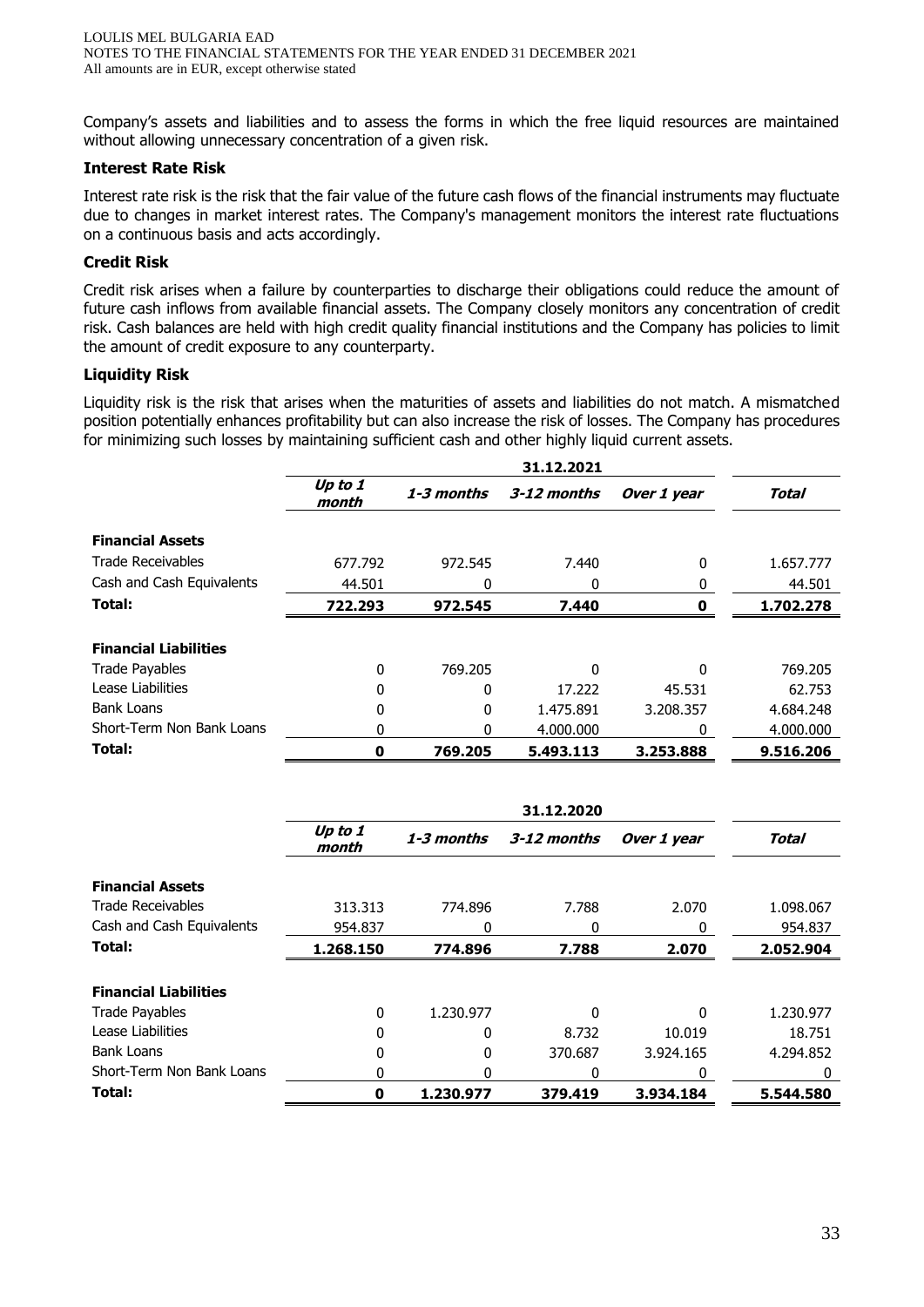Company's assets and liabilities and to assess the forms in which the free liquid resources are maintained without allowing unnecessary concentration of a given risk.

## **Interest Rate Risk**

Interest rate risk is the risk that the fair value of the future cash flows of the financial instruments may fluctuate due to changes in market interest rates. The Company's management monitors the interest rate fluctuations on a continuous basis and acts accordingly.

## **Credit Risk**

Credit risk arises when a failure by counterparties to discharge their obligations could reduce the amount of future cash inflows from available financial assets. The Company closely monitors any concentration of credit risk. Cash balances are held with high credit quality financial institutions and the Company has policies to limit the amount of credit exposure to any counterparty.

## **Liquidity Risk**

Liquidity risk is the risk that arises when the maturities of assets and liabilities do not match. A mismatched position potentially enhances profitability but can also increase the risk of losses. The Company has procedures for minimizing such losses by maintaining sufficient cash and other highly liquid current assets.

|                              | Up to 1<br>month | 1-3 months | 3-12 months | Over 1 year | Total     |
|------------------------------|------------------|------------|-------------|-------------|-----------|
| <b>Financial Assets</b>      |                  |            |             |             |           |
| <b>Trade Receivables</b>     | 677.792          | 972.545    | 7.440       | 0           | 1.657.777 |
| Cash and Cash Equivalents    | 44.501           | 0          | 0           | 0           | 44.501    |
| Total:                       | 722.293          | 972.545    | 7.440       |             | 1.702.278 |
| <b>Financial Liabilities</b> |                  |            |             |             |           |
| <b>Trade Payables</b>        | 0                | 769.205    | 0           | O           | 769.205   |
| Lease Liabilities            | 0                | 0          | 17.222      | 45.531      | 62.753    |
| <b>Bank Loans</b>            | 0                | 0          | 1.475.891   | 3.208.357   | 4.684.248 |
| Short-Term Non Bank Loans    | 0                | 0          | 4.000.000   | 0           | 4.000.000 |
| Total:                       | 0                | 769.205    | 5.493.113   | 3.253.888   | 9.516.206 |

|                              | Up to 1<br>month | 1-3 months | 3-12 months | Over 1 year | Total     |
|------------------------------|------------------|------------|-------------|-------------|-----------|
| <b>Financial Assets</b>      |                  |            |             |             |           |
| <b>Trade Receivables</b>     | 313.313          | 774.896    | 7.788       | 2.070       | 1.098.067 |
| Cash and Cash Equivalents    | 954.837          | 0          | 0           | 0           | 954.837   |
| Total:                       | 1.268.150        | 774.896    | 7.788       | 2.070       | 2.052.904 |
| <b>Financial Liabilities</b> |                  |            |             |             |           |
| <b>Trade Payables</b>        | $\Omega$         | 1.230.977  | 0           | 0           | 1.230.977 |
| Lease Liabilities            | $\Omega$         | 0          | 8.732       | 10.019      | 18.751    |
| <b>Bank Loans</b>            | O                | 0          | 370.687     | 3.924.165   | 4.294.852 |
| Short-Term Non Bank Loans    | 0                | 0          | 0           | 0           | 0         |
| Total:                       | 0                | 1.230.977  | 379.419     | 3.934.184   | 5.544.580 |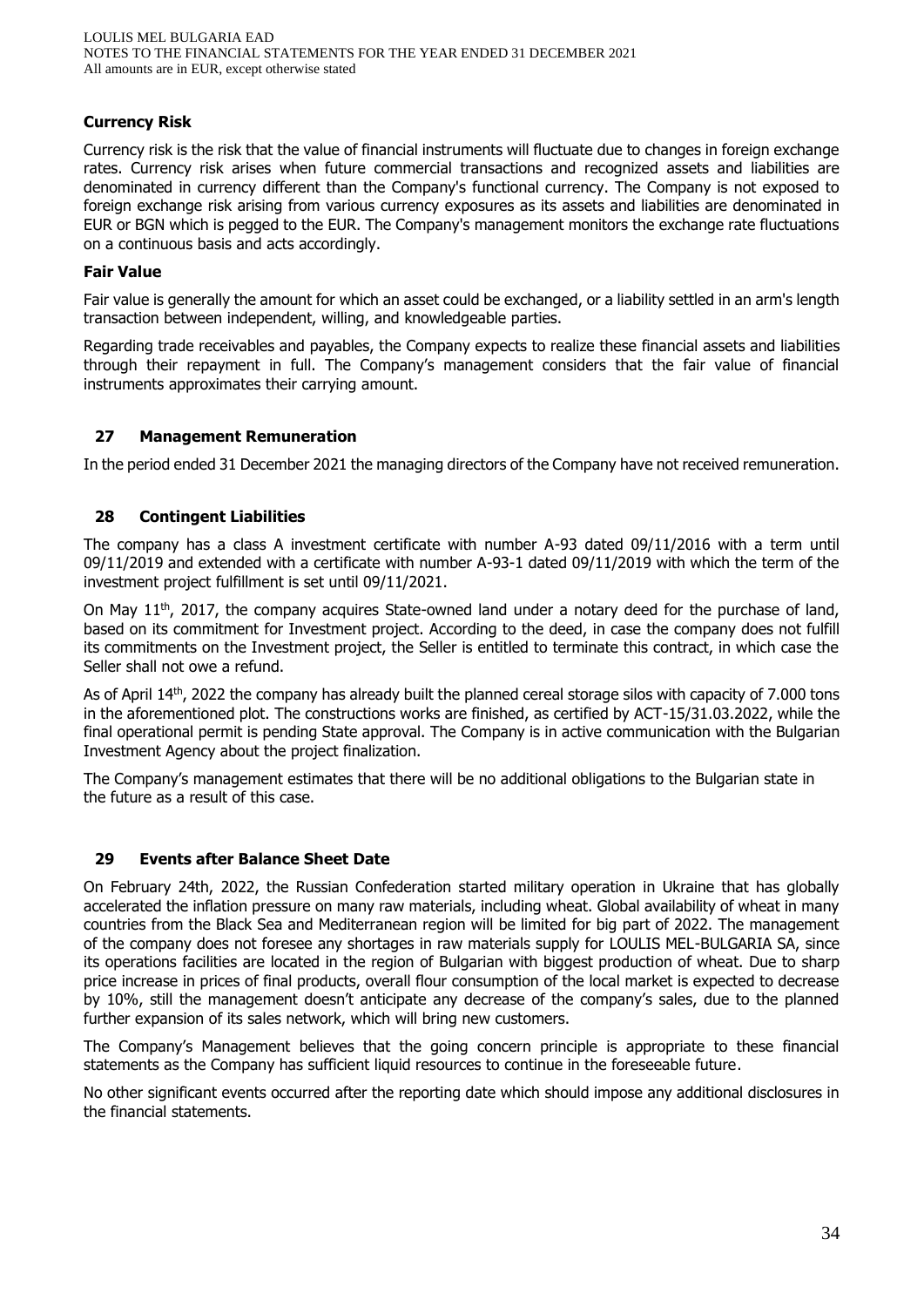## **Currency Risk**

Currency risk is the risk that the value of financial instruments will fluctuate due to changes in foreign exchange rates. Currency risk arises when future commercial transactions and recognized assets and liabilities are denominated in currency different than the Company's functional currency. The Company is not exposed to foreign exchange risk arising from various currency exposures as its assets and liabilities are denominated in EUR or BGN which is pegged to the EUR. The Company's management monitors the exchange rate fluctuations on a continuous basis and acts accordingly.

#### **Fair Value**

Fair value is generally the amount for which an asset could be exchanged, or a liability settled in an arm's length transaction between independent, willing, and knowledgeable parties.

Regarding trade receivables and payables, the Company expects to realize these financial assets and liabilities through their repayment in full. The Company's management considers that the fair value of financial instruments approximates their carrying amount.

#### **27 Management Remuneration**

In the period ended 31 December 2021 the managing directors of the Company have not received remuneration.

#### **28 Contingent Liabilities**

The company has a class A investment certificate with number A-93 dated 09/11/2016 with a term until 09/11/2019 and extended with a certificate with number A-93-1 dated 09/11/2019 with which the term of the investment project fulfillment is set until 09/11/2021.

On May  $11<sup>th</sup>$ , 2017, the company acquires State-owned land under a notary deed for the purchase of land, based on its commitment for Investment project. According to the deed, in case the company does not fulfill its commitments on the Investment project, the Seller is entitled to terminate this contract, in which case the Seller shall not owe a refund.

As of April 14th, 2022 the company has already built the planned cereal storage silos with capacity of 7.000 tons in the aforementioned plot. The constructions works are finished, as certified by ACT-15/31.03.2022, while the final operational permit is pending State approval. The Company is in active communication with the Bulgarian Investment Agency about the project finalization.

The Company's management estimates that there will be no additional obligations to the Bulgarian state in the future as a result of this case.

#### **29 Events after Balance Sheet Date**

On February 24th, 2022, the Russian Confederation started military operation in Ukraine that has globally accelerated the inflation pressure on many raw materials, including wheat. Global availability of wheat in many countries from the Black Sea and Mediterranean region will be limited for big part of 2022. The management of the company does not foresee any shortages in raw materials supply for LOULIS MEL-BULGARIA SA, since its operations facilities are located in the region of Bulgarian with biggest production of wheat. Due to sharp price increase in prices of final products, overall flour consumption of the local market is expected to decrease by 10%, still the management doesn't anticipate any decrease of the company's sales, due to the planned further expansion of its sales network, which will bring new customers.

The Company's Management believes that the going concern principle is appropriate to these financial statements as the Company has sufficient liquid resources to continue in the foreseeable future.

No other significant events occurred after the reporting date which should impose any additional disclosures in the financial statements.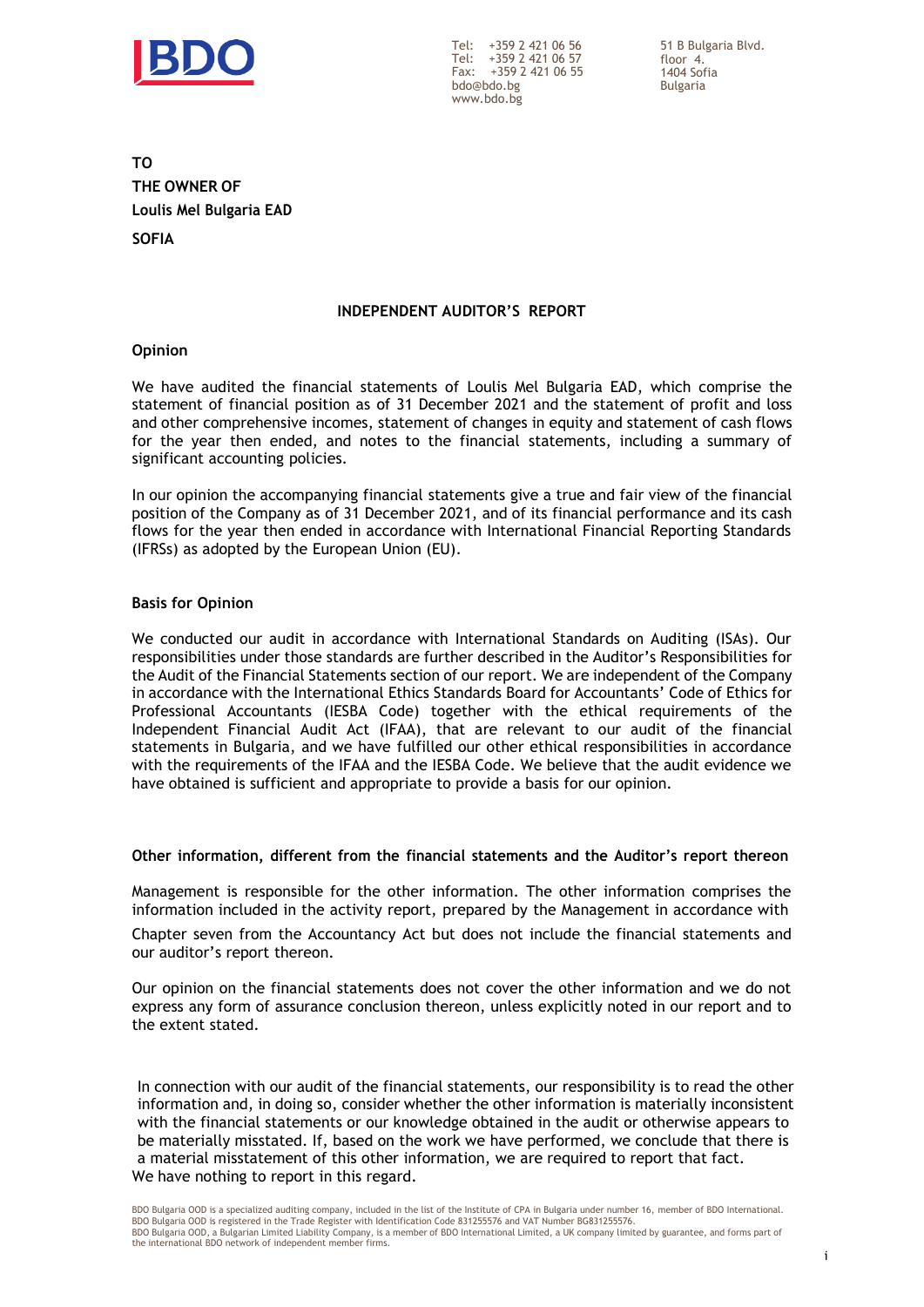

Tel: +359 2 421 06 56 Tel: +359 2 421 06 57 Fax: +359 2 421 06 55 [bdo@bdo.bg](mailto:bdo@bdo.bg) [www.bdo.bg](http://www.bdo.bg/)

51 B Bulgaria Blvd. floor 4. 1404 Sofia Bulgaria

**TO THE OWNER OF Loulis Mel Bulgaria EAD SOFIA**

#### **INDEPENDENT AUDITOR'S REPORT**

#### **Opinion**

We have audited the financial statements of Loulis Mel Bulgaria EAD, which comprise the statement of financial position as of 31 December 2021 and the statement of profit and loss and other comprehensive incomes, statement of changes in equity and statement of cash flows for the year then ended, and notes to the financial statements, including a summary of significant accounting policies.

In our opinion the accompanying financial statements give a true and fair view of the financial position of the Company as of 31 December 2021, and of its financial performance and its cash flows for the year then ended in accordance with International Financial Reporting Standards (IFRSs) as adopted by the European Union (EU).

#### **Basis for Opinion**

We conducted our audit in accordance with International Standards on Auditing (ISAs). Our responsibilities under those standards are further described in the Auditor's Responsibilities for the Audit of the Financial Statements section of our report. We are independent of the Company in accordance with the International Ethics Standards Board for Accountants' Code of Ethics for Professional Accountants (IESBA Code) together with the ethical requirements of the Independent Financial Audit Act (IFAA), that are relevant to our audit of the financial statements in Bulgaria, and we have fulfilled our other ethical responsibilities in accordance with the requirements of the IFAA and the IESBA Code. We believe that the audit evidence we have obtained is sufficient and appropriate to provide a basis for our opinion.

#### **Other information, different from the financial statements and the Auditor's report thereon**

Management is responsible for the other information. The other information comprises the information included in the activity report, prepared by the Management in accordance with

Chapter seven from the Accountancy Act but does not include the financial statements and our auditor's report thereon.

Our opinion on the financial statements does not cover the other information and we do not express any form of assurance conclusion thereon, unless explicitly noted in our report and to the extent stated.

In connection with our audit of the financial statements, our responsibility is to read the other information and, in doing so, consider whether the other information is materially inconsistent with the financial statements or our knowledge obtained in the audit or otherwise appears to be materially misstated. If, based on the work we have performed, we conclude that there is a material misstatement of this other information, we are required to report that fact. We have nothing to report in this regard.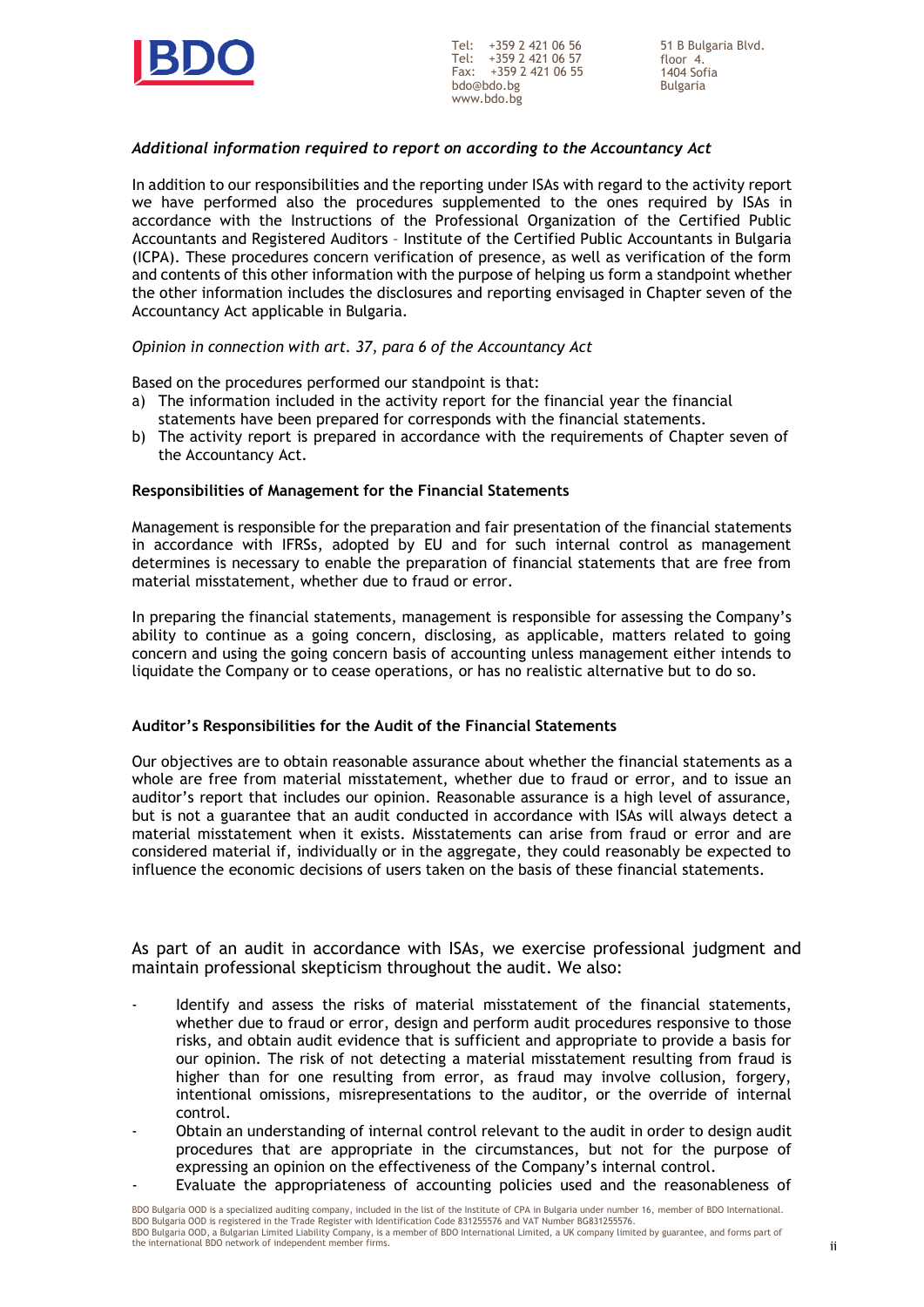

Tel: +359 2 421 06 56 Tel: +359 2 421 06 57 Fax: +359 2 421 06 55 [bdo@bdo.bg](mailto:bdo@bdo.bg) [www.bdo.bg](http://www.bdo.bg/)

#### *Additional information required to report on according to the Accountancy Act*

In addition to our responsibilities and the reporting under ISAs with regard to the activity report we have performed also the procedures supplemented to the ones required by ISAs in accordance with the Instructions of the Professional Organization of the Certified Public Accountants and Registered Auditors – Institute of the Certified Public Accountants in Bulgaria (ICPA). These procedures concern verification of presence, as well as verification of the form and contents of this other information with the purpose of helping us form a standpoint whether the other information includes the disclosures and reporting envisaged in Chapter seven of the Accountancy Act applicable in Bulgaria.

#### *Opinion in connection with art. 37, para 6 of the Accountancy Act*

Based on the procedures performed our standpoint is that:

- a) The information included in the activity report for the financial year the financial statements have been prepared for corresponds with the financial statements.
- b) The activity report is prepared in accordance with the requirements of Chapter seven of the Accountancy Act.

#### **Responsibilities of Management for the Financial Statements**

Management is responsible for the preparation and fair presentation of the financial statements in accordance with IFRSs, adopted by EU and for such internal control as management determines is necessary to enable the preparation of financial statements that are free from material misstatement, whether due to fraud or error.

In preparing the financial statements, management is responsible for assessing the Company's ability to continue as a going concern, disclosing, as applicable, matters related to going concern and using the going concern basis of accounting unless management either intends to liquidate the Company or to cease operations, or has no realistic alternative but to do so.

#### **Auditor's Responsibilities for the Audit of the Financial Statements**

Our objectives are to obtain reasonable assurance about whether the financial statements as a whole are free from material misstatement, whether due to fraud or error, and to issue an auditor's report that includes our opinion. Reasonable assurance is a high level of assurance, but is not a guarantee that an audit conducted in accordance with ISAs will always detect a material misstatement when it exists. Misstatements can arise from fraud or error and are considered material if, individually or in the aggregate, they could reasonably be expected to influence the economic decisions of users taken on the basis of these financial statements.

As part of an audit in accordance with ISAs, we exercise professional judgment and maintain professional skepticism throughout the audit. We also:

- Identify and assess the risks of material misstatement of the financial statements, whether due to fraud or error, design and perform audit procedures responsive to those risks, and obtain audit evidence that is sufficient and appropriate to provide a basis for our opinion. The risk of not detecting a material misstatement resulting from fraud is higher than for one resulting from error, as fraud may involve collusion, forgery, intentional omissions, misrepresentations to the auditor, or the override of internal control.
- Obtain an understanding of internal control relevant to the audit in order to design audit procedures that are appropriate in the circumstances, but not for the purpose of expressing an opinion on the effectiveness of the Company's internal control.
- Evaluate the appropriateness of accounting policies used and the reasonableness of